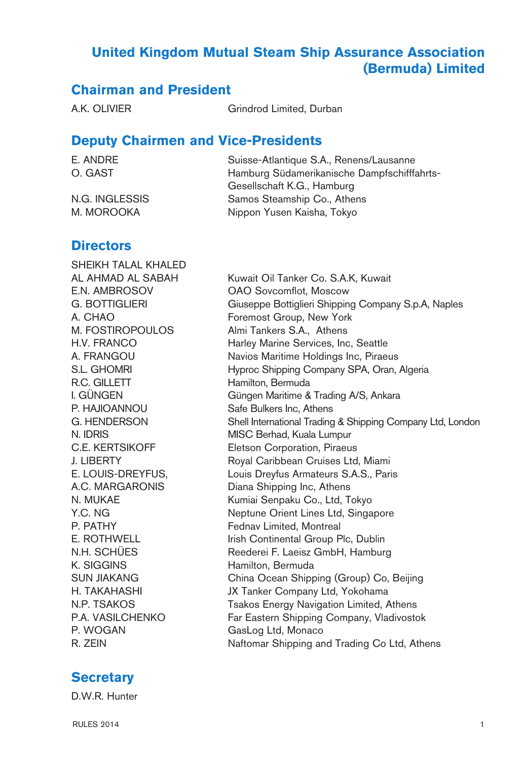## **United Kingdom Mutual Steam Ship Assurance Association (Bermuda) Limited**

## **Chairman and President**

A.K. OLIVIER Grindrod Limited, Durban

### **Deputy Chairmen and Vice-Presidents**

| E. ANDRE       | Suisse-Atlantique S.A., Renens/Lausanne     |
|----------------|---------------------------------------------|
| O. GAST        | Hamburg Südamerikanische Dampfschifffahrts- |
|                | Gesellschaft K.G., Hamburg                  |
| N.G. INGLESSIS | Samos Steamship Co., Athens                 |
| M. MOROOKA     | Nippon Yusen Kaisha, Tokyo                  |

### **Directors**

SHEIKH TALAL KHALED R.C. GILLETT Hamilton, Bermuda P. HAJIOANNOU Safe Bulkers Inc, Athens K. SIGGINS Hamilton, Bermuda P. WOGAN GasLog Ltd, Monaco

AL AHMAD AL SABAH Kuwait Oil Tanker Co. S.A.K, Kuwait E.N. AMBROSOV OAO Sovcomflot, Moscow G. BOTTIGLIERI Giuseppe Bottiglieri Shipping Company S.p.A, Naples A. CHAO **Foremost Group, New York** M. FOSTIROPOULOS Almi Tankers S.A., Athens H.V. FRANCO Harley Marine Services, Inc, Seattle A. FRANGOU Navios Maritime Holdings Inc, Piraeus S.L. GHOMRI 
Hyproc Shipping Company SPA, Oran, Algeria I. GÜNGEN Güngen Maritime & Trading A/S, Ankara G. HENDERSON Shell International Trading & Shipping Company Ltd, London N. IDRIS MISC Berhad, Kuala Lumpur C.E. KERTSIKOFF Eletson Corporation, Piraeus J. LIBERTY Royal Caribbean Cruises Ltd, Miami E. LOUIS-DREYFUS, Louis Dreyfus Armateurs S.A.S., Paris A.C. MARGARONIS Diana Shipping Inc, Athens N. MUKAE Kumiai Senpaku Co., Ltd, Tokyo Y.C. NG Neptune Orient Lines Ltd, Singapore P. PATHY Fednav Limited, Montreal E. ROTHWELL Irish Continental Group Plc, Dublin N.H. SCHÜES Reederei F. Laeisz GmbH, Hamburg SUN JIAKANG China Ocean Shipping (Group) Co, Beijing H. TAKAHASHI JX Tanker Company Ltd, Yokohama N.P. TSAKOS Tsakos Energy Navigation Limited, Athens P.A. VASILCHENKO Far Eastern Shipping Company, Vladivostok R. ZEIN Naftomar Shipping and Trading Co Ltd, Athens

## **Secretary**

D.W.R. Hunter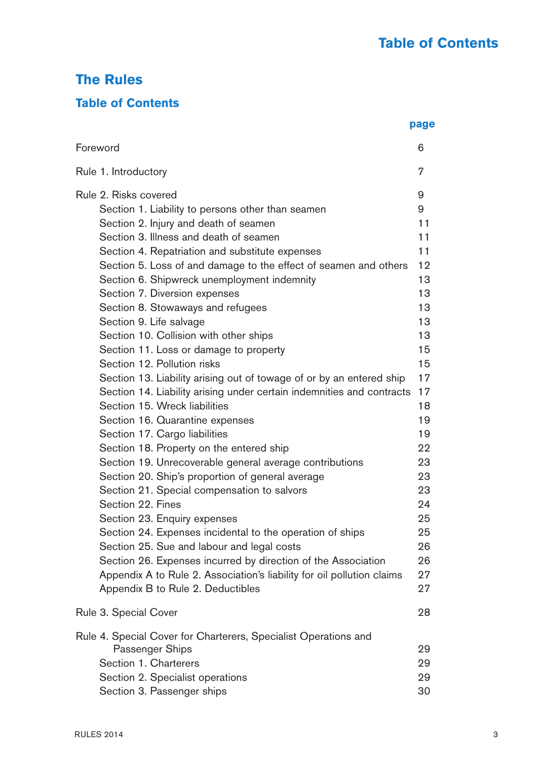# **The Rules**

## **Table of Contents**

|                                                                        | page |
|------------------------------------------------------------------------|------|
| Foreword                                                               | 6    |
| Rule 1. Introductory                                                   | 7    |
| Rule 2. Risks covered                                                  | 9    |
| Section 1. Liability to persons other than seamen                      | 9    |
| Section 2. Injury and death of seamen                                  | 11   |
| Section 3. Illness and death of seamen                                 | 11   |
| Section 4. Repatriation and substitute expenses                        | 11   |
| Section 5. Loss of and damage to the effect of seamen and others       | 12   |
| Section 6. Shipwreck unemployment indemnity                            | 13   |
| Section 7. Diversion expenses                                          | 13   |
| Section 8. Stowaways and refugees                                      | 13   |
| Section 9. Life salvage                                                | 13   |
| Section 10. Collision with other ships                                 | 13   |
| Section 11. Loss or damage to property                                 | 15   |
| Section 12. Pollution risks                                            | 15   |
| Section 13. Liability arising out of towage of or by an entered ship   | 17   |
| Section 14. Liability arising under certain indemnities and contracts  | 17   |
| Section 15. Wreck liabilities                                          | 18   |
| Section 16. Quarantine expenses                                        | 19   |
| Section 17. Cargo liabilities                                          | 19   |
| Section 18. Property on the entered ship                               | 22   |
| Section 19. Unrecoverable general average contributions                | 23   |
| Section 20. Ship's proportion of general average                       | 23   |
| Section 21. Special compensation to salvors                            | 23   |
| Section 22. Fines                                                      | 24   |
| Section 23. Enquiry expenses                                           | 25   |
| Section 24. Expenses incidental to the operation of ships              | 25   |
| Section 25. Sue and labour and legal costs                             | 26   |
| Section 26. Expenses incurred by direction of the Association          | 26   |
| Appendix A to Rule 2. Association's liability for oil pollution claims | 27   |
| Appendix B to Rule 2. Deductibles                                      | 27   |
| Rule 3. Special Cover                                                  | 28   |
| Rule 4. Special Cover for Charterers, Specialist Operations and        |      |
| Passenger Ships                                                        | 29   |
| Section 1. Charterers                                                  | 29   |
| Section 2. Specialist operations                                       | 29   |
| Section 3. Passenger ships                                             | 30   |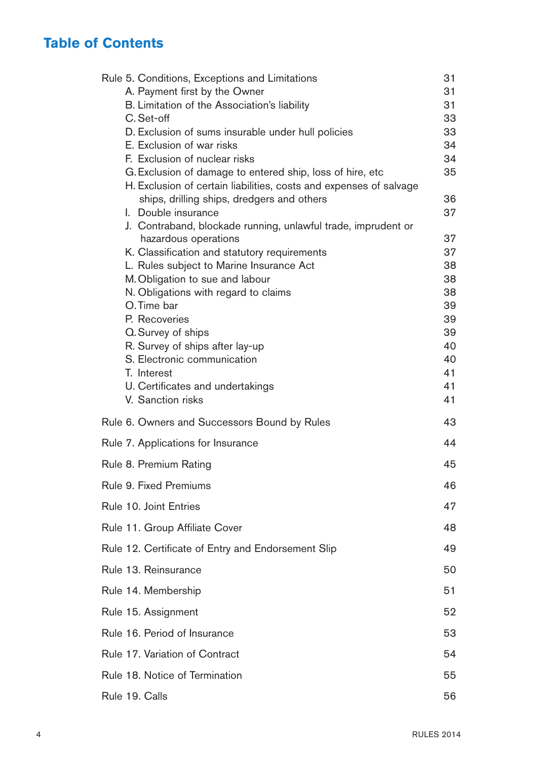# **Table of Contents**

| Rule 5. Conditions, Exceptions and Limitations                                                                   | 31       |
|------------------------------------------------------------------------------------------------------------------|----------|
| A. Payment first by the Owner                                                                                    | 31       |
| B. Limitation of the Association's liability                                                                     | 31       |
| C. Set-off                                                                                                       | 33       |
| D. Exclusion of sums insurable under hull policies                                                               | 33       |
| E. Exclusion of war risks                                                                                        | 34       |
| F. Exclusion of nuclear risks                                                                                    | 34       |
| G. Exclusion of damage to entered ship, loss of hire, etc                                                        | 35       |
| H. Exclusion of certain liabilities, costs and expenses of salvage<br>ships, drilling ships, dredgers and others | 36       |
| I. Double insurance                                                                                              | 37       |
| J. Contraband, blockade running, unlawful trade, imprudent or                                                    |          |
| hazardous operations                                                                                             | 37       |
| K. Classification and statutory requirements                                                                     | 37       |
| L. Rules subject to Marine Insurance Act                                                                         | 38       |
| M. Obligation to sue and labour                                                                                  | 38       |
| N. Obligations with regard to claims                                                                             | 38       |
| O. Time bar                                                                                                      | 39       |
| P. Recoveries                                                                                                    | 39       |
| Q. Survey of ships                                                                                               | 39       |
| R. Survey of ships after lay-up                                                                                  | 40       |
| S. Electronic communication<br>T. Interest                                                                       | 40<br>41 |
| U. Certificates and undertakings                                                                                 | 41       |
| V. Sanction risks                                                                                                | 41       |
|                                                                                                                  |          |
| Rule 6. Owners and Successors Bound by Rules                                                                     | 43       |
| Rule 7. Applications for Insurance                                                                               | 44       |
| Rule 8. Premium Rating                                                                                           | 45       |
| Rule 9. Fixed Premiums                                                                                           | 46       |
| Rule 10. Joint Entries                                                                                           | 47       |
| Rule 11. Group Affiliate Cover                                                                                   | 48       |
| Rule 12. Certificate of Entry and Endorsement Slip                                                               | 49       |
| Rule 13. Reinsurance                                                                                             | 50       |
| Rule 14. Membership                                                                                              | 51       |
| Rule 15. Assignment                                                                                              | 52       |
| Rule 16, Period of Insurance                                                                                     | 53       |
| Rule 17. Variation of Contract                                                                                   | 54       |
| Rule 18. Notice of Termination                                                                                   | 55       |
| Rule 19. Calls                                                                                                   | 56       |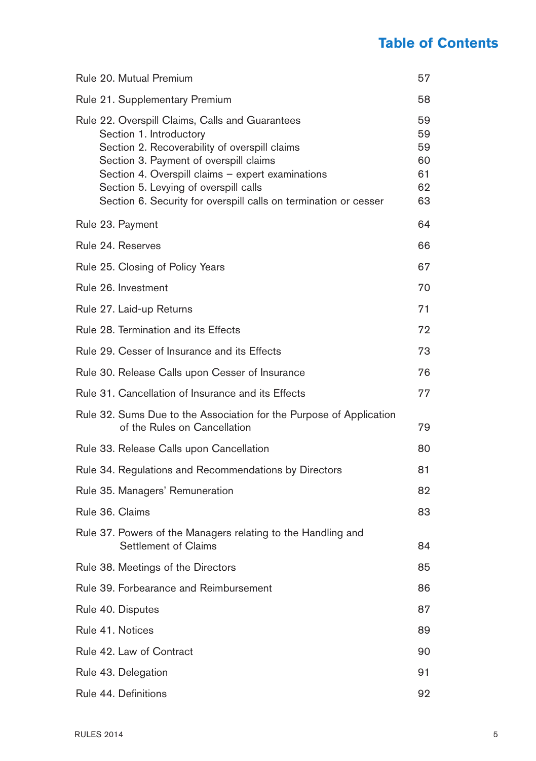# **Table of Contents**

| Rule 20. Mutual Premium                                                                                                                                                                                                                                                                                                                 | 57                                     |
|-----------------------------------------------------------------------------------------------------------------------------------------------------------------------------------------------------------------------------------------------------------------------------------------------------------------------------------------|----------------------------------------|
| Rule 21. Supplementary Premium                                                                                                                                                                                                                                                                                                          | 58                                     |
| Rule 22. Overspill Claims, Calls and Guarantees<br>Section 1. Introductory<br>Section 2. Recoverability of overspill claims<br>Section 3. Payment of overspill claims<br>Section 4. Overspill claims - expert examinations<br>Section 5. Levying of overspill calls<br>Section 6. Security for overspill calls on termination or cesser | 59<br>59<br>59<br>60<br>61<br>62<br>63 |
| Rule 23. Payment                                                                                                                                                                                                                                                                                                                        | 64                                     |
| Rule 24. Reserves                                                                                                                                                                                                                                                                                                                       | 66                                     |
| Rule 25. Closing of Policy Years                                                                                                                                                                                                                                                                                                        | 67                                     |
| Rule 26. Investment                                                                                                                                                                                                                                                                                                                     | 70                                     |
| Rule 27. Laid-up Returns                                                                                                                                                                                                                                                                                                                | 71                                     |
| Rule 28. Termination and its Effects                                                                                                                                                                                                                                                                                                    | 72                                     |
| Rule 29. Cesser of Insurance and its Effects                                                                                                                                                                                                                                                                                            | 73                                     |
| Rule 30. Release Calls upon Cesser of Insurance                                                                                                                                                                                                                                                                                         | 76                                     |
| Rule 31. Cancellation of Insurance and its Effects                                                                                                                                                                                                                                                                                      | 77                                     |
| Rule 32. Sums Due to the Association for the Purpose of Application<br>of the Rules on Cancellation                                                                                                                                                                                                                                     | 79                                     |
| Rule 33. Release Calls upon Cancellation                                                                                                                                                                                                                                                                                                | 80                                     |
| Rule 34. Regulations and Recommendations by Directors                                                                                                                                                                                                                                                                                   | 81                                     |
| Rule 35. Managers' Remuneration                                                                                                                                                                                                                                                                                                         | 82                                     |
| Rule 36, Claims                                                                                                                                                                                                                                                                                                                         | 83                                     |
| Rule 37. Powers of the Managers relating to the Handling and<br>Settlement of Claims                                                                                                                                                                                                                                                    | 84                                     |
| Rule 38. Meetings of the Directors                                                                                                                                                                                                                                                                                                      | 85                                     |
| Rule 39. Forbearance and Reimbursement                                                                                                                                                                                                                                                                                                  | 86                                     |
| Rule 40. Disputes                                                                                                                                                                                                                                                                                                                       | 87                                     |
| Rule 41. Notices                                                                                                                                                                                                                                                                                                                        | 89                                     |
| Rule 42. Law of Contract                                                                                                                                                                                                                                                                                                                | 90                                     |
| Rule 43. Delegation                                                                                                                                                                                                                                                                                                                     | 91                                     |
| Rule 44. Definitions                                                                                                                                                                                                                                                                                                                    | 92                                     |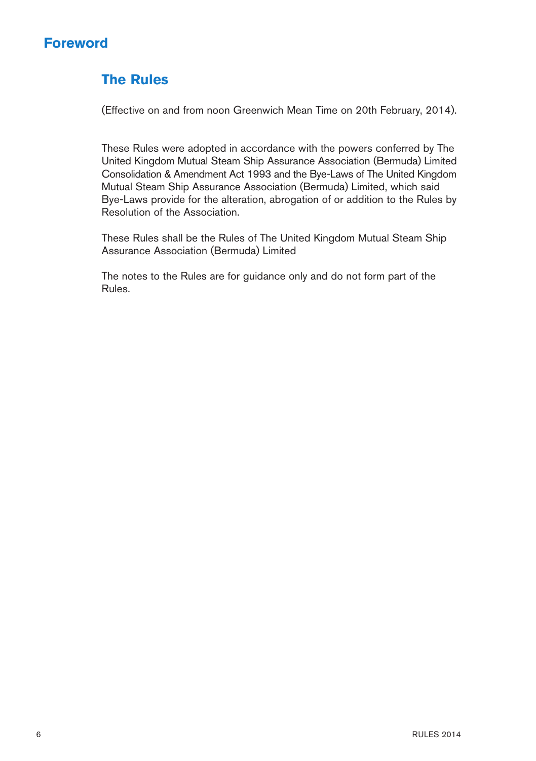## **Foreword**

# **The Rules**

(Effective on and from noon Greenwich Mean Time on 20th February, 2014).

These Rules were adopted in accordance with the powers conferred by The United Kingdom Mutual Steam Ship Assurance Association (Bermuda) Limited Consolidation & Amendment Act 1993 and the Bye-Laws of The United Kingdom Mutual Steam Ship Assurance Association (Bermuda) Limited, which said Bye-Laws provide for the alteration, abrogation of or addition to the Rules by Resolution of the Association.

These Rules shall be the Rules of The United Kingdom Mutual Steam Ship Assurance Association (Bermuda) Limited

The notes to the Rules are for guidance only and do not form part of the Rules.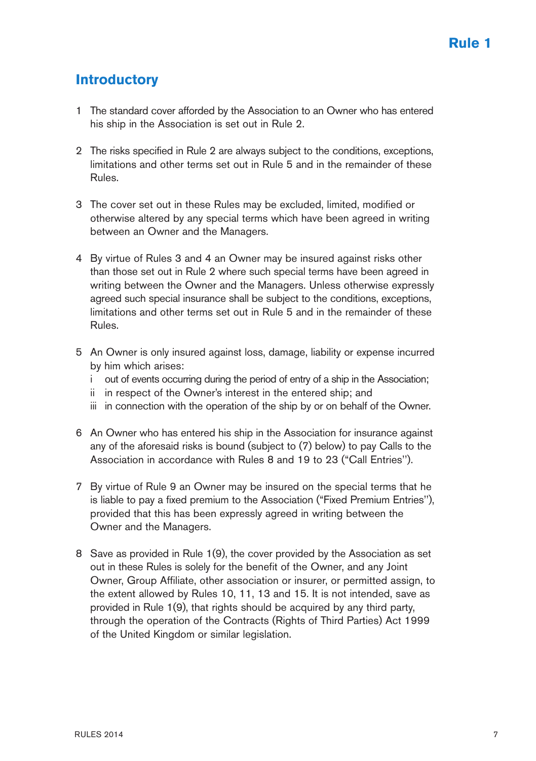## **Introductory**

- 1 The standard cover afforded by the Association to an Owner who has entered his ship in the Association is set out in Rule 2.
- 2 The risks specified in Rule 2 are always subject to the conditions, exceptions, limitations and other terms set out in Rule 5 and in the remainder of these Rules.
- 3 The cover set out in these Rules may be excluded, limited, modified or otherwise altered by any special terms which have been agreed in writing between an Owner and the Managers.
- 4 By virtue of Rules 3 and 4 an Owner may be insured against risks other than those set out in Rule 2 where such special terms have been agreed in writing between the Owner and the Managers. Unless otherwise expressly agreed such special insurance shall be subject to the conditions, exceptions, limitations and other terms set out in Rule 5 and in the remainder of these Rules.
- 5 An Owner is only insured against loss, damage, liability or expense incurred by him which arises:
	- i out of events occurring during the period of entry of a ship in the Association;
	- ii in respect of the Owner's interest in the entered ship; and
	- iii in connection with the operation of the ship by or on behalf of the Owner.
- 6 An Owner who has entered his ship in the Association for insurance against any of the aforesaid risks is bound (subject to (7) below) to pay Calls to the Association in accordance with Rules 8 and 19 to 23 ("Call Entries'').
- 7 By virtue of Rule 9 an Owner may be insured on the special terms that he is liable to pay a fixed premium to the Association ("Fixed Premium Entries''), provided that this has been expressly agreed in writing between the Owner and the Managers.
- 8 Save as provided in Rule 1(9), the cover provided by the Association as set out in these Rules is solely for the benefit of the Owner, and any Joint Owner, Group Affiliate, other association or insurer, or permitted assign, to the extent allowed by Rules 10, 11, 13 and 15. It is not intended, save as provided in Rule 1(9), that rights should be acquired by any third party, through the operation of the Contracts (Rights of Third Parties) Act 1999 of the United Kingdom or similar legislation.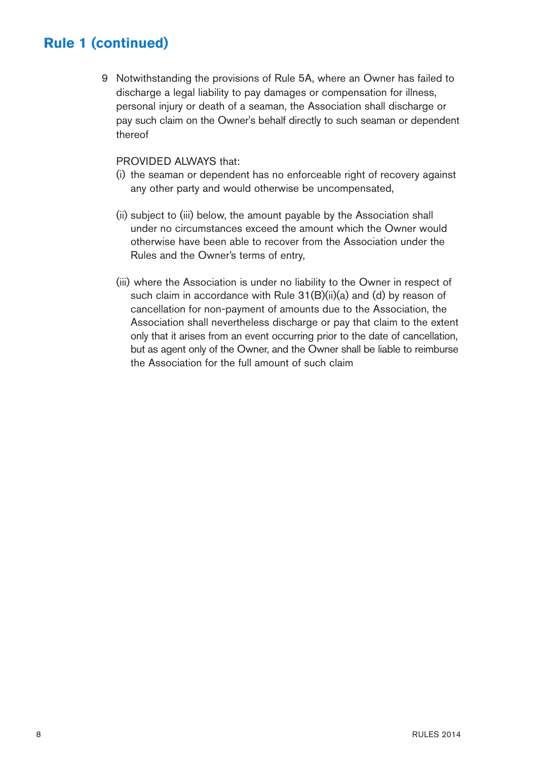9 Notwithstanding the provisions of Rule 5A, where an Owner has failed to discharge a legal liability to pay damages or compensation for illness, personal injury or death of a seaman, the Association shall discharge or pay such claim on the Owner's behalf directly to such seaman or dependent thereof

#### PROVIDED ALWAYS that:

- (i) the seaman or dependent has no enforceable right of recovery against any other party and would otherwise be uncompensated,
- (ii) subject to (iii) below, the amount payable by the Association shall under no circumstances exceed the amount which the Owner would otherwise have been able to recover from the Association under the Rules and the Owner's terms of entry,
- (iii) where the Association is under no liability to the Owner in respect of such claim in accordance with Rule 31(B)(ii)(a) and (d) by reason of cancellation for non-payment of amounts due to the Association, the Association shall nevertheless discharge or pay that claim to the extent only that it arises from an event occurring prior to the date of cancellation, but as agent only of the Owner, and the Owner shall be liable to reimburse the Association for the full amount of such claim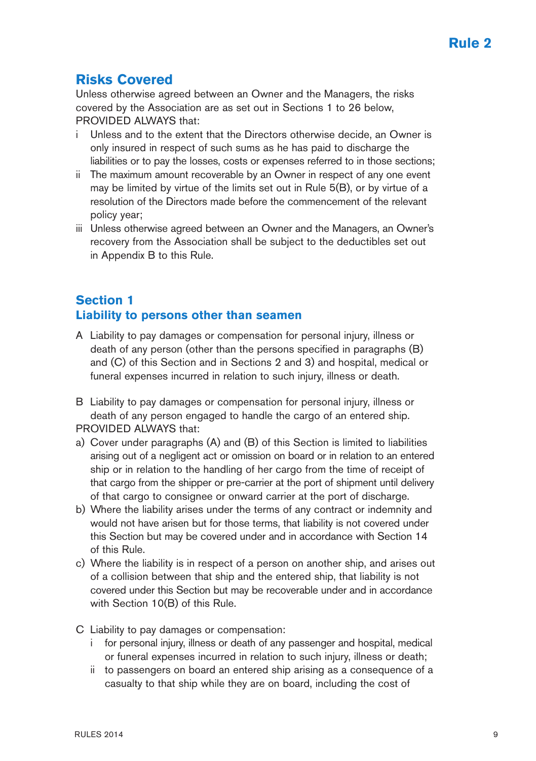## **Risks Covered**

Unless otherwise agreed between an Owner and the Managers, the risks covered by the Association are as set out in Sections 1 to 26 below, PROVIDED ALWAYS that:

- Unless and to the extent that the Directors otherwise decide, an Owner is only insured in respect of such sums as he has paid to discharge the liabilities or to pay the losses, costs or expenses referred to in those sections;
- ii The maximum amount recoverable by an Owner in respect of any one event may be limited by virtue of the limits set out in Rule 5(B), or by virtue of a resolution of the Directors made before the commencement of the relevant policy year;
- iii Unless otherwise agreed between an Owner and the Managers, an Owner's recovery from the Association shall be subject to the deductibles set out in Appendix B to this Rule.

## **Section 1 Liability to persons other than seamen**

- A Liability to pay damages or compensation for personal injury, illness or death of any person (other than the persons specified in paragraphs (B) and (C) of this Section and in Sections 2 and 3) and hospital, medical or funeral expenses incurred in relation to such injury, illness or death.
- B Liability to pay damages or compensation for personal injury, illness or death of any person engaged to handle the cargo of an entered ship. PROVIDED ALWAYS that:
- a) Cover under paragraphs (A) and (B) of this Section is limited to liabilities arising out of a negligent act or omission on board or in relation to an entered ship or in relation to the handling of her cargo from the time of receipt of that cargo from the shipper or pre-carrier at the port of shipment until delivery of that cargo to consignee or onward carrier at the port of discharge.
- b) Where the liability arises under the terms of any contract or indemnity and would not have arisen but for those terms, that liability is not covered under this Section but may be covered under and in accordance with Section 14 of this Rule.
- c) Where the liability is in respect of a person on another ship, and arises out of a collision between that ship and the entered ship, that liability is not covered under this Section but may be recoverable under and in accordance with Section 10(B) of this Rule.
- C Liability to pay damages or compensation:
	- for personal injury, illness or death of any passenger and hospital, medical or funeral expenses incurred in relation to such injury, illness or death;
	- ii to passengers on board an entered ship arising as a consequence of a casualty to that ship while they are on board, including the cost of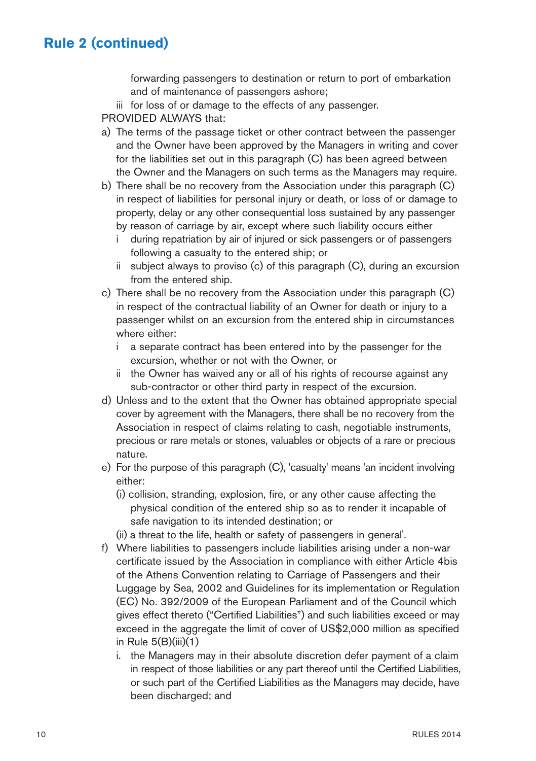forwarding passengers to destination or return to port of embarkation and of maintenance of passengers ashore;

iii for loss of or damage to the effects of any passenger.

PROVIDED AI WAYS that:

- a) The terms of the passage ticket or other contract between the passenger and the Owner have been approved by the Managers in writing and cover for the liabilities set out in this paragraph (C) has been agreed between the Owner and the Managers on such terms as the Managers may require.
- b) There shall be no recovery from the Association under this paragraph (C) in respect of liabilities for personal injury or death, or loss of or damage to property, delay or any other consequential loss sustained by any passenger by reason of carriage by air, except where such liability occurs either
	- i during repatriation by air of injured or sick passengers or of passengers following a casualty to the entered ship; or
	- ii subject always to proviso (c) of this paragraph (C), during an excursion from the entered ship.
- c) There shall be no recovery from the Association under this paragraph (C) in respect of the contractual liability of an Owner for death or injury to a passenger whilst on an excursion from the entered ship in circumstances where either:
	- i a separate contract has been entered into by the passenger for the excursion, whether or not with the Owner, or
	- ii the Owner has waived any or all of his rights of recourse against any sub-contractor or other third party in respect of the excursion.
- d) Unless and to the extent that the Owner has obtained appropriate special cover by agreement with the Managers, there shall be no recovery from the Association in respect of claims relating to cash, negotiable instruments, precious or rare metals or stones, valuables or objects of a rare or precious nature.
- e) For the purpose of this paragraph (C), 'casualty' means 'an incident involving either:
	- (i) collision, stranding, explosion, fire, or any other cause affecting the physical condition of the entered ship so as to render it incapable of safe navigation to its intended destination; or
	- (ii) a threat to the life, health or safety of passengers in general'.
- f) Where liabilities to passengers include liabilities arising under a non-war certificate issued by the Association in compliance with either Article 4bis of the Athens Convention relating to Carriage of Passengers and their Luggage by Sea, 2002 and Guidelines for its implementation or Regulation (EC) No. 392/2009 of the European Parliament and of the Council which gives effect thereto ("Certified Liabilities") and such liabilities exceed or may exceed in the aggregate the limit of cover of US\$2,000 million as specified in Rule  $5(B)(iii)(1)$ 
	- i. the Managers may in their absolute discretion defer payment of a claim in respect of those liabilities or any part thereof until the Certified Liabilities, or such part of the Certified Liabilities as the Managers may decide, have been discharged; and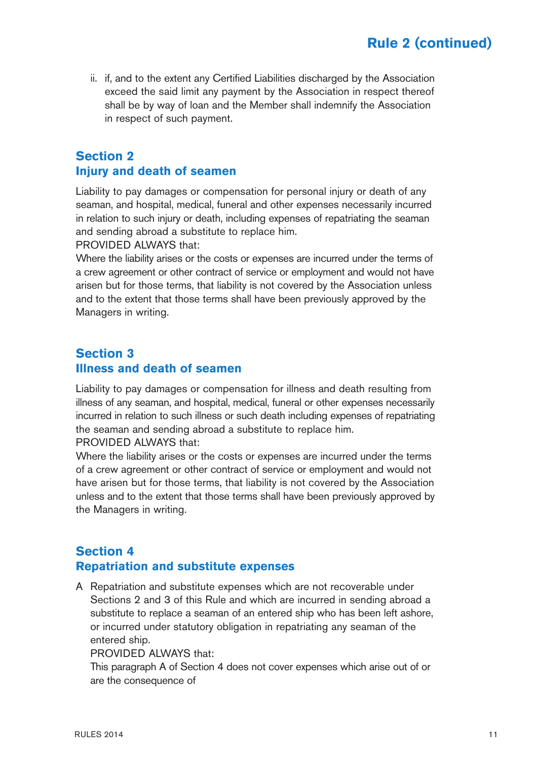ii. if, and to the extent any Certified Liabilities discharged by the Association exceed the said limit any payment by the Association in respect thereof shall be by way of loan and the Member shall indemnify the Association in respect of such payment.

## **Section 2 Injury and death of seamen**

Liability to pay damages or compensation for personal injury or death of any seaman, and hospital, medical, funeral and other expenses necessarily incurred in relation to such injury or death, including expenses of repatriating the seaman and sending abroad a substitute to replace him.

PROVIDED ALWAYS that:

Where the liability arises or the costs or expenses are incurred under the terms of a crew agreement or other contract of service or employment and would not have arisen but for those terms, that liability is not covered by the Association unless and to the extent that those terms shall have been previously approved by the Managers in writing.

### **Section 3 Illness and death of seamen**

Liability to pay damages or compensation for illness and death resulting from illness of any seaman, and hospital, medical, funeral or other expenses necessarily incurred in relation to such illness or such death including expenses of repatriating the seaman and sending abroad a substitute to replace him. PROVIDED ALWAYS that:

Where the liability arises or the costs or expenses are incurred under the terms of a crew agreement or other contract of service or employment and would not have arisen but for those terms, that liability is not covered by the Association unless and to the extent that those terms shall have been previously approved by the Managers in writing.

### **Section 4 Repatriation and substitute expenses**

A Repatriation and substitute expenses which are not recoverable under Sections 2 and 3 of this Rule and which are incurred in sending abroad a substitute to replace a seaman of an entered ship who has been left ashore, or incurred under statutory obligation in repatriating any seaman of the entered ship.

PROVIDED ALWAYS that:

This paragraph A of Section 4 does not cover expenses which arise out of or are the consequence of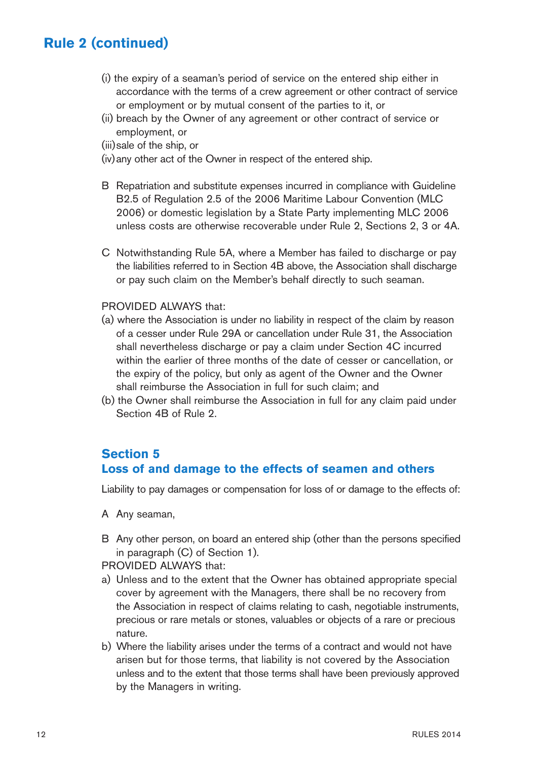- (i) the expiry of a seaman's period of service on the entered ship either in accordance with the terms of a crew agreement or other contract of service or employment or by mutual consent of the parties to it, or
- (ii) breach by the Owner of any agreement or other contract of service or employment, or
- (iii)sale of the ship, or
- (iv)any other act of the Owner in respect of the entered ship.
- B Repatriation and substitute expenses incurred in compliance with Guideline B2.5 of Regulation 2.5 of the 2006 Maritime Labour Convention (MLC 2006) or domestic legislation by a State Party implementing MLC 2006 unless costs are otherwise recoverable under Rule 2, Sections 2, 3 or 4A.
- C Notwithstanding Rule 5A, where a Member has failed to discharge or pay the liabilities referred to in Section 4B above, the Association shall discharge or pay such claim on the Member's behalf directly to such seaman.

#### PROVIDED ALWAYS that:

- (a) where the Association is under no liability in respect of the claim by reason of a cesser under Rule 29A or cancellation under Rule 31, the Association shall nevertheless discharge or pay a claim under Section 4C incurred within the earlier of three months of the date of cesser or cancellation, or the expiry of the policy, but only as agent of the Owner and the Owner shall reimburse the Association in full for such claim; and
- (b) the Owner shall reimburse the Association in full for any claim paid under Section 4B of Rule 2.

## **Section 5 Loss of and damage to the effects of seamen and others**

Liability to pay damages or compensation for loss of or damage to the effects of:

- A Any seaman,
- B Any other person, on board an entered ship (other than the persons specified in paragraph (C) of Section 1).

PROVIDED ALWAYS that:

- a) Unless and to the extent that the Owner has obtained appropriate special cover by agreement with the Managers, there shall be no recovery from the Association in respect of claims relating to cash, negotiable instruments, precious or rare metals or stones, valuables or objects of a rare or precious nature.
- b) Where the liability arises under the terms of a contract and would not have arisen but for those terms, that liability is not covered by the Association unless and to the extent that those terms shall have been previously approved by the Managers in writing.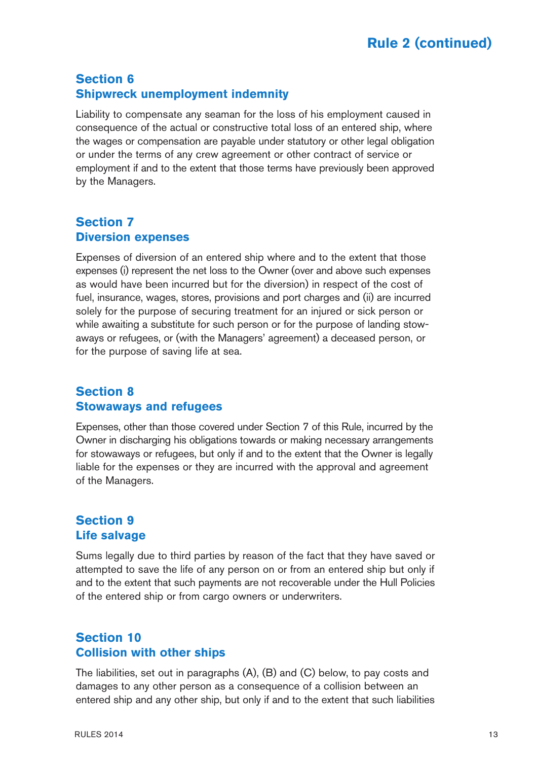## **Section 6 Shipwreck unemployment indemnity**

Liability to compensate any seaman for the loss of his employment caused in consequence of the actual or constructive total loss of an entered ship, where the wages or compensation are payable under statutory or other legal obligation or under the terms of any crew agreement or other contract of service or employment if and to the extent that those terms have previously been approved by the Managers.

## **Section 7 Diversion expenses**

Expenses of diversion of an entered ship where and to the extent that those expenses (i) represent the net loss to the Owner (over and above such expenses as would have been incurred but for the diversion) in respect of the cost of fuel, insurance, wages, stores, provisions and port charges and (ii) are incurred solely for the purpose of securing treatment for an injured or sick person or while awaiting a substitute for such person or for the purpose of landing stowaways or refugees, or (with the Managers' agreement) a deceased person, or for the purpose of saving life at sea.

### **Section 8 Stowaways and refugees**

Expenses, other than those covered under Section 7 of this Rule, incurred by the Owner in discharging his obligations towards or making necessary arrangements for stowaways or refugees, but only if and to the extent that the Owner is legally liable for the expenses or they are incurred with the approval and agreement of the Managers.

### **Section 9 Life salvage**

Sums legally due to third parties by reason of the fact that they have saved or attempted to save the life of any person on or from an entered ship but only if and to the extent that such payments are not recoverable under the Hull Policies of the entered ship or from cargo owners or underwriters.

### **Section 10 Collision with other ships**

The liabilities, set out in paragraphs (A), (B) and (C) below, to pay costs and damages to any other person as a consequence of a collision between an entered ship and any other ship, but only if and to the extent that such liabilities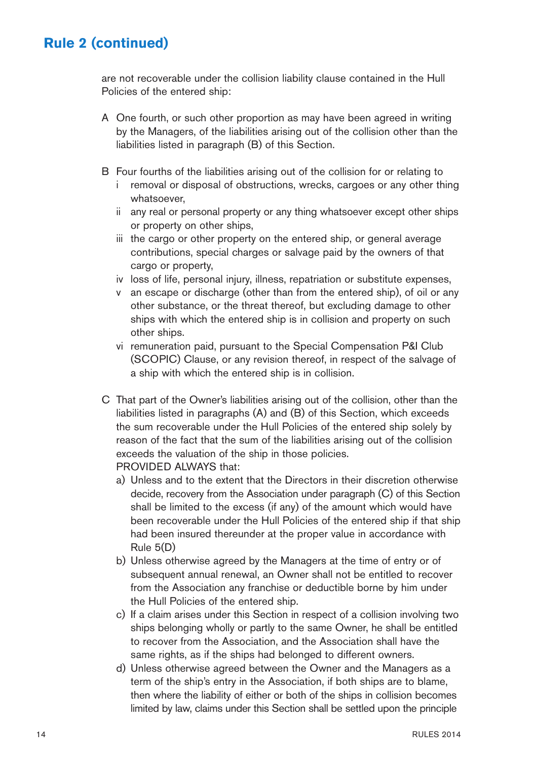are not recoverable under the collision liability clause contained in the Hull Policies of the entered ship:

- A One fourth, or such other proportion as may have been agreed in writing by the Managers, of the liabilities arising out of the collision other than the liabilities listed in paragraph (B) of this Section.
- B Four fourths of the liabilities arising out of the collision for or relating to
	- i removal or disposal of obstructions, wrecks, cargoes or any other thing whatsoever,
	- ii any real or personal property or any thing whatsoever except other ships or property on other ships,
	- iii the cargo or other property on the entered ship, or general average contributions, special charges or salvage paid by the owners of that cargo or property,
	- iv loss of life, personal injury, illness, repatriation or substitute expenses,
	- v an escape or discharge (other than from the entered ship), of oil or any other substance, or the threat thereof, but excluding damage to other ships with which the entered ship is in collision and property on such other ships.
	- vi remuneration paid, pursuant to the Special Compensation P&I Club (SCOPIC) Clause, or any revision thereof, in respect of the salvage of a ship with which the entered ship is in collision.
- C That part of the Owner's liabilities arising out of the collision, other than the liabilities listed in paragraphs (A) and (B) of this Section, which exceeds the sum recoverable under the Hull Policies of the entered ship solely by reason of the fact that the sum of the liabilities arising out of the collision exceeds the valuation of the ship in those policies. PROVIDED ALWAYS that:
	- a) Unless and to the extent that the Directors in their discretion otherwise decide, recovery from the Association under paragraph (C) of this Section shall be limited to the excess (if any) of the amount which would have been recoverable under the Hull Policies of the entered ship if that ship had been insured thereunder at the proper value in accordance with Rule 5(D)
	- b) Unless otherwise agreed by the Managers at the time of entry or of subsequent annual renewal, an Owner shall not be entitled to recover from the Association any franchise or deductible borne by him under the Hull Policies of the entered ship.
	- c) If a claim arises under this Section in respect of a collision involving two ships belonging wholly or partly to the same Owner, he shall be entitled to recover from the Association, and the Association shall have the same rights, as if the ships had belonged to different owners.
	- d) Unless otherwise agreed between the Owner and the Managers as a term of the ship's entry in the Association, if both ships are to blame, then where the liability of either or both of the ships in collision becomes limited by law, claims under this Section shall be settled upon the principle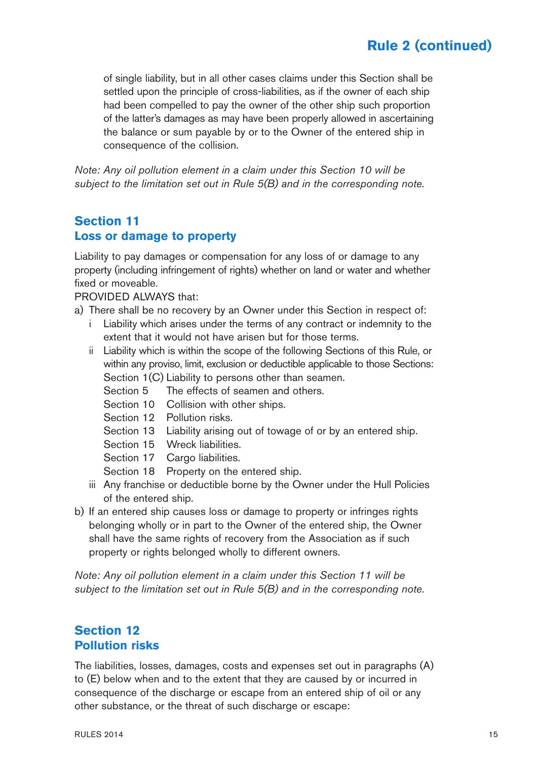of single liability, but in all other cases claims under this Section shall be settled upon the principle of cross-liabilities, as if the owner of each ship had been compelled to pay the owner of the other ship such proportion of the latter's damages as may have been properly allowed in ascertaining the balance or sum payable by or to the Owner of the entered ship in consequence of the collision.

*Note: Any oil pollution element in a claim under this Section 10 will be subject to the limitation set out in Rule 5(B) and in the corresponding note.*

### **Section 11 Loss or damage to property**

Liability to pay damages or compensation for any loss of or damage to any property (including infringement of rights) whether on land or water and whether fixed or moveable.

PROVIDED ALWAYS that:

- a) There shall be no recovery by an Owner under this Section in respect of:
	- i Liability which arises under the terms of any contract or indemnity to the extent that it would not have arisen but for those terms.
	- ii Liability which is within the scope of the following Sections of this Rule, or within any proviso, limit, exclusion or deductible applicable to those Sections: Section 1(C) Liability to persons other than seamen.
		- Section 5 The effects of seamen and others.
		- Section 10 Collision with other ships.
		- Section 12 Pollution risks.
		- Section 13 Liability arising out of towage of or by an entered ship.
		- Section 15 Wreck liabilities.
		- Section 17 Cargo liabilities.
		- Section 18 Property on the entered ship.
	- iii Any franchise or deductible borne by the Owner under the Hull Policies of the entered ship.
- b) If an entered ship causes loss or damage to property or infringes rights belonging wholly or in part to the Owner of the entered ship, the Owner shall have the same rights of recovery from the Association as if such property or rights belonged wholly to different owners.

*Note: Any oil pollution element in a claim under this Section 11 will be subject to the limitation set out in Rule 5(B) and in the corresponding note.*

### **Section 12 Pollution risks**

The liabilities, losses, damages, costs and expenses set out in paragraphs (A) to (E) below when and to the extent that they are caused by or incurred in consequence of the discharge or escape from an entered ship of oil or any other substance, or the threat of such discharge or escape: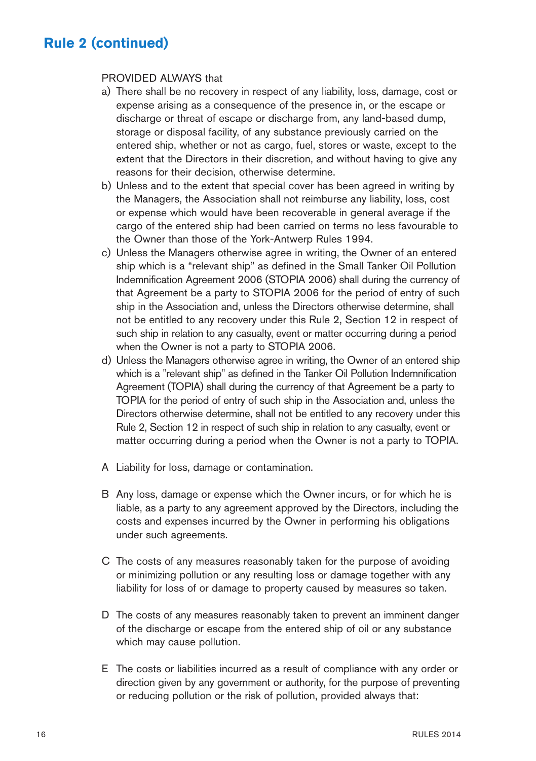#### PROVIDED ALWAYS that

- a) There shall be no recovery in respect of any liability, loss, damage, cost or expense arising as a consequence of the presence in, or the escape or discharge or threat of escape or discharge from, any land-based dump, storage or disposal facility, of any substance previously carried on the entered ship, whether or not as cargo, fuel, stores or waste, except to the extent that the Directors in their discretion, and without having to give any reasons for their decision, otherwise determine.
- b) Unless and to the extent that special cover has been agreed in writing by the Managers, the Association shall not reimburse any liability, loss, cost or expense which would have been recoverable in general average if the cargo of the entered ship had been carried on terms no less favourable to the Owner than those of the York-Antwerp Rules 1994.
- c) Unless the Managers otherwise agree in writing, the Owner of an entered ship which is a "relevant ship" as defined in the Small Tanker Oil Pollution Indemnification Agreement 2006 (STOPIA 2006) shall during the currency of that Agreement be a party to STOPIA 2006 for the period of entry of such ship in the Association and, unless the Directors otherwise determine, shall not be entitled to any recovery under this Rule 2, Section 12 in respect of such ship in relation to any casualty, event or matter occurring during a period when the Owner is not a party to STOPIA 2006.
- d) Unless the Managers otherwise agree in writing, the Owner of an entered ship which is a "relevant ship" as defined in the Tanker Oil Pollution Indemnification Agreement (TOPIA) shall during the currency of that Agreement be a party to TOPIA for the period of entry of such ship in the Association and, unless the Directors otherwise determine, shall not be entitled to any recovery under this Rule 2, Section 12 in respect of such ship in relation to any casualty, event or matter occurring during a period when the Owner is not a party to TOPIA.
- A Liability for loss, damage or contamination.
- B Any loss, damage or expense which the Owner incurs, or for which he is liable, as a party to any agreement approved by the Directors, including the costs and expenses incurred by the Owner in performing his obligations under such agreements.
- C The costs of any measures reasonably taken for the purpose of avoiding or minimizing pollution or any resulting loss or damage together with any liability for loss of or damage to property caused by measures so taken.
- D The costs of any measures reasonably taken to prevent an imminent danger of the discharge or escape from the entered ship of oil or any substance which may cause pollution.
- E The costs or liabilities incurred as a result of compliance with any order or direction given by any government or authority, for the purpose of preventing or reducing pollution or the risk of pollution, provided always that: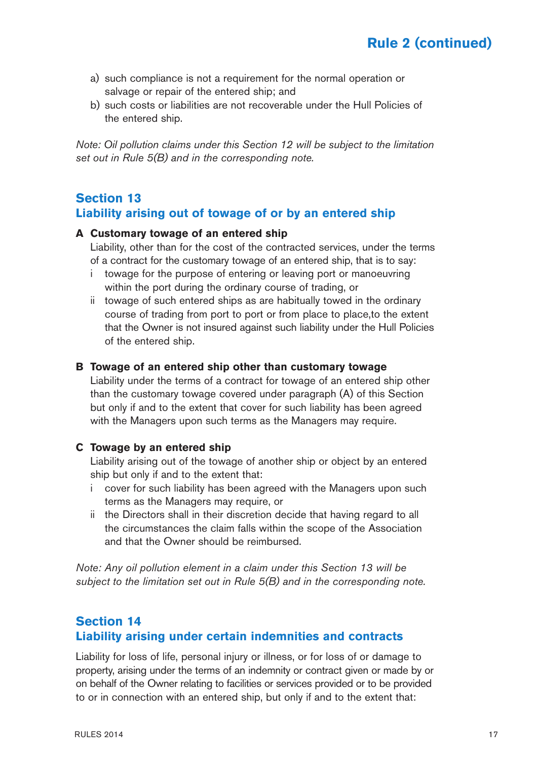- a) such compliance is not a requirement for the normal operation or salvage or repair of the entered ship; and
- b) such costs or liabilities are not recoverable under the Hull Policies of the entered ship.

*Note: Oil pollution claims under this Section 12 will be subject to the limitation set out in Rule 5(B) and in the corresponding note.*

### **Section 13 Liability arising out of towage of or by an entered ship**

#### **A Customary towage of an entered ship**

Liability, other than for the cost of the contracted services, under the terms of a contract for the customary towage of an entered ship, that is to say:

- i towage for the purpose of entering or leaving port or manoeuvring within the port during the ordinary course of trading, or
- ii towage of such entered ships as are habitually towed in the ordinary course of trading from port to port or from place to place,to the extent that the Owner is not insured against such liability under the Hull Policies of the entered ship.

#### **B Towage of an entered ship other than customary towage**

Liability under the terms of a contract for towage of an entered ship other than the customary towage covered under paragraph (A) of this Section but only if and to the extent that cover for such liability has been agreed with the Managers upon such terms as the Managers may require.

#### **C Towage by an entered ship**

Liability arising out of the towage of another ship or object by an entered ship but only if and to the extent that:

- i cover for such liability has been agreed with the Managers upon such terms as the Managers may require, or
- ii the Directors shall in their discretion decide that having regard to all the circumstances the claim falls within the scope of the Association and that the Owner should be reimbursed.

*Note: Any oil pollution element in a claim under this Section 13 will be subject to the limitation set out in Rule 5(B) and in the corresponding note.*

### **Section 14 Liability arising under certain indemnities and contracts**

Liability for loss of life, personal injury or illness, or for loss of or damage to property, arising under the terms of an indemnity or contract given or made by or on behalf of the Owner relating to facilities or services provided or to be provided to or in connection with an entered ship, but only if and to the extent that: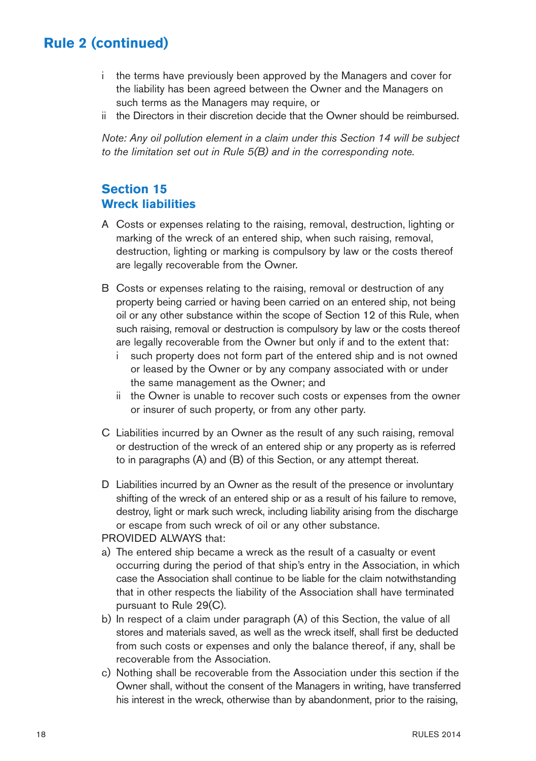- i the terms have previously been approved by the Managers and cover for the liability has been agreed between the Owner and the Managers on such terms as the Managers may require, or
- ii the Directors in their discretion decide that the Owner should be reimbursed.

*Note: Any oil pollution element in a claim under this Section 14 will be subject to the limitation set out in Rule 5(B) and in the corresponding note.*

## **Section 15 Wreck liabilities**

- A Costs or expenses relating to the raising, removal, destruction, lighting or marking of the wreck of an entered ship, when such raising, removal, destruction, lighting or marking is compulsory by law or the costs thereof are legally recoverable from the Owner.
- B Costs or expenses relating to the raising, removal or destruction of any property being carried or having been carried on an entered ship, not being oil or any other substance within the scope of Section 12 of this Rule, when such raising, removal or destruction is compulsory by law or the costs thereof are legally recoverable from the Owner but only if and to the extent that:
	- i such property does not form part of the entered ship and is not owned or leased by the Owner or by any company associated with or under the same management as the Owner; and
	- ii the Owner is unable to recover such costs or expenses from the owner or insurer of such property, or from any other party.
- C Liabilities incurred by an Owner as the result of any such raising, removal or destruction of the wreck of an entered ship or any property as is referred to in paragraphs (A) and (B) of this Section, or any attempt thereat.
- D Liabilities incurred by an Owner as the result of the presence or involuntary shifting of the wreck of an entered ship or as a result of his failure to remove, destroy, light or mark such wreck, including liability arising from the discharge or escape from such wreck of oil or any other substance.
- PROVIDED ALWAYS that:
- a) The entered ship became a wreck as the result of a casualty or event occurring during the period of that ship's entry in the Association, in which case the Association shall continue to be liable for the claim notwithstanding that in other respects the liability of the Association shall have terminated pursuant to Rule 29(C).
- b) In respect of a claim under paragraph (A) of this Section, the value of all stores and materials saved, as well as the wreck itself, shall first be deducted from such costs or expenses and only the balance thereof, if any, shall be recoverable from the Association.
- c) Nothing shall be recoverable from the Association under this section if the Owner shall, without the consent of the Managers in writing, have transferred his interest in the wreck, otherwise than by abandonment, prior to the raising,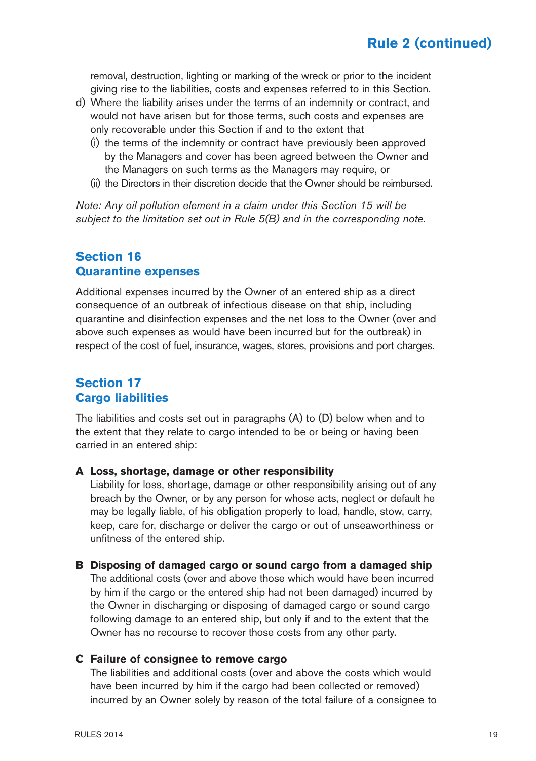removal, destruction, lighting or marking of the wreck or prior to the incident giving rise to the liabilities, costs and expenses referred to in this Section.

- d) Where the liability arises under the terms of an indemnity or contract, and would not have arisen but for those terms, such costs and expenses are only recoverable under this Section if and to the extent that
	- (i) the terms of the indemnity or contract have previously been approved by the Managers and cover has been agreed between the Owner and the Managers on such terms as the Managers may require, or
	- (ii) the Directors in their discretion decide that the Owner should be reimbursed.

*Note: Any oil pollution element in a claim under this Section 15 will be subject to the limitation set out in Rule 5(B) and in the corresponding note.*

### **Section 16 Quarantine expenses**

Additional expenses incurred by the Owner of an entered ship as a direct consequence of an outbreak of infectious disease on that ship, including quarantine and disinfection expenses and the net loss to the Owner (over and above such expenses as would have been incurred but for the outbreak) in respect of the cost of fuel, insurance, wages, stores, provisions and port charges.

### **Section 17 Cargo liabilities**

The liabilities and costs set out in paragraphs (A) to (D) below when and to the extent that they relate to cargo intended to be or being or having been carried in an entered ship:

#### **A Loss, shortage, damage or other responsibility**

Liability for loss, shortage, damage or other responsibility arising out of any breach by the Owner, or by any person for whose acts, neglect or default he may be legally liable, of his obligation properly to load, handle, stow, carry, keep, care for, discharge or deliver the cargo or out of unseaworthiness or unfitness of the entered ship.

#### **B Disposing of damaged cargo or sound cargo from a damaged ship**

The additional costs (over and above those which would have been incurred by him if the cargo or the entered ship had not been damaged) incurred by the Owner in discharging or disposing of damaged cargo or sound cargo following damage to an entered ship, but only if and to the extent that the Owner has no recourse to recover those costs from any other party.

#### **C Failure of consignee to remove cargo**

The liabilities and additional costs (over and above the costs which would have been incurred by him if the cargo had been collected or removed) incurred by an Owner solely by reason of the total failure of a consignee to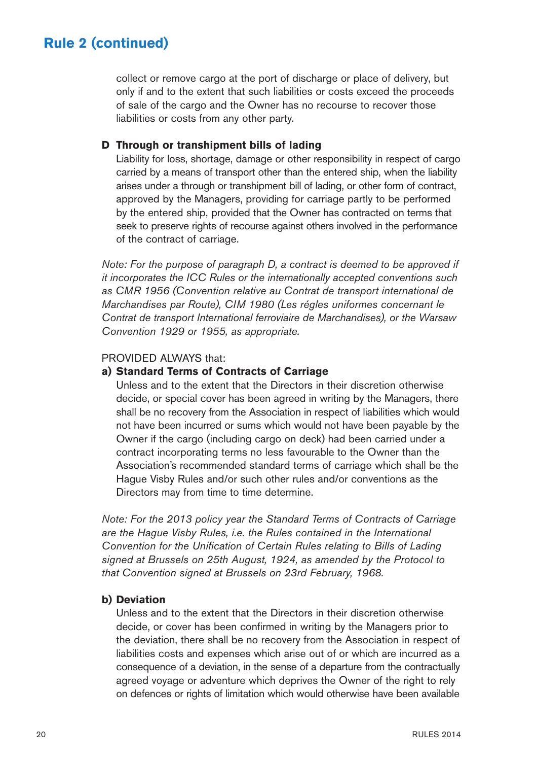collect or remove cargo at the port of discharge or place of delivery, but only if and to the extent that such liabilities or costs exceed the proceeds of sale of the cargo and the Owner has no recourse to recover those liabilities or costs from any other party.

#### **D Through or transhipment bills of lading**

Liability for loss, shortage, damage or other responsibility in respect of cargo carried by a means of transport other than the entered ship, when the liability arises under a through or transhipment bill of lading, or other form of contract, approved by the Managers, providing for carriage partly to be performed by the entered ship, provided that the Owner has contracted on terms that seek to preserve rights of recourse against others involved in the performance of the contract of carriage.

*Note: For the purpose of paragraph D, a contract is deemed to be approved if it incorporates the ICC Rules or the internationally accepted conventions such as CMR 1956 (Convention relative au Contrat de transport international de Marchandises par Route), CIM 1980 (Les régles uniformes concernant le Contrat de transport International ferroviaire de Marchandises), or the Warsaw Convention 1929 or 1955, as appropriate.*

#### PROVIDED ALWAYS that:

#### **a) Standard Terms of Contracts of Carriage**

Unless and to the extent that the Directors in their discretion otherwise decide, or special cover has been agreed in writing by the Managers, there shall be no recovery from the Association in respect of liabilities which would not have been incurred or sums which would not have been payable by the Owner if the cargo (including cargo on deck) had been carried under a contract incorporating terms no less favourable to the Owner than the Association's recommended standard terms of carriage which shall be the Hague Visby Rules and/or such other rules and/or conventions as the Directors may from time to time determine.

*Note: For the 2013 policy year the Standard Terms of Contracts of Carriage are the Hague Visby Rules, i.e. the Rules contained in the International Convention for the Unification of Certain Rules relating to Bills of Lading signed at Brussels on 25th August, 1924, as amended by the Protocol to that Convention signed at Brussels on 23rd February, 1968.*

#### **b) Deviation**

Unless and to the extent that the Directors in their discretion otherwise decide, or cover has been confirmed in writing by the Managers prior to the deviation, there shall be no recovery from the Association in respect of liabilities costs and expenses which arise out of or which are incurred as a consequence of a deviation, in the sense of a departure from the contractually agreed voyage or adventure which deprives the Owner of the right to rely on defences or rights of limitation which would otherwise have been available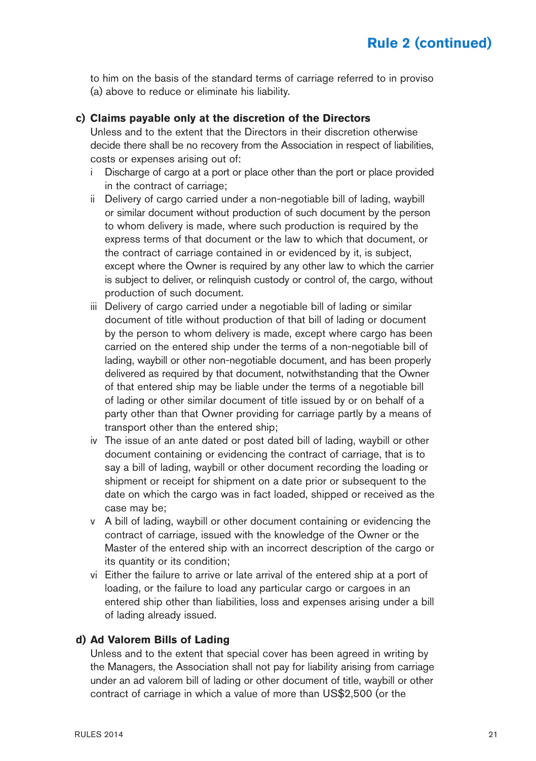to him on the basis of the standard terms of carriage referred to in proviso (a) above to reduce or eliminate his liability.

#### **c) Claims payable only at the discretion of the Directors**

Unless and to the extent that the Directors in their discretion otherwise decide there shall be no recovery from the Association in respect of liabilities, costs or expenses arising out of:

- i Discharge of cargo at a port or place other than the port or place provided in the contract of carriage;
- ii Delivery of cargo carried under a non-negotiable bill of lading, waybill or similar document without production of such document by the person to whom delivery is made, where such production is required by the express terms of that document or the law to which that document, or the contract of carriage contained in or evidenced by it, is subject, except where the Owner is required by any other law to which the carrier is subject to deliver, or relinquish custody or control of, the cargo, without production of such document.
- iii Delivery of cargo carried under a negotiable bill of lading or similar document of title without production of that bill of lading or document by the person to whom delivery is made, except where cargo has been carried on the entered ship under the terms of a non-negotiable bill of lading, waybill or other non-negotiable document, and has been properly delivered as required by that document, notwithstanding that the Owner of that entered ship may be liable under the terms of a negotiable bill of lading or other similar document of title issued by or on behalf of a party other than that Owner providing for carriage partly by a means of transport other than the entered ship;
- iv The issue of an ante dated or post dated bill of lading, waybill or other document containing or evidencing the contract of carriage, that is to say a bill of lading, waybill or other document recording the loading or shipment or receipt for shipment on a date prior or subsequent to the date on which the cargo was in fact loaded, shipped or received as the case may be;
- v A bill of lading, waybill or other document containing or evidencing the contract of carriage, issued with the knowledge of the Owner or the Master of the entered ship with an incorrect description of the cargo or its quantity or its condition;
- vi Either the failure to arrive or late arrival of the entered ship at a port of loading, or the failure to load any particular cargo or cargoes in an entered ship other than liabilities, loss and expenses arising under a bill of lading already issued.

#### **d) Ad Valorem Bills of Lading**

Unless and to the extent that special cover has been agreed in writing by the Managers, the Association shall not pay for liability arising from carriage under an ad valorem bill of lading or other document of title, waybill or other contract of carriage in which a value of more than US\$2,500 (or the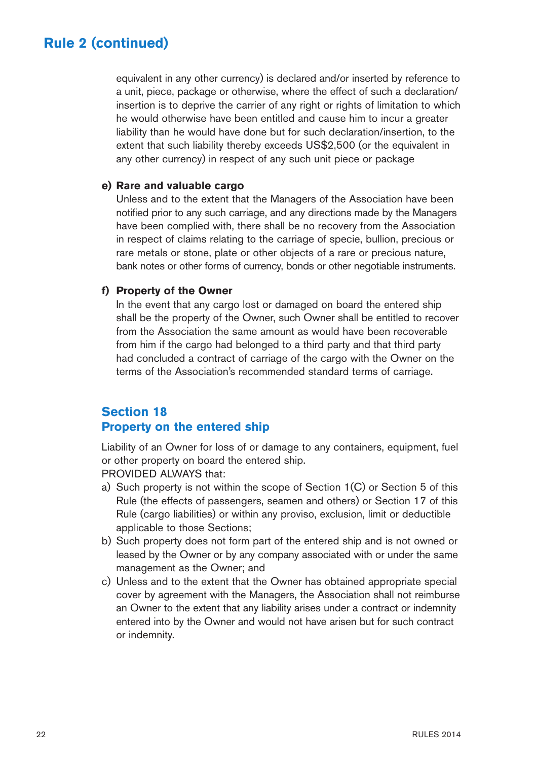equivalent in any other currency) is declared and/or inserted by reference to a unit, piece, package or otherwise, where the effect of such a declaration/ insertion is to deprive the carrier of any right or rights of limitation to which he would otherwise have been entitled and cause him to incur a greater liability than he would have done but for such declaration/insertion, to the extent that such liability thereby exceeds US\$2,500 (or the equivalent in any other currency) in respect of any such unit piece or package

#### **e) Rare and valuable cargo**

Unless and to the extent that the Managers of the Association have been notified prior to any such carriage, and any directions made by the Managers have been complied with, there shall be no recovery from the Association in respect of claims relating to the carriage of specie, bullion, precious or rare metals or stone, plate or other objects of a rare or precious nature, bank notes or other forms of currency, bonds or other negotiable instruments.

#### **f) Property of the Owner**

In the event that any cargo lost or damaged on board the entered ship shall be the property of the Owner, such Owner shall be entitled to recover from the Association the same amount as would have been recoverable from him if the cargo had belonged to a third party and that third party had concluded a contract of carriage of the cargo with the Owner on the terms of the Association's recommended standard terms of carriage.

## **Section 18 Property on the entered ship**

Liability of an Owner for loss of or damage to any containers, equipment, fuel or other property on board the entered ship.

PROVIDED ALWAYS that:

- a) Such property is not within the scope of Section 1(C) or Section 5 of this Rule (the effects of passengers, seamen and others) or Section 17 of this Rule (cargo liabilities) or within any proviso, exclusion, limit or deductible applicable to those Sections;
- b) Such property does not form part of the entered ship and is not owned or leased by the Owner or by any company associated with or under the same management as the Owner; and
- c) Unless and to the extent that the Owner has obtained appropriate special cover by agreement with the Managers, the Association shall not reimburse an Owner to the extent that any liability arises under a contract or indemnity entered into by the Owner and would not have arisen but for such contract or indemnity.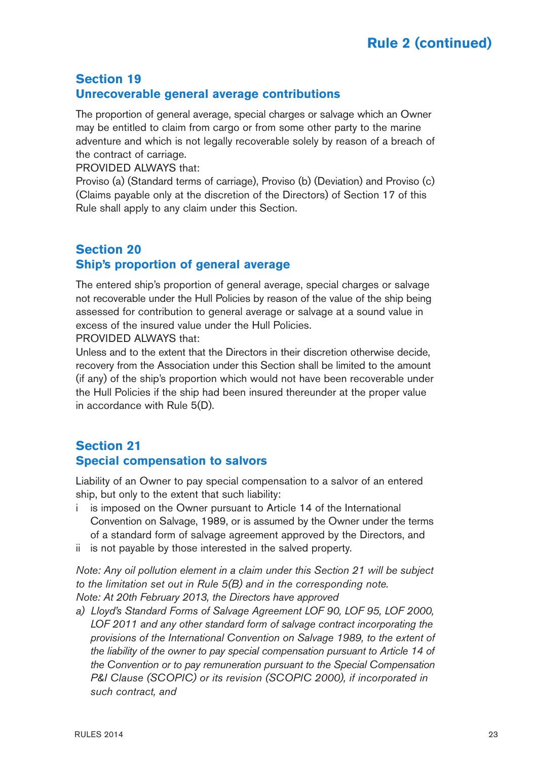## **Section 19 Unrecoverable general average contributions**

The proportion of general average, special charges or salvage which an Owner may be entitled to claim from cargo or from some other party to the marine adventure and which is not legally recoverable solely by reason of a breach of the contract of carriage.

PROVIDED ALWAYS that:

Proviso (a) (Standard terms of carriage), Proviso (b) (Deviation) and Proviso (c) (Claims payable only at the discretion of the Directors) of Section 17 of this Rule shall apply to any claim under this Section.

## **Section 20 Ship's proportion of general average**

The entered ship's proportion of general average, special charges or salvage not recoverable under the Hull Policies by reason of the value of the ship being assessed for contribution to general average or salvage at a sound value in excess of the insured value under the Hull Policies.

PROVIDED ALWAYS that:

Unless and to the extent that the Directors in their discretion otherwise decide, recovery from the Association under this Section shall be limited to the amount (if any) of the ship's proportion which would not have been recoverable under the Hull Policies if the ship had been insured thereunder at the proper value in accordance with Rule 5(D).

### **Section 21 Special compensation to salvors**

Liability of an Owner to pay special compensation to a salvor of an entered ship, but only to the extent that such liability:

- i is imposed on the Owner pursuant to Article 14 of the International Convention on Salvage, 1989, or is assumed by the Owner under the terms of a standard form of salvage agreement approved by the Directors, and
- ii is not payable by those interested in the salved property.

*Note: Any oil pollution element in a claim under this Section 21 will be subject to the limitation set out in Rule 5(B) and in the corresponding note. Note: At 20th February 2013, the Directors have approved* 

*a) Lloyd's Standard Forms of Salvage Agreement LOF 90, LOF 95, LOF 2000, LOF 2011 and any other standard form of salvage contract incorporating the provisions of the International Convention on Salvage 1989, to the extent of the liability of the owner to pay special compensation pursuant to Article 14 of the Convention or to pay remuneration pursuant to the Special Compensation P&I Clause (SCOPIC) or its revision (SCOPIC 2000), if incorporated in such contract, and*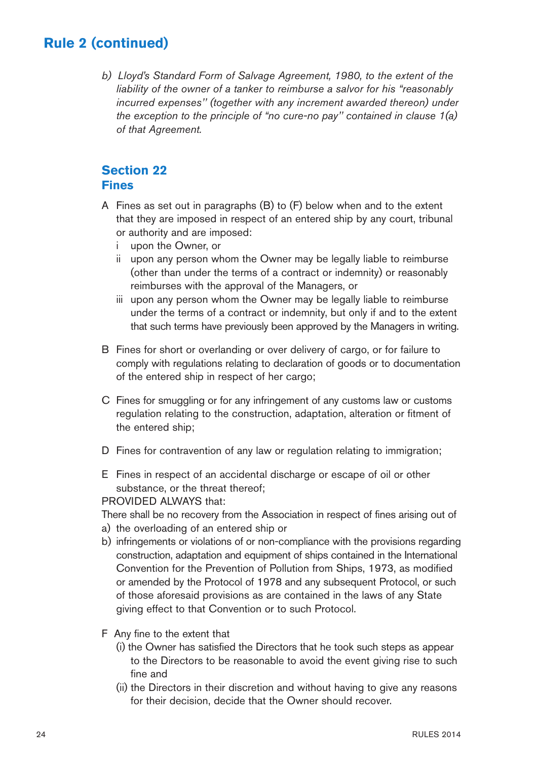*b) Lloyd's Standard Form of Salvage Agreement, 1980, to the extent of the liability of the owner of a tanker to reimburse a salvor for his "reasonably incurred expenses'' (together with any increment awarded thereon) under the exception to the principle of "no cure-no pay'' contained in clause 1(a) of that Agreement.* 

### **Section 22 Fines**

- A Fines as set out in paragraphs (B) to (F) below when and to the extent that they are imposed in respect of an entered ship by any court, tribunal or authority and are imposed:
	- i upon the Owner, or
	- ii upon any person whom the Owner may be legally liable to reimburse (other than under the terms of a contract or indemnity) or reasonably reimburses with the approval of the Managers, or
	- iii upon any person whom the Owner may be legally liable to reimburse under the terms of a contract or indemnity, but only if and to the extent that such terms have previously been approved by the Managers in writing.
- B Fines for short or overlanding or over delivery of cargo, or for failure to comply with regulations relating to declaration of goods or to documentation of the entered ship in respect of her cargo;
- C Fines for smuggling or for any infringement of any customs law or customs regulation relating to the construction, adaptation, alteration or fitment of the entered ship;
- D Fines for contravention of any law or regulation relating to immigration:
- E Fines in respect of an accidental discharge or escape of oil or other substance, or the threat thereof;

#### PROVIDED ALWAYS that:

There shall be no recovery from the Association in respect of fines arising out of

- a) the overloading of an entered ship or
- b) infringements or violations of or non-compliance with the provisions regarding construction, adaptation and equipment of ships contained in the International Convention for the Prevention of Pollution from Ships, 1973, as modified or amended by the Protocol of 1978 and any subsequent Protocol, or such of those aforesaid provisions as are contained in the laws of any State giving effect to that Convention or to such Protocol.
- F Any fine to the extent that
	- (i) the Owner has satisfied the Directors that he took such steps as appear to the Directors to be reasonable to avoid the event giving rise to such fine and
	- (ii) the Directors in their discretion and without having to give any reasons for their decision, decide that the Owner should recover.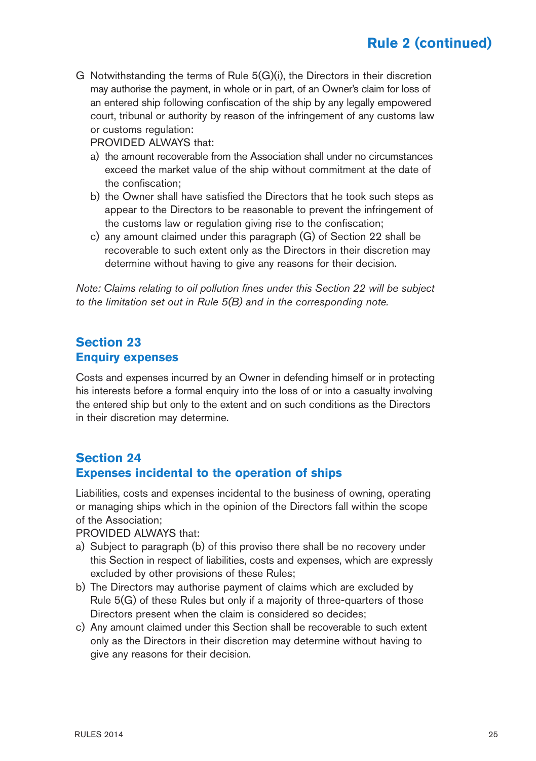G Notwithstanding the terms of Rule 5(G)(i), the Directors in their discretion may authorise the payment, in whole or in part, of an Owner's claim for loss of an entered ship following confiscation of the ship by any legally empowered court, tribunal or authority by reason of the infringement of any customs law or customs regulation:

PROVIDED ALWAYS that:

- a) the amount recoverable from the Association shall under no circumstances exceed the market value of the ship without commitment at the date of the confiscation;
- b) the Owner shall have satisfied the Directors that he took such steps as appear to the Directors to be reasonable to prevent the infringement of the customs law or regulation giving rise to the confiscation;
- c) any amount claimed under this paragraph (G) of Section 22 shall be recoverable to such extent only as the Directors in their discretion may determine without having to give any reasons for their decision.

*Note: Claims relating to oil pollution fines under this Section 22 will be subject to the limitation set out in Rule 5(B) and in the corresponding note.*

### **Section 23 Enquiry expenses**

Costs and expenses incurred by an Owner in defending himself or in protecting his interests before a formal enquiry into the loss of or into a casualty involving the entered ship but only to the extent and on such conditions as the Directors in their discretion may determine.

## **Section 24 Expenses incidental to the operation of ships**

Liabilities, costs and expenses incidental to the business of owning, operating or managing ships which in the opinion of the Directors fall within the scope of the Association;

PROVIDED ALWAYS that:

- a) Subject to paragraph (b) of this proviso there shall be no recovery under this Section in respect of liabilities, costs and expenses, which are expressly excluded by other provisions of these Rules;
- b) The Directors may authorise payment of claims which are excluded by Rule 5(G) of these Rules but only if a majority of three-quarters of those Directors present when the claim is considered so decides;
- c) Any amount claimed under this Section shall be recoverable to such extent only as the Directors in their discretion may determine without having to give any reasons for their decision.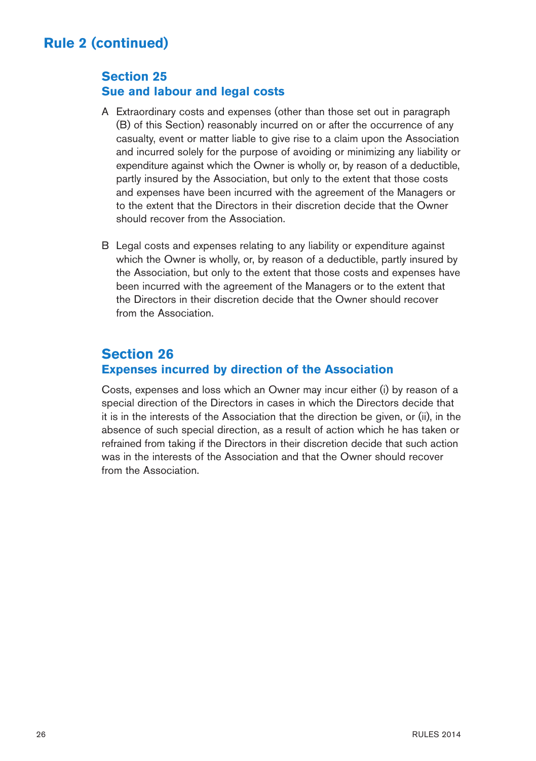### **Section 25 Sue and labour and legal costs**

- A Extraordinary costs and expenses (other than those set out in paragraph (B) of this Section) reasonably incurred on or after the occurrence of any casualty, event or matter liable to give rise to a claim upon the Association and incurred solely for the purpose of avoiding or minimizing any liability or expenditure against which the Owner is wholly or, by reason of a deductible, partly insured by the Association, but only to the extent that those costs and expenses have been incurred with the agreement of the Managers or to the extent that the Directors in their discretion decide that the Owner should recover from the Association.
- B Legal costs and expenses relating to any liability or expenditure against which the Owner is wholly, or, by reason of a deductible, partly insured by the Association, but only to the extent that those costs and expenses have been incurred with the agreement of the Managers or to the extent that the Directors in their discretion decide that the Owner should recover from the Association.

## **Section 26 Expenses incurred by direction of the Association**

Costs, expenses and loss which an Owner may incur either (i) by reason of a special direction of the Directors in cases in which the Directors decide that it is in the interests of the Association that the direction be given, or (ii), in the absence of such special direction, as a result of action which he has taken or refrained from taking if the Directors in their discretion decide that such action was in the interests of the Association and that the Owner should recover from the Association.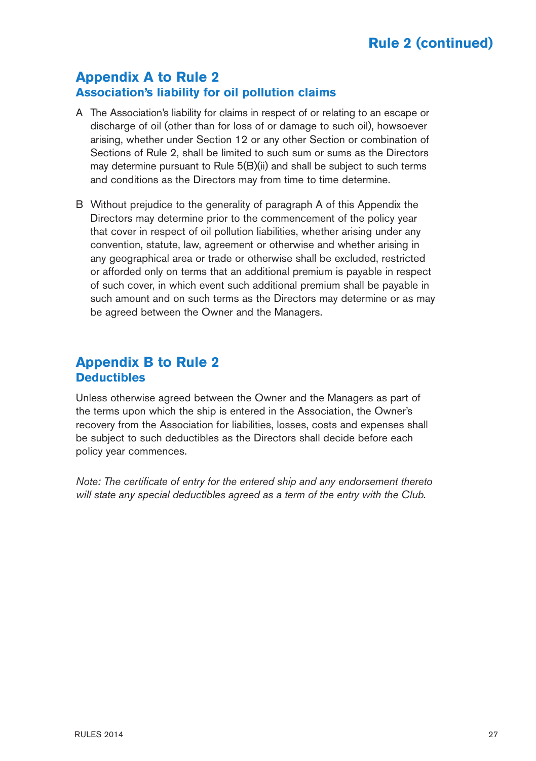## **Appendix A to Rule 2 Association's liability for oil pollution claims**

- A The Association's liability for claims in respect of or relating to an escape or discharge of oil (other than for loss of or damage to such oil), howsoever arising, whether under Section 12 or any other Section or combination of Sections of Rule 2, shall be limited to such sum or sums as the Directors may determine pursuant to Rule 5(B)(ii) and shall be subject to such terms and conditions as the Directors may from time to time determine.
- B Without prejudice to the generality of paragraph A of this Appendix the Directors may determine prior to the commencement of the policy year that cover in respect of oil pollution liabilities, whether arising under any convention, statute, law, agreement or otherwise and whether arising in any geographical area or trade or otherwise shall be excluded, restricted or afforded only on terms that an additional premium is payable in respect of such cover, in which event such additional premium shall be payable in such amount and on such terms as the Directors may determine or as may be agreed between the Owner and the Managers.

## **Appendix B to Rule 2 Deductibles**

Unless otherwise agreed between the Owner and the Managers as part of the terms upon which the ship is entered in the Association, the Owner's recovery from the Association for liabilities, losses, costs and expenses shall be subject to such deductibles as the Directors shall decide before each policy year commences.

*Note: The certificate of entry for the entered ship and any endorsement thereto will state any special deductibles agreed as a term of the entry with the Club.*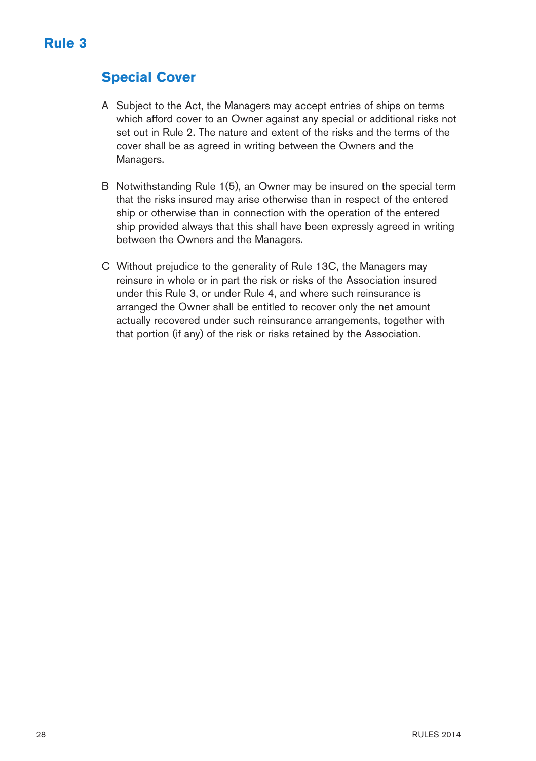# **Special Cover**

- A Subject to the Act, the Managers may accept entries of ships on terms which afford cover to an Owner against any special or additional risks not set out in Rule 2. The nature and extent of the risks and the terms of the cover shall be as agreed in writing between the Owners and the Managers.
- B Notwithstanding Rule 1(5), an Owner may be insured on the special term that the risks insured may arise otherwise than in respect of the entered ship or otherwise than in connection with the operation of the entered ship provided always that this shall have been expressly agreed in writing between the Owners and the Managers.
- C Without prejudice to the generality of Rule 13C, the Managers may reinsure in whole or in part the risk or risks of the Association insured under this Rule 3, or under Rule 4, and where such reinsurance is arranged the Owner shall be entitled to recover only the net amount actually recovered under such reinsurance arrangements, together with that portion (if any) of the risk or risks retained by the Association.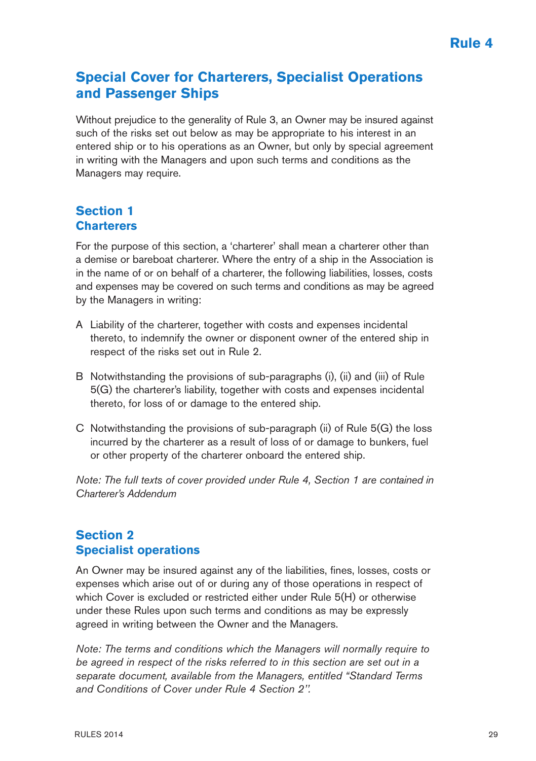## **Special Cover for Charterers, Specialist Operations and Passenger Ships**

Without prejudice to the generality of Rule 3, an Owner may be insured against such of the risks set out below as may be appropriate to his interest in an entered ship or to his operations as an Owner, but only by special agreement in writing with the Managers and upon such terms and conditions as the Managers may require.

## **Section 1 Charterers**

For the purpose of this section, a 'charterer' shall mean a charterer other than a demise or bareboat charterer. Where the entry of a ship in the Association is in the name of or on behalf of a charterer, the following liabilities, losses, costs and expenses may be covered on such terms and conditions as may be agreed by the Managers in writing:

- A Liability of the charterer, together with costs and expenses incidental thereto, to indemnify the owner or disponent owner of the entered ship in respect of the risks set out in Rule 2.
- B Notwithstanding the provisions of sub-paragraphs (i), (ii) and (iii) of Rule 5(G) the charterer's liability, together with costs and expenses incidental thereto, for loss of or damage to the entered ship.
- C Notwithstanding the provisions of sub-paragraph (ii) of Rule 5(G) the loss incurred by the charterer as a result of loss of or damage to bunkers, fuel or other property of the charterer onboard the entered ship.

*Note: The full texts of cover provided under Rule 4, Section 1 are contained in Charterer's Addendum*

## **Section 2 Specialist operations**

An Owner may be insured against any of the liabilities, fines, losses, costs or expenses which arise out of or during any of those operations in respect of which Cover is excluded or restricted either under Rule 5(H) or otherwise under these Rules upon such terms and conditions as may be expressly agreed in writing between the Owner and the Managers.

*Note: The terms and conditions which the Managers will normally require to be agreed in respect of the risks referred to in this section are set out in a separate document, available from the Managers, entitled "Standard Terms and Conditions of Cover under Rule 4 Section 2''.*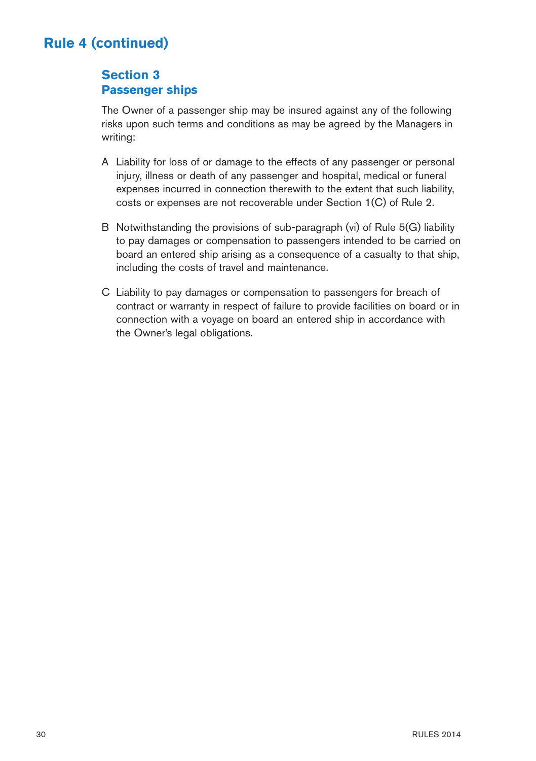## **Section 3 Passenger ships**

The Owner of a passenger ship may be insured against any of the following risks upon such terms and conditions as may be agreed by the Managers in writing:

- A Liability for loss of or damage to the effects of any passenger or personal injury, illness or death of any passenger and hospital, medical or funeral expenses incurred in connection therewith to the extent that such liability, costs or expenses are not recoverable under Section 1(C) of Rule 2.
- B Notwithstanding the provisions of sub-paragraph (vi) of Rule 5(G) liability to pay damages or compensation to passengers intended to be carried on board an entered ship arising as a consequence of a casualty to that ship, including the costs of travel and maintenance.
- C Liability to pay damages or compensation to passengers for breach of contract or warranty in respect of failure to provide facilities on board or in connection with a voyage on board an entered ship in accordance with the Owner's legal obligations.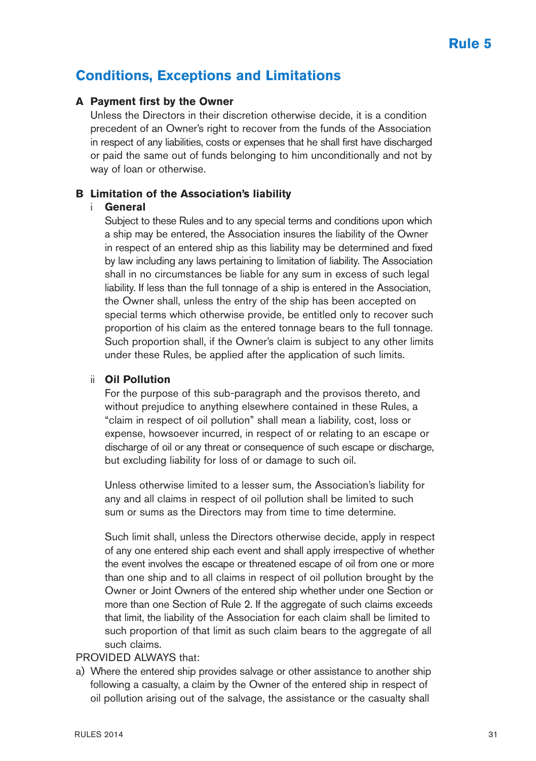## **Conditions, Exceptions and Limitations**

#### **A Payment first by the Owner**

Unless the Directors in their discretion otherwise decide, it is a condition precedent of an Owner's right to recover from the funds of the Association in respect of any liabilities, costs or expenses that he shall first have discharged or paid the same out of funds belonging to him unconditionally and not by way of loan or otherwise.

#### **B Limitation of the Association's liability**

#### i **General**

Subject to these Rules and to any special terms and conditions upon which a ship may be entered, the Association insures the liability of the Owner in respect of an entered ship as this liability may be determined and fixed by law including any laws pertaining to limitation of liability. The Association shall in no circumstances be liable for any sum in excess of such legal liability. If less than the full tonnage of a ship is entered in the Association, the Owner shall, unless the entry of the ship has been accepted on special terms which otherwise provide, be entitled only to recover such proportion of his claim as the entered tonnage bears to the full tonnage. Such proportion shall, if the Owner's claim is subject to any other limits under these Rules, be applied after the application of such limits.

#### ii **Oil Pollution**

For the purpose of this sub-paragraph and the provisos thereto, and without prejudice to anything elsewhere contained in these Rules, a "claim in respect of oil pollution" shall mean a liability, cost, loss or expense, howsoever incurred, in respect of or relating to an escape or discharge of oil or any threat or consequence of such escape or discharge, but excluding liability for loss of or damage to such oil.

Unless otherwise limited to a lesser sum, the Association's liability for any and all claims in respect of oil pollution shall be limited to such sum or sums as the Directors may from time to time determine.

Such limit shall, unless the Directors otherwise decide, apply in respect of any one entered ship each event and shall apply irrespective of whether the event involves the escape or threatened escape of oil from one or more than one ship and to all claims in respect of oil pollution brought by the Owner or Joint Owners of the entered ship whether under one Section or more than one Section of Rule 2. If the aggregate of such claims exceeds that limit, the liability of the Association for each claim shall be limited to such proportion of that limit as such claim bears to the aggregate of all such claims.

#### PROVIDED ALWAYS that:

a) Where the entered ship provides salvage or other assistance to another ship following a casualty, a claim by the Owner of the entered ship in respect of oil pollution arising out of the salvage, the assistance or the casualty shall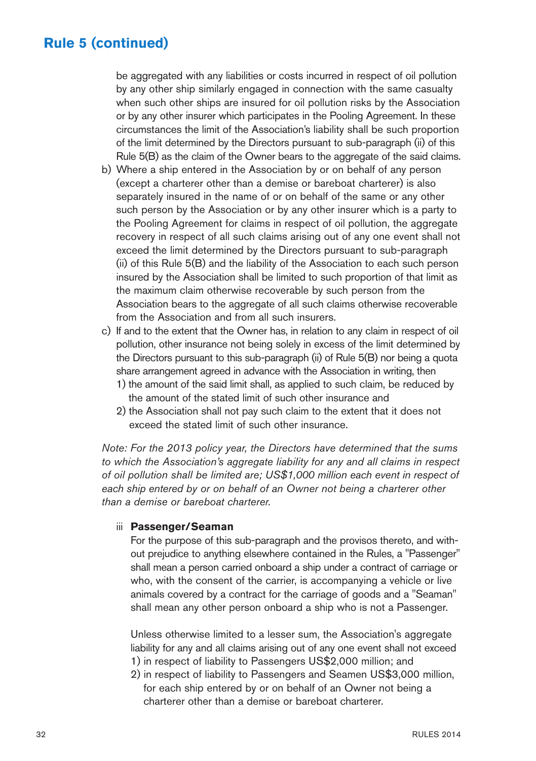be aggregated with any liabilities or costs incurred in respect of oil pollution by any other ship similarly engaged in connection with the same casualty when such other ships are insured for oil pollution risks by the Association or by any other insurer which participates in the Pooling Agreement. In these circumstances the limit of the Association's liability shall be such proportion of the limit determined by the Directors pursuant to sub-paragraph (ii) of this Rule 5(B) as the claim of the Owner bears to the aggregate of the said claims.

- b) Where a ship entered in the Association by or on behalf of any person (except a charterer other than a demise or bareboat charterer) is also separately insured in the name of or on behalf of the same or any other such person by the Association or by any other insurer which is a party to the Pooling Agreement for claims in respect of oil pollution, the aggregate recovery in respect of all such claims arising out of any one event shall not exceed the limit determined by the Directors pursuant to sub-paragraph (ii) of this Rule 5(B) and the liability of the Association to each such person insured by the Association shall be limited to such proportion of that limit as the maximum claim otherwise recoverable by such person from the Association bears to the aggregate of all such claims otherwise recoverable from the Association and from all such insurers.
- c) If and to the extent that the Owner has, in relation to any claim in respect of oil pollution, other insurance not being solely in excess of the limit determined by the Directors pursuant to this sub-paragraph (ii) of Rule 5(B) nor being a quota share arrangement agreed in advance with the Association in writing, then
	- 1) the amount of the said limit shall, as applied to such claim, be reduced by the amount of the stated limit of such other insurance and
	- 2) the Association shall not pay such claim to the extent that it does not exceed the stated limit of such other insurance.

*Note: For the 2013 policy year, the Directors have determined that the sums to which the Association's aggregate liability for any and all claims in respect of oil pollution shall be limited are; US\$1,000 million each event in respect of each ship entered by or on behalf of an Owner not being a charterer other than a demise or bareboat charterer.*

#### iii **Passenger/Seaman**

For the purpose of this sub-paragraph and the provisos thereto, and without prejudice to anything elsewhere contained in the Rules, a "Passenger" shall mean a person carried onboard a ship under a contract of carriage or who, with the consent of the carrier, is accompanying a vehicle or live animals covered by a contract for the carriage of goods and a "Seaman" shall mean any other person onboard a ship who is not a Passenger.

Unless otherwise limited to a lesser sum, the Association's aggregate liability for any and all claims arising out of any one event shall not exceed 1) in respect of liability to Passengers US\$2,000 million; and

2) in respect of liability to Passengers and Seamen US\$3,000 million, for each ship entered by or on behalf of an Owner not being a charterer other than a demise or bareboat charterer.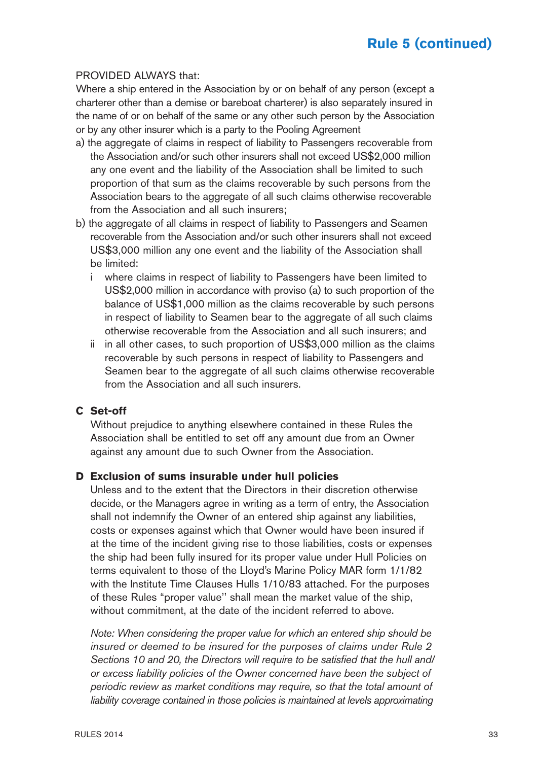#### PROVIDED ALWAYS that:

Where a ship entered in the Association by or on behalf of any person (except a charterer other than a demise or bareboat charterer) is also separately insured in the name of or on behalf of the same or any other such person by the Association or by any other insurer which is a party to the Pooling Agreement

- a) the aggregate of claims in respect of liability to Passengers recoverable from the Association and/or such other insurers shall not exceed US\$2,000 million any one event and the liability of the Association shall be limited to such proportion of that sum as the claims recoverable by such persons from the Association bears to the aggregate of all such claims otherwise recoverable from the Association and all such insurers;
- b) the aggregate of all claims in respect of liability to Passengers and Seamen recoverable from the Association and/or such other insurers shall not exceed US\$3,000 million any one event and the liability of the Association shall be limited:
	- i where claims in respect of liability to Passengers have been limited to US\$2,000 million in accordance with proviso (a) to such proportion of the balance of US\$1,000 million as the claims recoverable by such persons in respect of liability to Seamen bear to the aggregate of all such claims otherwise recoverable from the Association and all such insurers; and
	- ii in all other cases, to such proportion of US\$3,000 million as the claims recoverable by such persons in respect of liability to Passengers and Seamen bear to the aggregate of all such claims otherwise recoverable from the Association and all such insurers.

#### **C Set-off**

Without prejudice to anything elsewhere contained in these Rules the Association shall be entitled to set off any amount due from an Owner against any amount due to such Owner from the Association.

#### **D Exclusion of sums insurable under hull policies**

Unless and to the extent that the Directors in their discretion otherwise decide, or the Managers agree in writing as a term of entry, the Association shall not indemnify the Owner of an entered ship against any liabilities, costs or expenses against which that Owner would have been insured if at the time of the incident giving rise to those liabilities, costs or expenses the ship had been fully insured for its proper value under Hull Policies on terms equivalent to those of the Lloyd's Marine Policy MAR form 1/1/82 with the Institute Time Clauses Hulls 1/10/83 attached. For the purposes of these Rules "proper value'' shall mean the market value of the ship, without commitment, at the date of the incident referred to above.

*Note: When considering the proper value for which an entered ship should be insured or deemed to be insured for the purposes of claims under Rule 2 Sections 10 and 20, the Directors will require to be satisfied that the hull and/ or excess liability policies of the Owner concerned have been the subject of periodic review as market conditions may require, so that the total amount of liability coverage contained in those policies is maintained at levels approximating*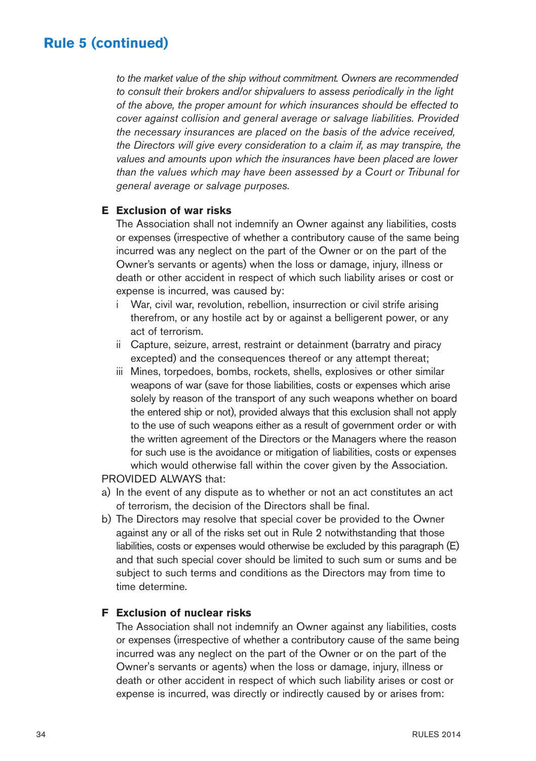*to the market value of the ship without commitment. Owners are recommended to consult their brokers and/or shipvaluers to assess periodically in the light of the above, the proper amount for which insurances should be effected to cover against collision and general average or salvage liabilities. Provided the necessary insurances are placed on the basis of the advice received, the Directors will give every consideration to a claim if, as may transpire, the values and amounts upon which the insurances have been placed are lower than the values which may have been assessed by a Court or Tribunal for general average or salvage purposes.*

#### **E Exclusion of war risks**

The Association shall not indemnify an Owner against any liabilities, costs or expenses (irrespective of whether a contributory cause of the same being incurred was any neglect on the part of the Owner or on the part of the Owner's servants or agents) when the loss or damage, injury, illness or death or other accident in respect of which such liability arises or cost or expense is incurred, was caused by:

- i War, civil war, revolution, rebellion, insurrection or civil strife arising therefrom, or any hostile act by or against a belligerent power, or any act of terrorism.
- ii Capture, seizure, arrest, restraint or detainment (barratry and piracy excepted) and the consequences thereof or any attempt thereat;
- iii Mines, torpedoes, bombs, rockets, shells, explosives or other similar weapons of war (save for those liabilities, costs or expenses which arise solely by reason of the transport of any such weapons whether on board the entered ship or not), provided always that this exclusion shall not apply to the use of such weapons either as a result of government order or with the written agreement of the Directors or the Managers where the reason for such use is the avoidance or mitigation of liabilities, costs or expenses which would otherwise fall within the cover given by the Association.

PROVIDED ALWAYS that:

- a) In the event of any dispute as to whether or not an act constitutes an act of terrorism, the decision of the Directors shall be final.
- b) The Directors may resolve that special cover be provided to the Owner against any or all of the risks set out in Rule 2 notwithstanding that those liabilities, costs or expenses would otherwise be excluded by this paragraph (E) and that such special cover should be limited to such sum or sums and be subject to such terms and conditions as the Directors may from time to time determine.

#### **F Exclusion of nuclear risks**

The Association shall not indemnify an Owner against any liabilities, costs or expenses (irrespective of whether a contributory cause of the same being incurred was any neglect on the part of the Owner or on the part of the Owner's servants or agents) when the loss or damage, injury, illness or death or other accident in respect of which such liability arises or cost or expense is incurred, was directly or indirectly caused by or arises from: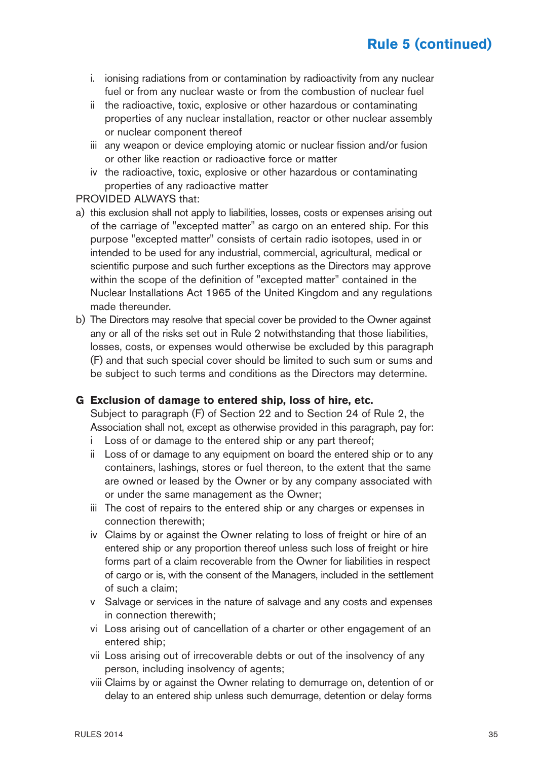- i. ionising radiations from or contamination by radioactivity from any nuclear fuel or from any nuclear waste or from the combustion of nuclear fuel
- ii the radioactive, toxic, explosive or other hazardous or contaminating properties of any nuclear installation, reactor or other nuclear assembly or nuclear component thereof
- iii any weapon or device employing atomic or nuclear fission and/or fusion or other like reaction or radioactive force or matter
- iv the radioactive, toxic, explosive or other hazardous or contaminating properties of any radioactive matter

#### PROVIDED ALWAYS that:

- a) this exclusion shall not apply to liabilities, losses, costs or expenses arising out of the carriage of "excepted matter" as cargo on an entered ship. For this purpose "excepted matter" consists of certain radio isotopes, used in or intended to be used for any industrial, commercial, agricultural, medical or scientific purpose and such further exceptions as the Directors may approve within the scope of the definition of "excepted matter" contained in the Nuclear Installations Act 1965 of the United Kingdom and any regulations made thereunder.
- b) The Directors may resolve that special cover be provided to the Owner against any or all of the risks set out in Rule 2 notwithstanding that those liabilities, losses, costs, or expenses would otherwise be excluded by this paragraph (F) and that such special cover should be limited to such sum or sums and be subject to such terms and conditions as the Directors may determine.

#### **G Exclusion of damage to entered ship, loss of hire, etc.**

Subject to paragraph (F) of Section 22 and to Section 24 of Rule 2, the Association shall not, except as otherwise provided in this paragraph, pay for:

- Loss of or damage to the entered ship or any part thereof;
- ii Loss of or damage to any equipment on board the entered ship or to any containers, lashings, stores or fuel thereon, to the extent that the same are owned or leased by the Owner or by any company associated with or under the same management as the Owner;
- iii The cost of repairs to the entered ship or any charges or expenses in connection therewith;
- iv Claims by or against the Owner relating to loss of freight or hire of an entered ship or any proportion thereof unless such loss of freight or hire forms part of a claim recoverable from the Owner for liabilities in respect of cargo or is, with the consent of the Managers, included in the settlement of such a claim;
- v Salvage or services in the nature of salvage and any costs and expenses in connection therewith;
- vi Loss arising out of cancellation of a charter or other engagement of an entered ship;
- vii Loss arising out of irrecoverable debts or out of the insolvency of any person, including insolvency of agents;
- viii Claims by or against the Owner relating to demurrage on, detention of or delay to an entered ship unless such demurrage, detention or delay forms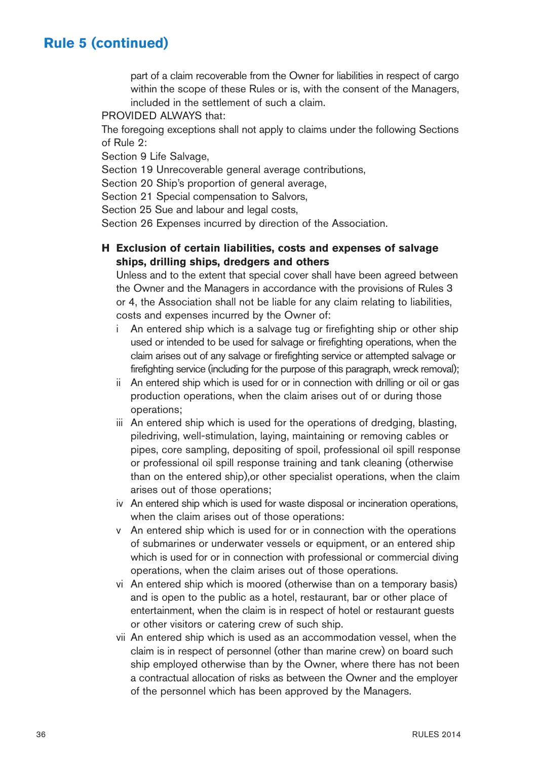part of a claim recoverable from the Owner for liabilities in respect of cargo within the scope of these Rules or is, with the consent of the Managers, included in the settlement of such a claim.

#### PROVIDED ALWAYS that:

The foregoing exceptions shall not apply to claims under the following Sections of Rule 2:

Section 9 Life Salvage,

Section 19 Unrecoverable general average contributions,

Section 20 Ship's proportion of general average,

Section 21 Special compensation to Salvors,

Section 25 Sue and labour and legal costs,

Section 26 Expenses incurred by direction of the Association.

#### **H Exclusion of certain liabilities, costs and expenses of salvage ships, drilling ships, dredgers and others**

Unless and to the extent that special cover shall have been agreed between the Owner and the Managers in accordance with the provisions of Rules 3 or 4, the Association shall not be liable for any claim relating to liabilities, costs and expenses incurred by the Owner of:

- i An entered ship which is a salvage tug or firefighting ship or other ship used or intended to be used for salvage or firefighting operations, when the claim arises out of any salvage or firefighting service or attempted salvage or firefighting service (including for the purpose of this paragraph, wreck removal);
- ii An entered ship which is used for or in connection with drilling or oil or gas production operations, when the claim arises out of or during those operations;
- iii An entered ship which is used for the operations of dredging, blasting, piledriving, well-stimulation, laying, maintaining or removing cables or pipes, core sampling, depositing of spoil, professional oil spill response or professional oil spill response training and tank cleaning (otherwise than on the entered ship),or other specialist operations, when the claim arises out of those operations;
- iv An entered ship which is used for waste disposal or incineration operations, when the claim arises out of those operations:
- v An entered ship which is used for or in connection with the operations of submarines or underwater vessels or equipment, or an entered ship which is used for or in connection with professional or commercial diving operations, when the claim arises out of those operations.
- vi An entered ship which is moored (otherwise than on a temporary basis) and is open to the public as a hotel, restaurant, bar or other place of entertainment, when the claim is in respect of hotel or restaurant guests or other visitors or catering crew of such ship.
- vii An entered ship which is used as an accommodation vessel, when the claim is in respect of personnel (other than marine crew) on board such ship employed otherwise than by the Owner, where there has not been a contractual allocation of risks as between the Owner and the employer of the personnel which has been approved by the Managers.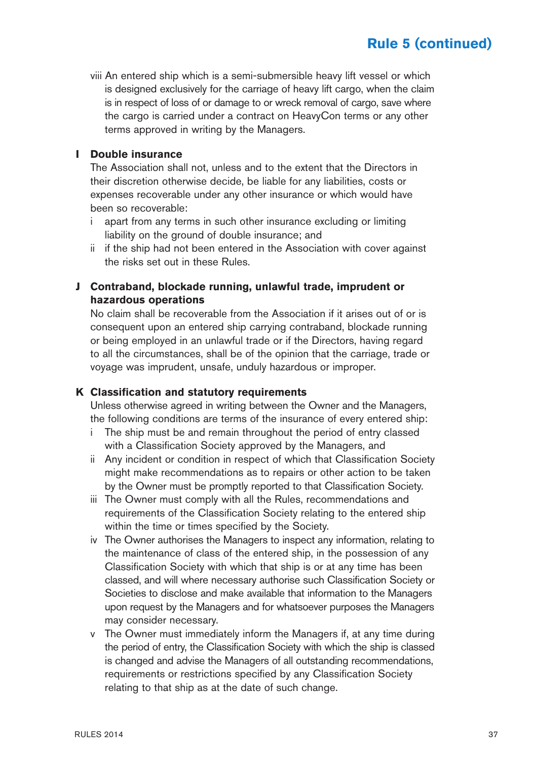viii An entered ship which is a semi-submersible heavy lift vessel or which is designed exclusively for the carriage of heavy lift cargo, when the claim is in respect of loss of or damage to or wreck removal of cargo, save where the cargo is carried under a contract on HeavyCon terms or any other terms approved in writing by the Managers.

#### **I Double insurance**

The Association shall not, unless and to the extent that the Directors in their discretion otherwise decide, be liable for any liabilities, costs or expenses recoverable under any other insurance or which would have been so recoverable:

- i apart from any terms in such other insurance excluding or limiting liability on the ground of double insurance; and
- ii if the ship had not been entered in the Association with cover against the risks set out in these Rules.

#### **J Contraband, blockade running, unlawful trade, imprudent or hazardous operations**

No claim shall be recoverable from the Association if it arises out of or is consequent upon an entered ship carrying contraband, blockade running or being employed in an unlawful trade or if the Directors, having regard to all the circumstances, shall be of the opinion that the carriage, trade or voyage was imprudent, unsafe, unduly hazardous or improper.

#### **K Classification and statutory requirements**

Unless otherwise agreed in writing between the Owner and the Managers, the following conditions are terms of the insurance of every entered ship:

- i The ship must be and remain throughout the period of entry classed with a Classification Society approved by the Managers, and
- ii Any incident or condition in respect of which that Classification Society might make recommendations as to repairs or other action to be taken by the Owner must be promptly reported to that Classification Society.
- iii The Owner must comply with all the Rules, recommendations and requirements of the Classification Society relating to the entered ship within the time or times specified by the Society.
- iv The Owner authorises the Managers to inspect any information, relating to the maintenance of class of the entered ship, in the possession of any Classification Society with which that ship is or at any time has been classed, and will where necessary authorise such Classification Society or Societies to disclose and make available that information to the Managers upon request by the Managers and for whatsoever purposes the Managers may consider necessary.
- v The Owner must immediately inform the Managers if, at any time during the period of entry, the Classification Society with which the ship is classed is changed and advise the Managers of all outstanding recommendations, requirements or restrictions specified by any Classification Society relating to that ship as at the date of such change.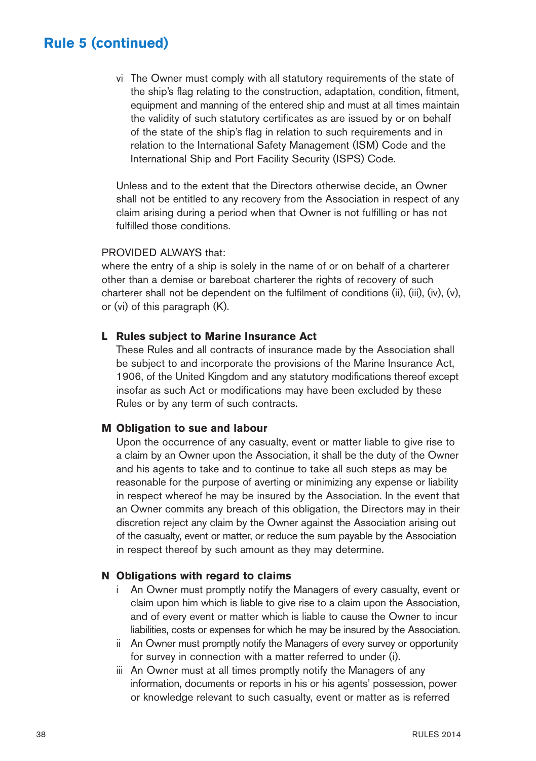vi The Owner must comply with all statutory requirements of the state of the ship's flag relating to the construction, adaptation, condition, fitment, equipment and manning of the entered ship and must at all times maintain the validity of such statutory certificates as are issued by or on behalf of the state of the ship's flag in relation to such requirements and in relation to the International Safety Management (ISM) Code and the International Ship and Port Facility Security (ISPS) Code.

Unless and to the extent that the Directors otherwise decide, an Owner shall not be entitled to any recovery from the Association in respect of any claim arising during a period when that Owner is not fulfilling or has not fulfilled those conditions.

#### PROVIDED AI WAYS that:

where the entry of a ship is solely in the name of or on behalf of a charterer other than a demise or bareboat charterer the rights of recovery of such charterer shall not be dependent on the fulfilment of conditions (ii), (iii), (iv), (v), or (vi) of this paragraph (K).

#### **L Rules subject to Marine Insurance Act**

These Rules and all contracts of insurance made by the Association shall be subject to and incorporate the provisions of the Marine Insurance Act, 1906, of the United Kingdom and any statutory modifications thereof except insofar as such Act or modifications may have been excluded by these Rules or by any term of such contracts.

#### **M Obligation to sue and labour**

Upon the occurrence of any casualty, event or matter liable to give rise to a claim by an Owner upon the Association, it shall be the duty of the Owner and his agents to take and to continue to take all such steps as may be reasonable for the purpose of averting or minimizing any expense or liability in respect whereof he may be insured by the Association. In the event that an Owner commits any breach of this obligation, the Directors may in their discretion reject any claim by the Owner against the Association arising out of the casualty, event or matter, or reduce the sum payable by the Association in respect thereof by such amount as they may determine.

#### **N Obligations with regard to claims**

- i An Owner must promptly notify the Managers of every casualty, event or claim upon him which is liable to give rise to a claim upon the Association, and of every event or matter which is liable to cause the Owner to incur liabilities, costs or expenses for which he may be insured by the Association.
- ii An Owner must promptly notify the Managers of every survey or opportunity for survey in connection with a matter referred to under (i).
- iii An Owner must at all times promptly notify the Managers of any information, documents or reports in his or his agents' possession, power or knowledge relevant to such casualty, event or matter as is referred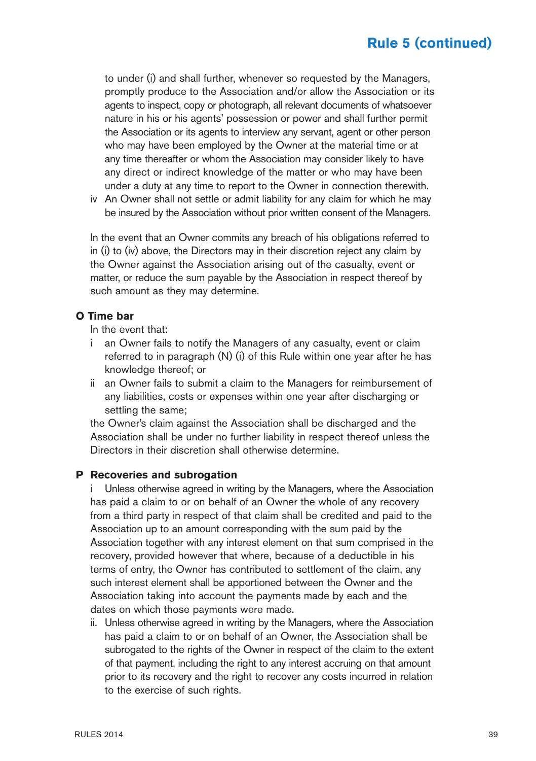to under (i) and shall further, whenever so requested by the Managers, promptly produce to the Association and/or allow the Association or its agents to inspect, copy or photograph, all relevant documents of whatsoever nature in his or his agents' possession or power and shall further permit the Association or its agents to interview any servant, agent or other person who may have been employed by the Owner at the material time or at any time thereafter or whom the Association may consider likely to have any direct or indirect knowledge of the matter or who may have been under a duty at any time to report to the Owner in connection therewith.

iv An Owner shall not settle or admit liability for any claim for which he may be insured by the Association without prior written consent of the Managers.

In the event that an Owner commits any breach of his obligations referred to in (i) to (iv) above, the Directors may in their discretion reject any claim by the Owner against the Association arising out of the casualty, event or matter, or reduce the sum payable by the Association in respect thereof by such amount as they may determine.

#### **O Time bar**

In the event that:

- i an Owner fails to notify the Managers of any casualty, event or claim referred to in paragraph (N) (i) of this Rule within one year after he has knowledge thereof; or
- ii an Owner fails to submit a claim to the Managers for reimbursement of any liabilities, costs or expenses within one year after discharging or settling the same;

the Owner's claim against the Association shall be discharged and the Association shall be under no further liability in respect thereof unless the Directors in their discretion shall otherwise determine.

#### **P Recoveries and subrogation**

Unless otherwise agreed in writing by the Managers, where the Association has paid a claim to or on behalf of an Owner the whole of any recovery from a third party in respect of that claim shall be credited and paid to the Association up to an amount corresponding with the sum paid by the Association together with any interest element on that sum comprised in the recovery, provided however that where, because of a deductible in his terms of entry, the Owner has contributed to settlement of the claim, any such interest element shall be apportioned between the Owner and the Association taking into account the payments made by each and the dates on which those payments were made.

ii. Unless otherwise agreed in writing by the Managers, where the Association has paid a claim to or on behalf of an Owner, the Association shall be subrogated to the rights of the Owner in respect of the claim to the extent of that payment, including the right to any interest accruing on that amount prior to its recovery and the right to recover any costs incurred in relation to the exercise of such rights.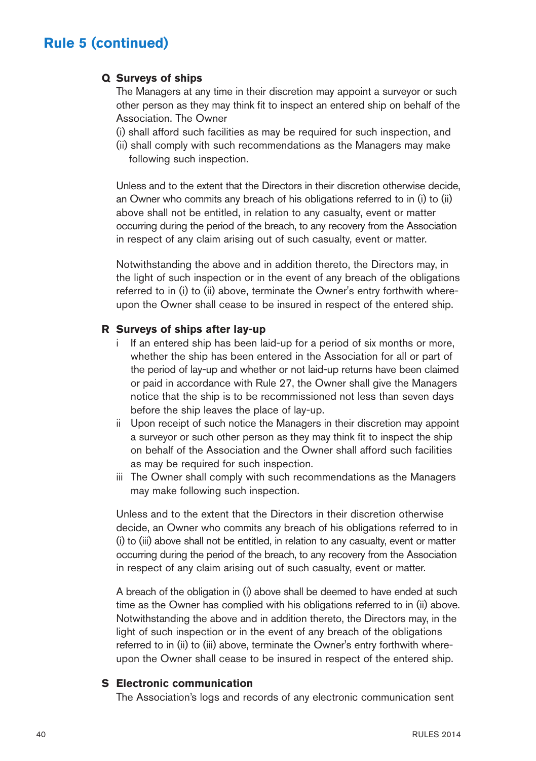#### **Q Surveys of ships**

The Managers at any time in their discretion may appoint a surveyor or such other person as they may think fit to inspect an entered ship on behalf of the Association. The Owner

- (i) shall afford such facilities as may be required for such inspection, and
- (ii) shall comply with such recommendations as the Managers may make following such inspection.

Unless and to the extent that the Directors in their discretion otherwise decide, an Owner who commits any breach of his obligations referred to in (i) to (ii) above shall not be entitled, in relation to any casualty, event or matter occurring during the period of the breach, to any recovery from the Association in respect of any claim arising out of such casualty, event or matter.

Notwithstanding the above and in addition thereto, the Directors may, in the light of such inspection or in the event of any breach of the obligations referred to in (i) to (ii) above, terminate the Owner's entry forthwith whereupon the Owner shall cease to be insured in respect of the entered ship.

#### **R Surveys of ships after lay-up**

- i If an entered ship has been laid-up for a period of six months or more, whether the ship has been entered in the Association for all or part of the period of lay-up and whether or not laid-up returns have been claimed or paid in accordance with Rule 27, the Owner shall give the Managers notice that the ship is to be recommissioned not less than seven days before the ship leaves the place of lay-up.
- ii Upon receipt of such notice the Managers in their discretion may appoint a surveyor or such other person as they may think fit to inspect the ship on behalf of the Association and the Owner shall afford such facilities as may be required for such inspection.
- iii The Owner shall comply with such recommendations as the Managers may make following such inspection.

Unless and to the extent that the Directors in their discretion otherwise decide, an Owner who commits any breach of his obligations referred to in (i) to (iii) above shall not be entitled, in relation to any casualty, event or matter occurring during the period of the breach, to any recovery from the Association in respect of any claim arising out of such casualty, event or matter.

A breach of the obligation in (i) above shall be deemed to have ended at such time as the Owner has complied with his obligations referred to in (ii) above. Notwithstanding the above and in addition thereto, the Directors may, in the light of such inspection or in the event of any breach of the obligations referred to in (ii) to (iii) above, terminate the Owner's entry forthwith whereupon the Owner shall cease to be insured in respect of the entered ship.

#### **S Electronic communication**

The Association's logs and records of any electronic communication sent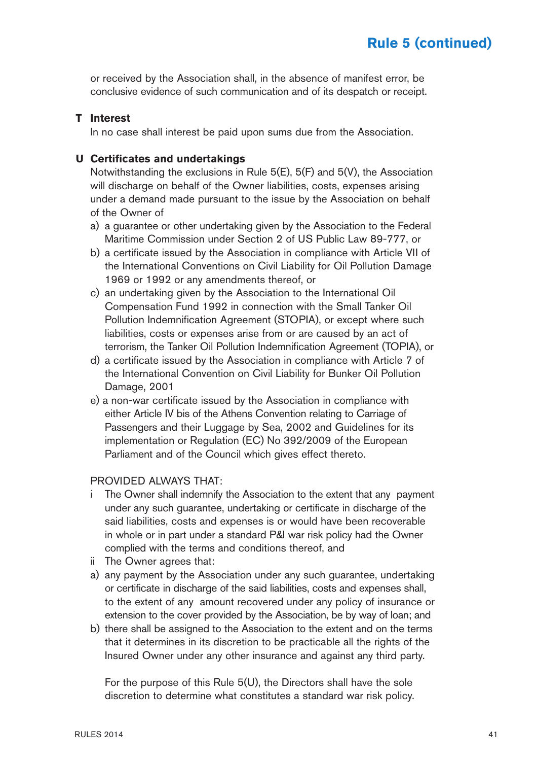or received by the Association shall, in the absence of manifest error, be conclusive evidence of such communication and of its despatch or receipt.

#### **T Interest**

In no case shall interest be paid upon sums due from the Association.

#### **U Certificates and undertakings**

Notwithstanding the exclusions in Rule 5(E), 5(F) and 5(V), the Association will discharge on behalf of the Owner liabilities, costs, expenses arising under a demand made pursuant to the issue by the Association on behalf of the Owner of

- a) a guarantee or other undertaking given by the Association to the Federal Maritime Commission under Section 2 of US Public Law 89-777, or
- b) a certificate issued by the Association in compliance with Article VII of the International Conventions on Civil Liability for Oil Pollution Damage 1969 or 1992 or any amendments thereof, or
- c) an undertaking given by the Association to the International Oil Compensation Fund 1992 in connection with the Small Tanker Oil Pollution Indemnification Agreement (STOPIA), or except where such liabilities, costs or expenses arise from or are caused by an act of terrorism, the Tanker Oil Pollution Indemnification Agreement (TOPIA), or
- d) a certificate issued by the Association in compliance with Article 7 of the International Convention on Civil Liability for Bunker Oil Pollution Damage, 2001
- e) a non-war certificate issued by the Association in compliance with either Article IV bis of the Athens Convention relating to Carriage of Passengers and their Luggage by Sea, 2002 and Guidelines for its implementation or Regulation (EC) No 392/2009 of the European Parliament and of the Council which gives effect thereto.

#### PROVIDED ALWAYS THAT:

- i The Owner shall indemnify the Association to the extent that any payment under any such guarantee, undertaking or certificate in discharge of the said liabilities, costs and expenses is or would have been recoverable in whole or in part under a standard P&I war risk policy had the Owner complied with the terms and conditions thereof, and
- ii The Owner agrees that:
- a) any payment by the Association under any such guarantee, undertaking or certificate in discharge of the said liabilities, costs and expenses shall, to the extent of any amount recovered under any policy of insurance or extension to the cover provided by the Association, be by way of loan; and
- b) there shall be assigned to the Association to the extent and on the terms that it determines in its discretion to be practicable all the rights of the Insured Owner under any other insurance and against any third party.

For the purpose of this Rule 5(U), the Directors shall have the sole discretion to determine what constitutes a standard war risk policy.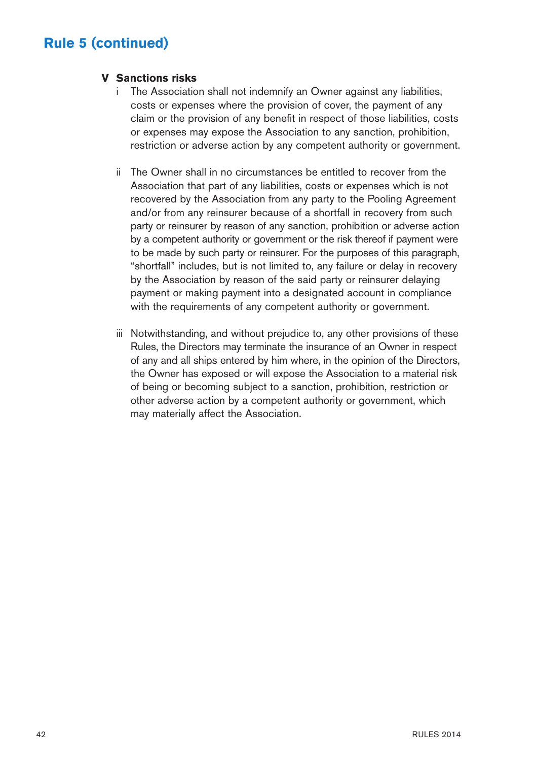#### **V Sanctions risks**

- i The Association shall not indemnify an Owner against any liabilities, costs or expenses where the provision of cover, the payment of any claim or the provision of any benefit in respect of those liabilities, costs or expenses may expose the Association to any sanction, prohibition, restriction or adverse action by any competent authority or government.
- ii The Owner shall in no circumstances be entitled to recover from the Association that part of any liabilities, costs or expenses which is not recovered by the Association from any party to the Pooling Agreement and/or from any reinsurer because of a shortfall in recovery from such party or reinsurer by reason of any sanction, prohibition or adverse action by a competent authority or government or the risk thereof if payment were to be made by such party or reinsurer. For the purposes of this paragraph, "shortfall" includes, but is not limited to, any failure or delay in recovery by the Association by reason of the said party or reinsurer delaying payment or making payment into a designated account in compliance with the requirements of any competent authority or government.
- iii Notwithstanding, and without prejudice to, any other provisions of these Rules, the Directors may terminate the insurance of an Owner in respect of any and all ships entered by him where, in the opinion of the Directors, the Owner has exposed or will expose the Association to a material risk of being or becoming subject to a sanction, prohibition, restriction or other adverse action by a competent authority or government, which may materially affect the Association.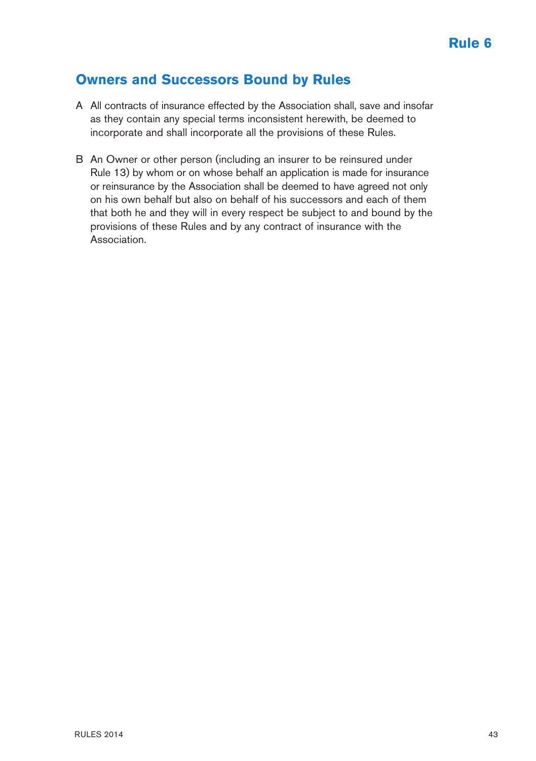### **Owners and Successors Bound by Rules**

- A All contracts of insurance effected by the Association shall, save and insofar as they contain any special terms inconsistent herewith, be deemed to incorporate and shall incorporate all the provisions of these Rules.
- B An Owner or other person (including an insurer to be reinsured under Rule 13) by whom or on whose behalf an application is made for insurance or reinsurance by the Association shall be deemed to have agreed not only on his own behalf but also on behalf of his successors and each of them that both he and they will in every respect be subject to and bound by the provisions of these Rules and by any contract of insurance with the Association.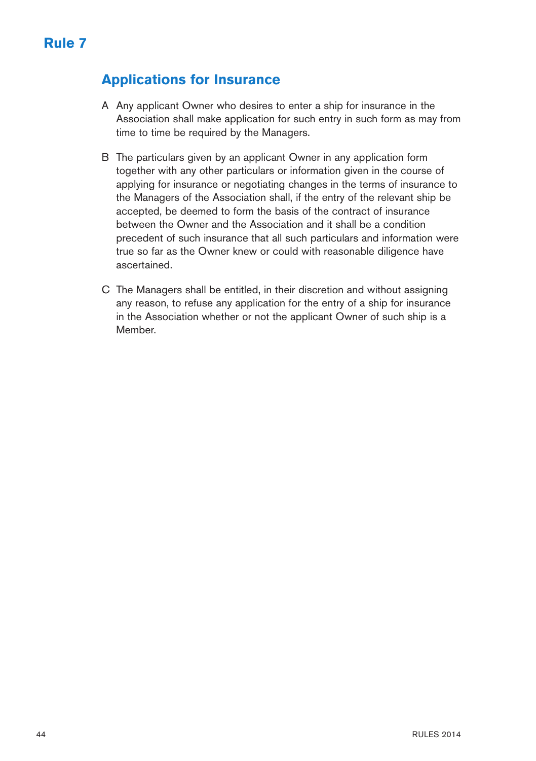## **Applications for Insurance**

- A Any applicant Owner who desires to enter a ship for insurance in the Association shall make application for such entry in such form as may from time to time be required by the Managers.
- B The particulars given by an applicant Owner in any application form together with any other particulars or information given in the course of applying for insurance or negotiating changes in the terms of insurance to the Managers of the Association shall, if the entry of the relevant ship be accepted, be deemed to form the basis of the contract of insurance between the Owner and the Association and it shall be a condition precedent of such insurance that all such particulars and information were true so far as the Owner knew or could with reasonable diligence have ascertained.
- C The Managers shall be entitled, in their discretion and without assigning any reason, to refuse any application for the entry of a ship for insurance in the Association whether or not the applicant Owner of such ship is a Member.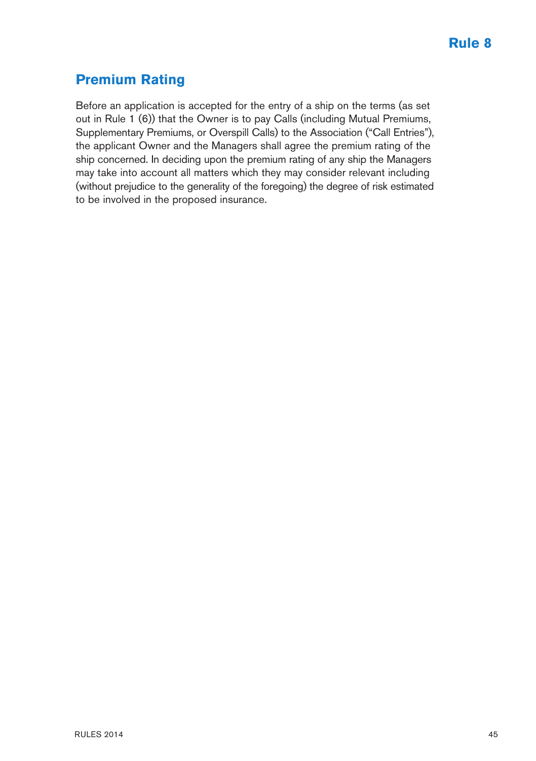## **Premium Rating**

Before an application is accepted for the entry of a ship on the terms (as set out in Rule 1 (6)) that the Owner is to pay Calls (including Mutual Premiums, Supplementary Premiums, or Overspill Calls) to the Association ("Call Entries"), the applicant Owner and the Managers shall agree the premium rating of the ship concerned. In deciding upon the premium rating of any ship the Managers may take into account all matters which they may consider relevant including (without prejudice to the generality of the foregoing) the degree of risk estimated to be involved in the proposed insurance.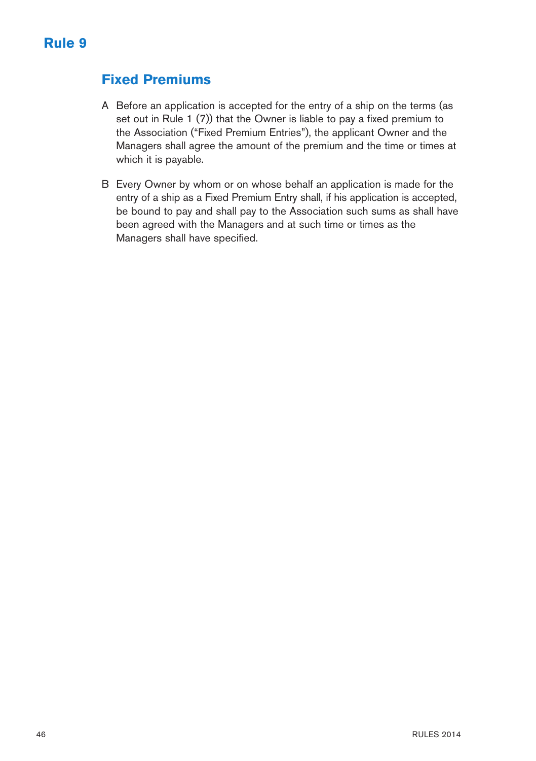### **Fixed Premiums**

- A Before an application is accepted for the entry of a ship on the terms (as set out in Rule 1 (7)) that the Owner is liable to pay a fixed premium to the Association ("Fixed Premium Entries"), the applicant Owner and the Managers shall agree the amount of the premium and the time or times at which it is payable.
- B Every Owner by whom or on whose behalf an application is made for the entry of a ship as a Fixed Premium Entry shall, if his application is accepted, be bound to pay and shall pay to the Association such sums as shall have been agreed with the Managers and at such time or times as the Managers shall have specified.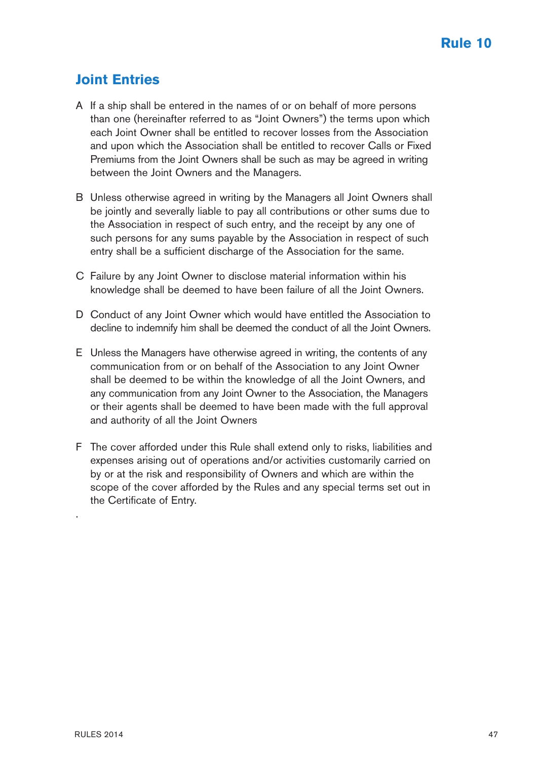## **Joint Entries**

- A If a ship shall be entered in the names of or on behalf of more persons than one (hereinafter referred to as "Joint Owners") the terms upon which each Joint Owner shall be entitled to recover losses from the Association and upon which the Association shall be entitled to recover Calls or Fixed Premiums from the Joint Owners shall be such as may be agreed in writing between the Joint Owners and the Managers.
- B Unless otherwise agreed in writing by the Managers all Joint Owners shall be jointly and severally liable to pay all contributions or other sums due to the Association in respect of such entry, and the receipt by any one of such persons for any sums payable by the Association in respect of such entry shall be a sufficient discharge of the Association for the same.
- C Failure by any Joint Owner to disclose material information within his knowledge shall be deemed to have been failure of all the Joint Owners.
- D Conduct of any Joint Owner which would have entitled the Association to decline to indemnify him shall be deemed the conduct of all the Joint Owners.
- E Unless the Managers have otherwise agreed in writing, the contents of any communication from or on behalf of the Association to any Joint Owner shall be deemed to be within the knowledge of all the Joint Owners, and any communication from any Joint Owner to the Association, the Managers or their agents shall be deemed to have been made with the full approval and authority of all the Joint Owners
- F The cover afforded under this Rule shall extend only to risks, liabilities and expenses arising out of operations and/or activities customarily carried on by or at the risk and responsibility of Owners and which are within the scope of the cover afforded by the Rules and any special terms set out in the Certificate of Entry.

.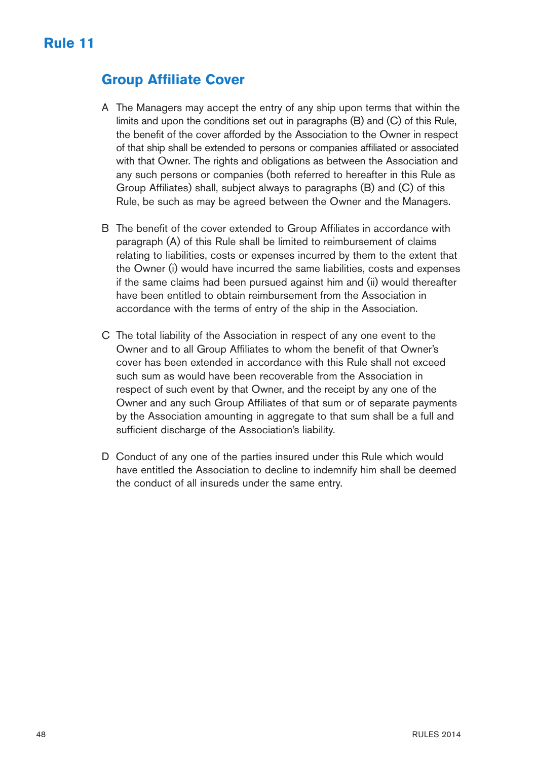### **Group Affiliate Cover**

- A The Managers may accept the entry of any ship upon terms that within the limits and upon the conditions set out in paragraphs (B) and (C) of this Rule, the benefit of the cover afforded by the Association to the Owner in respect of that ship shall be extended to persons or companies affiliated or associated with that Owner. The rights and obligations as between the Association and any such persons or companies (both referred to hereafter in this Rule as Group Affiliates) shall, subject always to paragraphs (B) and (C) of this Rule, be such as may be agreed between the Owner and the Managers.
- B The benefit of the cover extended to Group Affiliates in accordance with paragraph (A) of this Rule shall be limited to reimbursement of claims relating to liabilities, costs or expenses incurred by them to the extent that the Owner (i) would have incurred the same liabilities, costs and expenses if the same claims had been pursued against him and (ii) would thereafter have been entitled to obtain reimbursement from the Association in accordance with the terms of entry of the ship in the Association.
- C The total liability of the Association in respect of any one event to the Owner and to all Group Affiliates to whom the benefit of that Owner's cover has been extended in accordance with this Rule shall not exceed such sum as would have been recoverable from the Association in respect of such event by that Owner, and the receipt by any one of the Owner and any such Group Affiliates of that sum or of separate payments by the Association amounting in aggregate to that sum shall be a full and sufficient discharge of the Association's liability.
- D Conduct of any one of the parties insured under this Rule which would have entitled the Association to decline to indemnify him shall be deemed the conduct of all insureds under the same entry.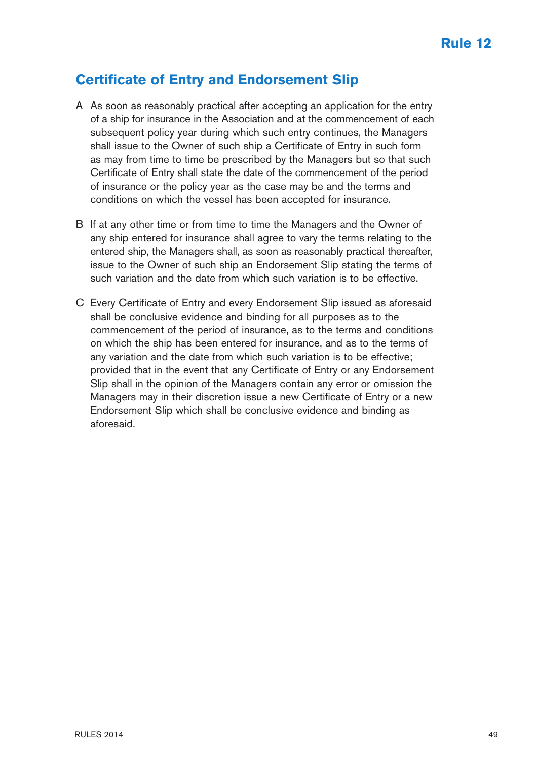### **Certificate of Entry and Endorsement Slip**

- A As soon as reasonably practical after accepting an application for the entry of a ship for insurance in the Association and at the commencement of each subsequent policy year during which such entry continues, the Managers shall issue to the Owner of such ship a Certificate of Entry in such form as may from time to time be prescribed by the Managers but so that such Certificate of Entry shall state the date of the commencement of the period of insurance or the policy year as the case may be and the terms and conditions on which the vessel has been accepted for insurance.
- B If at any other time or from time to time the Managers and the Owner of any ship entered for insurance shall agree to vary the terms relating to the entered ship, the Managers shall, as soon as reasonably practical thereafter, issue to the Owner of such ship an Endorsement Slip stating the terms of such variation and the date from which such variation is to be effective.
- C Every Certificate of Entry and every Endorsement Slip issued as aforesaid shall be conclusive evidence and binding for all purposes as to the commencement of the period of insurance, as to the terms and conditions on which the ship has been entered for insurance, and as to the terms of any variation and the date from which such variation is to be effective; provided that in the event that any Certificate of Entry or any Endorsement Slip shall in the opinion of the Managers contain any error or omission the Managers may in their discretion issue a new Certificate of Entry or a new Endorsement Slip which shall be conclusive evidence and binding as aforesaid.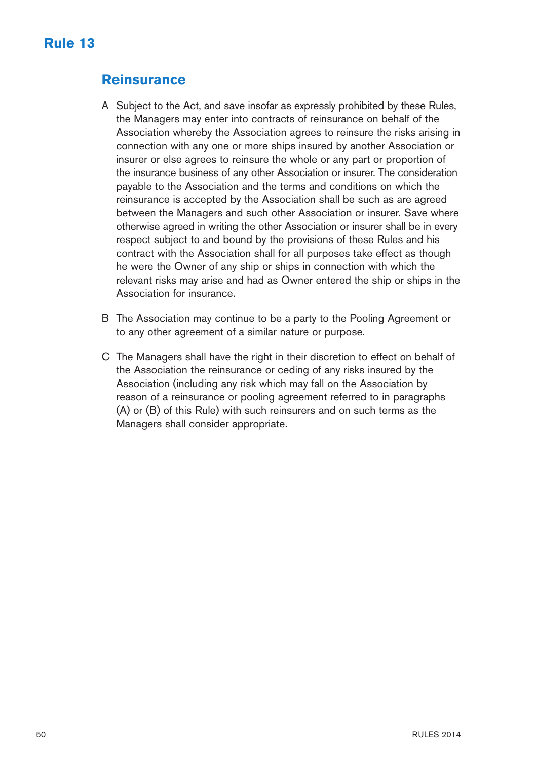### **Reinsurance**

- A Subject to the Act, and save insofar as expressly prohibited by these Rules, the Managers may enter into contracts of reinsurance on behalf of the Association whereby the Association agrees to reinsure the risks arising in connection with any one or more ships insured by another Association or insurer or else agrees to reinsure the whole or any part or proportion of the insurance business of any other Association or insurer. The consideration payable to the Association and the terms and conditions on which the reinsurance is accepted by the Association shall be such as are agreed between the Managers and such other Association or insurer. Save where otherwise agreed in writing the other Association or insurer shall be in every respect subject to and bound by the provisions of these Rules and his contract with the Association shall for all purposes take effect as though he were the Owner of any ship or ships in connection with which the relevant risks may arise and had as Owner entered the ship or ships in the Association for insurance.
- B The Association may continue to be a party to the Pooling Agreement or to any other agreement of a similar nature or purpose.
- C The Managers shall have the right in their discretion to effect on behalf of the Association the reinsurance or ceding of any risks insured by the Association (including any risk which may fall on the Association by reason of a reinsurance or pooling agreement referred to in paragraphs (A) or (B) of this Rule) with such reinsurers and on such terms as the Managers shall consider appropriate.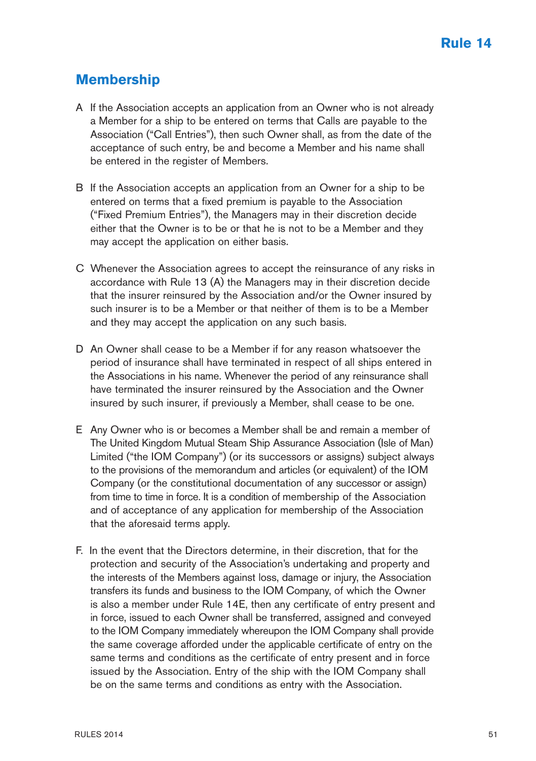### **Membership**

- A If the Association accepts an application from an Owner who is not already a Member for a ship to be entered on terms that Calls are payable to the Association ("Call Entries"), then such Owner shall, as from the date of the acceptance of such entry, be and become a Member and his name shall be entered in the register of Members.
- B If the Association accepts an application from an Owner for a ship to be entered on terms that a fixed premium is payable to the Association ("Fixed Premium Entries"), the Managers may in their discretion decide either that the Owner is to be or that he is not to be a Member and they may accept the application on either basis.
- C Whenever the Association agrees to accept the reinsurance of any risks in accordance with Rule 13 (A) the Managers may in their discretion decide that the insurer reinsured by the Association and/or the Owner insured by such insurer is to be a Member or that neither of them is to be a Member and they may accept the application on any such basis.
- D An Owner shall cease to be a Member if for any reason whatsoever the period of insurance shall have terminated in respect of all ships entered in the Associations in his name. Whenever the period of any reinsurance shall have terminated the insurer reinsured by the Association and the Owner insured by such insurer, if previously a Member, shall cease to be one.
- E Any Owner who is or becomes a Member shall be and remain a member of The United Kingdom Mutual Steam Ship Assurance Association (Isle of Man) Limited ("the IOM Company") (or its successors or assigns) subject always to the provisions of the memorandum and articles (or equivalent) of the IOM Company (or the constitutional documentation of any successor or assign) from time to time in force. It is a condition of membership of the Association and of acceptance of any application for membership of the Association that the aforesaid terms apply.
- F. In the event that the Directors determine, in their discretion, that for the protection and security of the Association's undertaking and property and the interests of the Members against loss, damage or injury, the Association transfers its funds and business to the IOM Company, of which the Owner is also a member under Rule 14E, then any certificate of entry present and in force, issued to each Owner shall be transferred, assigned and conveyed to the IOM Company immediately whereupon the IOM Company shall provide the same coverage afforded under the applicable certificate of entry on the same terms and conditions as the certificate of entry present and in force issued by the Association. Entry of the ship with the IOM Company shall be on the same terms and conditions as entry with the Association.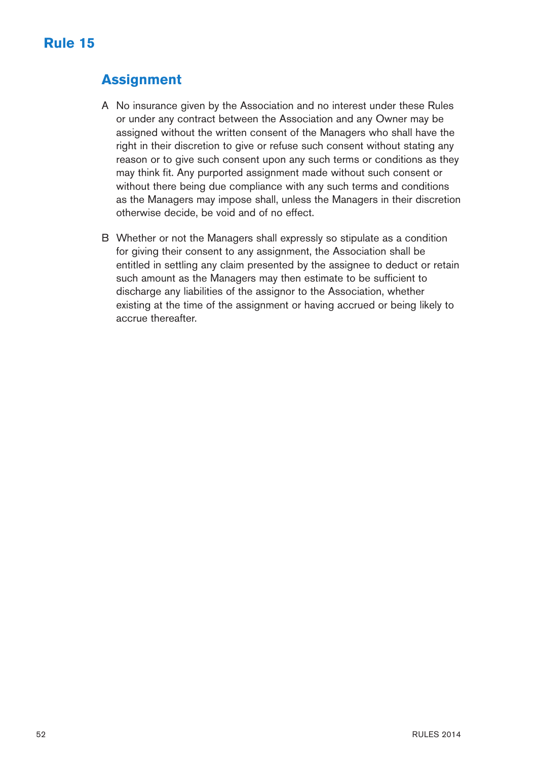## **Assignment**

- A No insurance given by the Association and no interest under these Rules or under any contract between the Association and any Owner may be assigned without the written consent of the Managers who shall have the right in their discretion to give or refuse such consent without stating any reason or to give such consent upon any such terms or conditions as they may think fit. Any purported assignment made without such consent or without there being due compliance with any such terms and conditions as the Managers may impose shall, unless the Managers in their discretion otherwise decide, be void and of no effect.
- B Whether or not the Managers shall expressly so stipulate as a condition for giving their consent to any assignment, the Association shall be entitled in settling any claim presented by the assignee to deduct or retain such amount as the Managers may then estimate to be sufficient to discharge any liabilities of the assignor to the Association, whether existing at the time of the assignment or having accrued or being likely to accrue thereafter.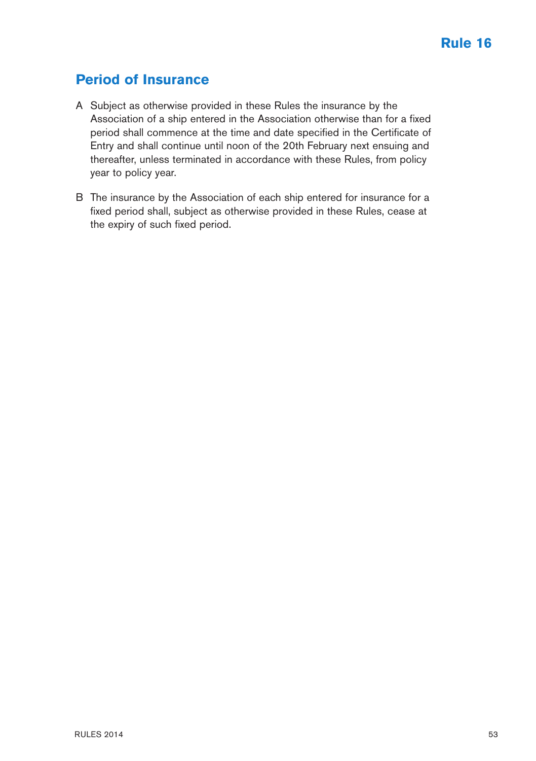## **Period of Insurance**

- A Subject as otherwise provided in these Rules the insurance by the Association of a ship entered in the Association otherwise than for a fixed period shall commence at the time and date specified in the Certificate of Entry and shall continue until noon of the 20th February next ensuing and thereafter, unless terminated in accordance with these Rules, from policy year to policy year.
- B The insurance by the Association of each ship entered for insurance for a fixed period shall, subject as otherwise provided in these Rules, cease at the expiry of such fixed period.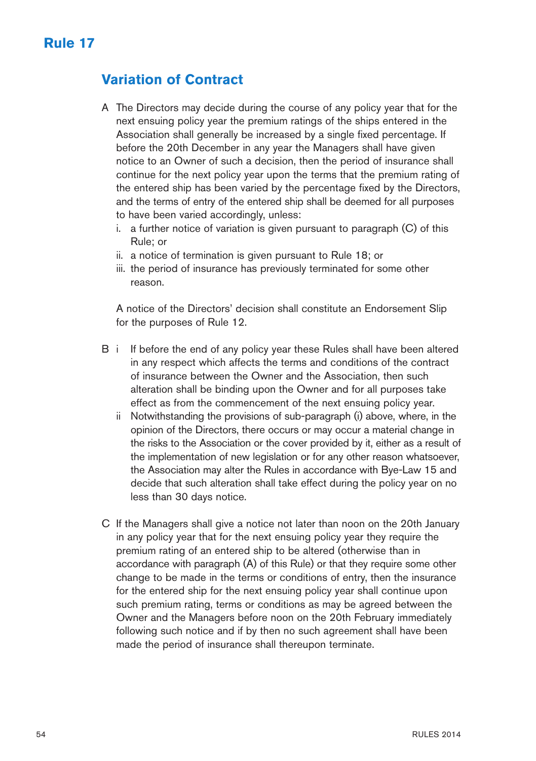### **Variation of Contract**

- A The Directors may decide during the course of any policy year that for the next ensuing policy year the premium ratings of the ships entered in the Association shall generally be increased by a single fixed percentage. If before the 20th December in any year the Managers shall have given notice to an Owner of such a decision, then the period of insurance shall continue for the next policy year upon the terms that the premium rating of the entered ship has been varied by the percentage fixed by the Directors, and the terms of entry of the entered ship shall be deemed for all purposes to have been varied accordingly, unless:
	- i. a further notice of variation is given pursuant to paragraph (C) of this Rule; or
	- ii. a notice of termination is given pursuant to Rule 18; or
	- iii. the period of insurance has previously terminated for some other reason.

A notice of the Directors' decision shall constitute an Endorsement Slip for the purposes of Rule 12.

- B i If before the end of any policy year these Rules shall have been altered in any respect which affects the terms and conditions of the contract of insurance between the Owner and the Association, then such alteration shall be binding upon the Owner and for all purposes take effect as from the commencement of the next ensuing policy year.
	- ii Notwithstanding the provisions of sub-paragraph (i) above, where, in the opinion of the Directors, there occurs or may occur a material change in the risks to the Association or the cover provided by it, either as a result of the implementation of new legislation or for any other reason whatsoever, the Association may alter the Rules in accordance with Bye-Law 15 and decide that such alteration shall take effect during the policy year on no less than 30 days notice.
- C If the Managers shall give a notice not later than noon on the 20th January in any policy year that for the next ensuing policy year they require the premium rating of an entered ship to be altered (otherwise than in accordance with paragraph (A) of this Rule) or that they require some other change to be made in the terms or conditions of entry, then the insurance for the entered ship for the next ensuing policy year shall continue upon such premium rating, terms or conditions as may be agreed between the Owner and the Managers before noon on the 20th February immediately following such notice and if by then no such agreement shall have been made the period of insurance shall thereupon terminate.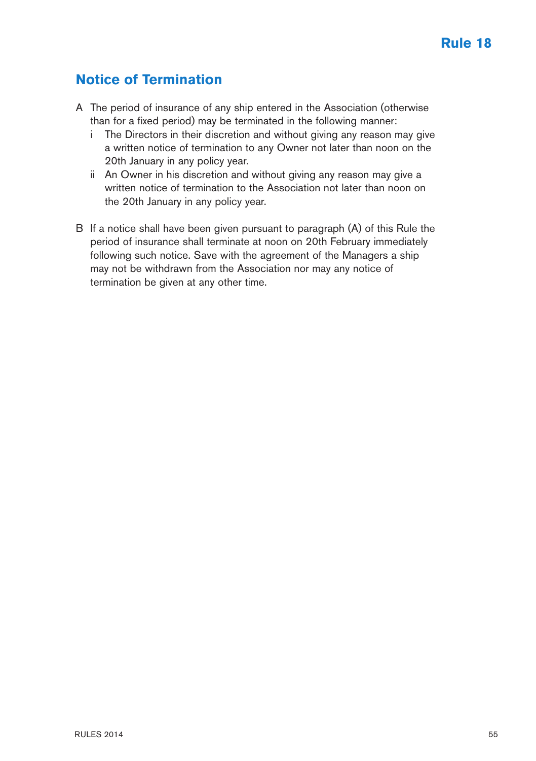## **Notice of Termination**

- A The period of insurance of any ship entered in the Association (otherwise than for a fixed period) may be terminated in the following manner:
	- i The Directors in their discretion and without giving any reason may give a written notice of termination to any Owner not later than noon on the 20th January in any policy year.
	- ii An Owner in his discretion and without giving any reason may give a written notice of termination to the Association not later than noon on the 20th January in any policy year.
- B If a notice shall have been given pursuant to paragraph (A) of this Rule the period of insurance shall terminate at noon on 20th February immediately following such notice. Save with the agreement of the Managers a ship may not be withdrawn from the Association nor may any notice of termination be given at any other time.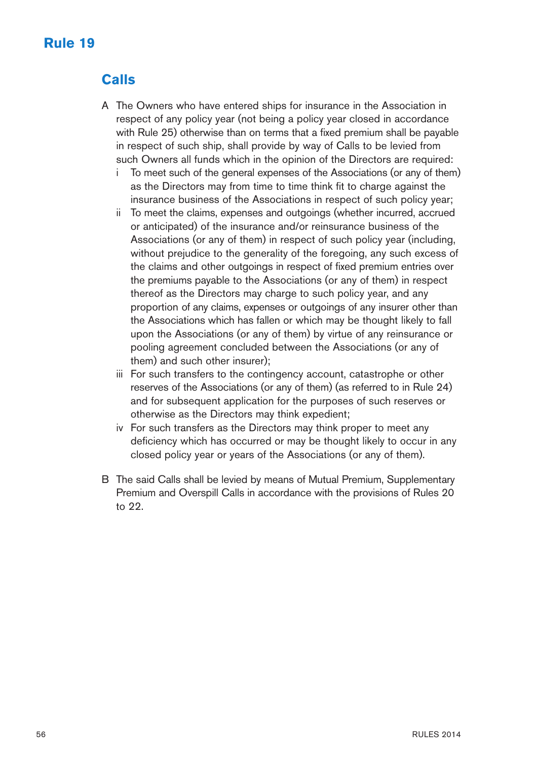# **Rule 19**

# **Calls**

- A The Owners who have entered ships for insurance in the Association in respect of any policy year (not being a policy year closed in accordance with Rule 25) otherwise than on terms that a fixed premium shall be payable in respect of such ship, shall provide by way of Calls to be levied from such Owners all funds which in the opinion of the Directors are required:
	- i To meet such of the general expenses of the Associations (or any of them) as the Directors may from time to time think fit to charge against the insurance business of the Associations in respect of such policy year;
	- ii To meet the claims, expenses and outgoings (whether incurred, accrued or anticipated) of the insurance and/or reinsurance business of the Associations (or any of them) in respect of such policy year (including, without prejudice to the generality of the foregoing, any such excess of the claims and other outgoings in respect of fixed premium entries over the premiums payable to the Associations (or any of them) in respect thereof as the Directors may charge to such policy year, and any proportion of any claims, expenses or outgoings of any insurer other than the Associations which has fallen or which may be thought likely to fall upon the Associations (or any of them) by virtue of any reinsurance or pooling agreement concluded between the Associations (or any of them) and such other insurer);
	- iii For such transfers to the contingency account, catastrophe or other reserves of the Associations (or any of them) (as referred to in Rule 24) and for subsequent application for the purposes of such reserves or otherwise as the Directors may think expedient;
	- iv For such transfers as the Directors may think proper to meet any deficiency which has occurred or may be thought likely to occur in any closed policy year or years of the Associations (or any of them).
- B The said Calls shall be levied by means of Mutual Premium, Supplementary Premium and Overspill Calls in accordance with the provisions of Rules 20 to 22.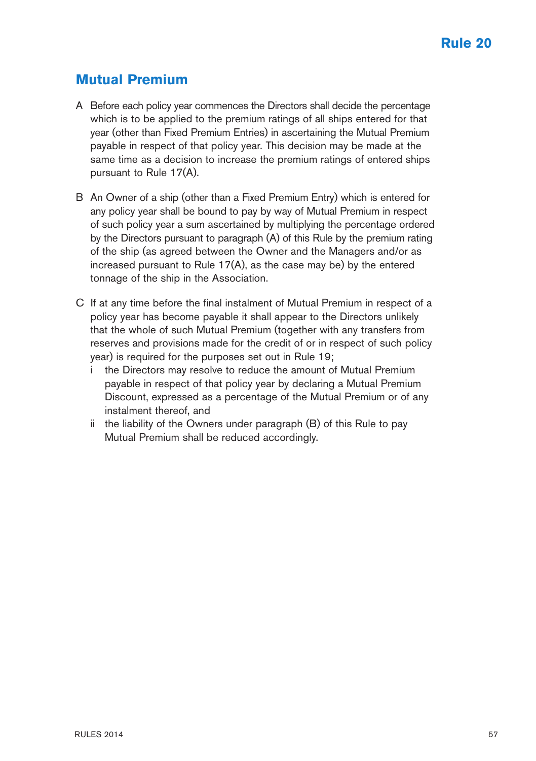### **Mutual Premium**

- A Before each policy year commences the Directors shall decide the percentage which is to be applied to the premium ratings of all ships entered for that year (other than Fixed Premium Entries) in ascertaining the Mutual Premium payable in respect of that policy year. This decision may be made at the same time as a decision to increase the premium ratings of entered ships pursuant to Rule 17(A).
- B An Owner of a ship (other than a Fixed Premium Entry) which is entered for any policy year shall be bound to pay by way of Mutual Premium in respect of such policy year a sum ascertained by multiplying the percentage ordered by the Directors pursuant to paragraph (A) of this Rule by the premium rating of the ship (as agreed between the Owner and the Managers and/or as increased pursuant to Rule 17(A), as the case may be) by the entered tonnage of the ship in the Association.
- C If at any time before the final instalment of Mutual Premium in respect of a policy year has become payable it shall appear to the Directors unlikely that the whole of such Mutual Premium (together with any transfers from reserves and provisions made for the credit of or in respect of such policy year) is required for the purposes set out in Rule 19;
	- i the Directors may resolve to reduce the amount of Mutual Premium payable in respect of that policy year by declaring a Mutual Premium Discount, expressed as a percentage of the Mutual Premium or of any instalment thereof, and
	- ii the liability of the Owners under paragraph (B) of this Rule to pay Mutual Premium shall be reduced accordingly.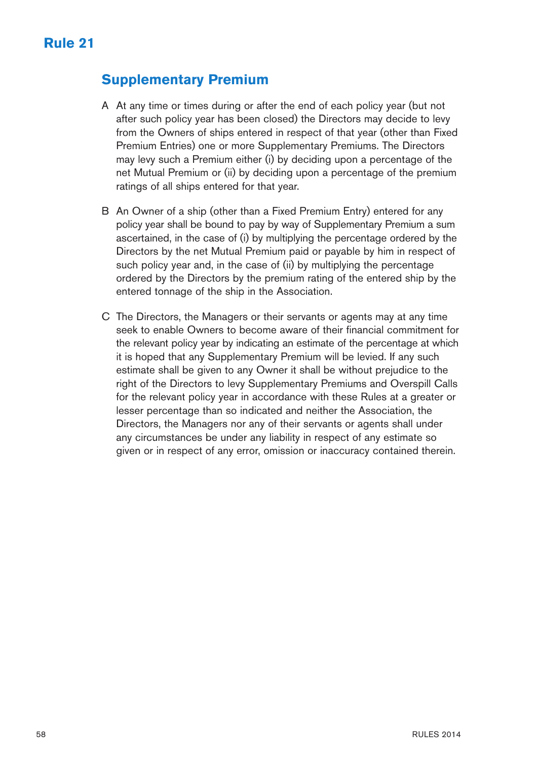### **Supplementary Premium**

- A At any time or times during or after the end of each policy year (but not after such policy year has been closed) the Directors may decide to levy from the Owners of ships entered in respect of that year (other than Fixed Premium Entries) one or more Supplementary Premiums. The Directors may levy such a Premium either (i) by deciding upon a percentage of the net Mutual Premium or (ii) by deciding upon a percentage of the premium ratings of all ships entered for that year.
- B An Owner of a ship (other than a Fixed Premium Entry) entered for any policy year shall be bound to pay by way of Supplementary Premium a sum ascertained, in the case of (i) by multiplying the percentage ordered by the Directors by the net Mutual Premium paid or payable by him in respect of such policy year and, in the case of (ii) by multiplying the percentage ordered by the Directors by the premium rating of the entered ship by the entered tonnage of the ship in the Association.
- C The Directors, the Managers or their servants or agents may at any time seek to enable Owners to become aware of their financial commitment for the relevant policy year by indicating an estimate of the percentage at which it is hoped that any Supplementary Premium will be levied. If any such estimate shall be given to any Owner it shall be without prejudice to the right of the Directors to levy Supplementary Premiums and Overspill Calls for the relevant policy year in accordance with these Rules at a greater or lesser percentage than so indicated and neither the Association, the Directors, the Managers nor any of their servants or agents shall under any circumstances be under any liability in respect of any estimate so given or in respect of any error, omission or inaccuracy contained therein.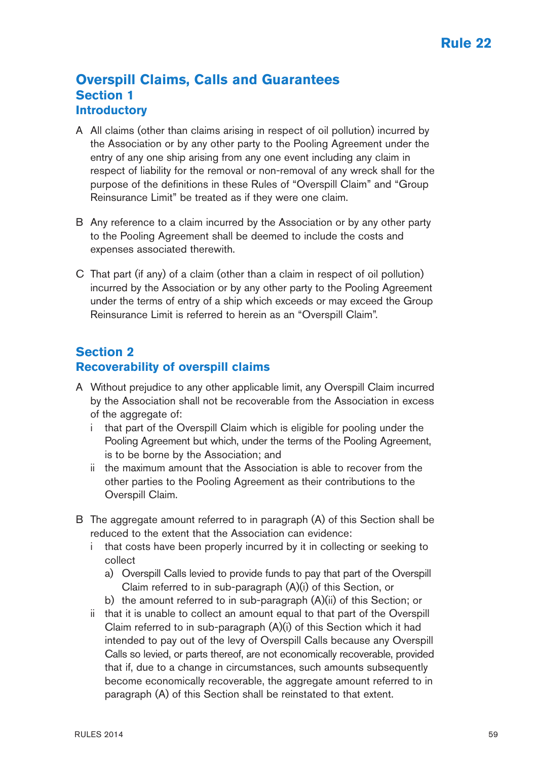#### **Overspill Claims, Calls and Guarantees Section 1 Introductory**

- A All claims (other than claims arising in respect of oil pollution) incurred by the Association or by any other party to the Pooling Agreement under the entry of any one ship arising from any one event including any claim in respect of liability for the removal or non-removal of any wreck shall for the purpose of the definitions in these Rules of "Overspill Claim" and "Group Reinsurance Limit" be treated as if they were one claim.
- B Any reference to a claim incurred by the Association or by any other party to the Pooling Agreement shall be deemed to include the costs and expenses associated therewith.
- C That part (if any) of a claim (other than a claim in respect of oil pollution) incurred by the Association or by any other party to the Pooling Agreement under the terms of entry of a ship which exceeds or may exceed the Group Reinsurance Limit is referred to herein as an "Overspill Claim".

#### **Section 2 Recoverability of overspill claims**

- A Without prejudice to any other applicable limit, any Overspill Claim incurred by the Association shall not be recoverable from the Association in excess of the aggregate of:
	- i that part of the Overspill Claim which is eligible for pooling under the Pooling Agreement but which, under the terms of the Pooling Agreement, is to be borne by the Association; and
	- ii the maximum amount that the Association is able to recover from the other parties to the Pooling Agreement as their contributions to the Overspill Claim.
- B The aggregate amount referred to in paragraph (A) of this Section shall be reduced to the extent that the Association can evidence:
	- i that costs have been properly incurred by it in collecting or seeking to collect
		- a) Overspill Calls levied to provide funds to pay that part of the Overspill Claim referred to in sub-paragraph (A)(i) of this Section, or
		- b) the amount referred to in sub-paragraph (A)(ii) of this Section; or
	- ii that it is unable to collect an amount equal to that part of the Overspill Claim referred to in sub-paragraph (A)(i) of this Section which it had intended to pay out of the levy of Overspill Calls because any Overspill Calls so levied, or parts thereof, are not economically recoverable, provided that if, due to a change in circumstances, such amounts subsequently become economically recoverable, the aggregate amount referred to in paragraph (A) of this Section shall be reinstated to that extent.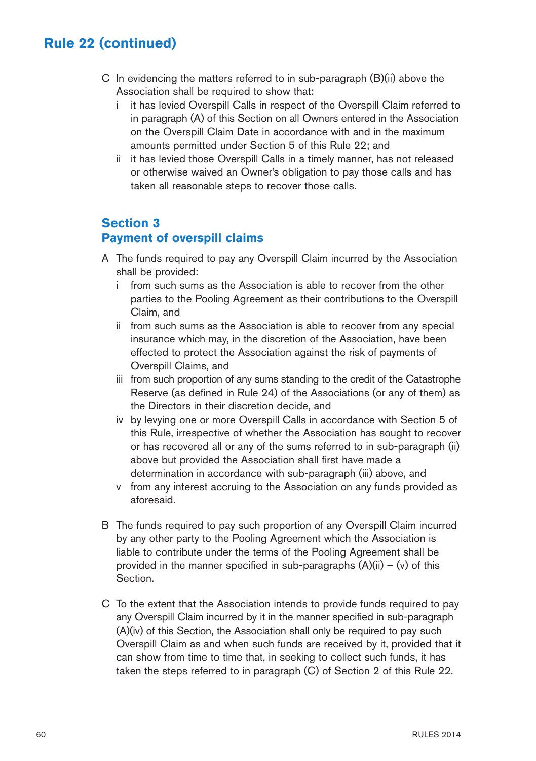- C In evidencing the matters referred to in sub-paragraph (B)(ii) above the Association shall be required to show that:
	- i it has levied Overspill Calls in respect of the Overspill Claim referred to in paragraph (A) of this Section on all Owners entered in the Association on the Overspill Claim Date in accordance with and in the maximum amounts permitted under Section 5 of this Rule 22; and
	- ii it has levied those Overspill Calls in a timely manner, has not released or otherwise waived an Owner's obligation to pay those calls and has taken all reasonable steps to recover those calls.

#### **Section 3**

#### **Payment of overspill claims**

- A The funds required to pay any Overspill Claim incurred by the Association shall be provided:
	- i from such sums as the Association is able to recover from the other parties to the Pooling Agreement as their contributions to the Overspill Claim, and
	- ii from such sums as the Association is able to recover from any special insurance which may, in the discretion of the Association, have been effected to protect the Association against the risk of payments of Overspill Claims, and
	- iii from such proportion of any sums standing to the credit of the Catastrophe Reserve (as defined in Rule 24) of the Associations (or any of them) as the Directors in their discretion decide, and
	- iv by levying one or more Overspill Calls in accordance with Section 5 of this Rule, irrespective of whether the Association has sought to recover or has recovered all or any of the sums referred to in sub-paragraph (ii) above but provided the Association shall first have made a determination in accordance with sub-paragraph (iii) above, and
	- v from any interest accruing to the Association on any funds provided as aforesaid.
- B The funds required to pay such proportion of any Overspill Claim incurred by any other party to the Pooling Agreement which the Association is liable to contribute under the terms of the Pooling Agreement shall be provided in the manner specified in sub-paragraphs  $(A)(ii) - (v)$  of this Section.
- C To the extent that the Association intends to provide funds required to pay any Overspill Claim incurred by it in the manner specified in sub-paragraph (A)(iv) of this Section, the Association shall only be required to pay such Overspill Claim as and when such funds are received by it, provided that it can show from time to time that, in seeking to collect such funds, it has taken the steps referred to in paragraph (C) of Section 2 of this Rule 22.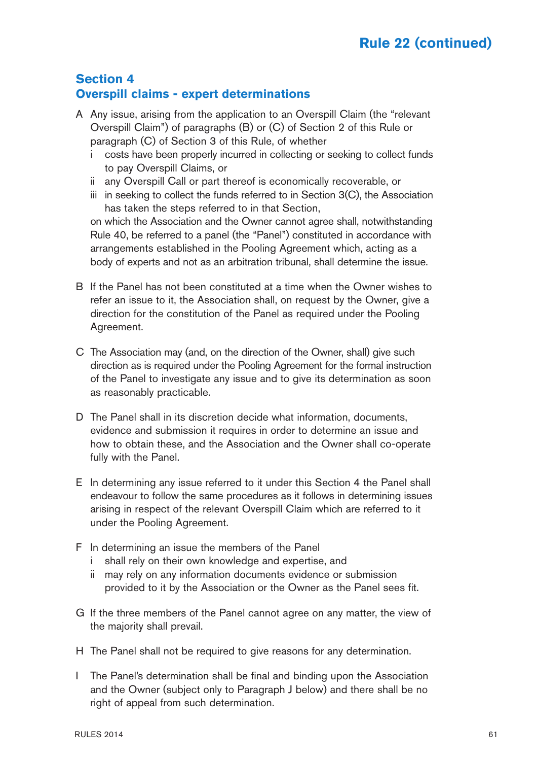#### **Section 4 Overspill claims - expert determinations**

- A Any issue, arising from the application to an Overspill Claim (the "relevant Overspill Claim") of paragraphs (B) or (C) of Section 2 of this Rule or paragraph (C) of Section 3 of this Rule, of whether
	- i costs have been properly incurred in collecting or seeking to collect funds to pay Overspill Claims, or
	- ii any Overspill Call or part thereof is economically recoverable, or
	- iii in seeking to collect the funds referred to in Section 3(C), the Association has taken the steps referred to in that Section,

on which the Association and the Owner cannot agree shall, notwithstanding Rule 40, be referred to a panel (the "Panel") constituted in accordance with arrangements established in the Pooling Agreement which, acting as a body of experts and not as an arbitration tribunal, shall determine the issue.

- B If the Panel has not been constituted at a time when the Owner wishes to refer an issue to it, the Association shall, on request by the Owner, give a direction for the constitution of the Panel as required under the Pooling Agreement.
- C The Association may (and, on the direction of the Owner, shall) give such direction as is required under the Pooling Agreement for the formal instruction of the Panel to investigate any issue and to give its determination as soon as reasonably practicable.
- D The Panel shall in its discretion decide what information, documents, evidence and submission it requires in order to determine an issue and how to obtain these, and the Association and the Owner shall co-operate fully with the Panel.
- E In determining any issue referred to it under this Section 4 the Panel shall endeavour to follow the same procedures as it follows in determining issues arising in respect of the relevant Overspill Claim which are referred to it under the Pooling Agreement.
- F In determining an issue the members of the Panel
	- i shall rely on their own knowledge and expertise, and
	- ii may rely on any information documents evidence or submission provided to it by the Association or the Owner as the Panel sees fit.
- G If the three members of the Panel cannot agree on any matter, the view of the majority shall prevail.
- H The Panel shall not be required to give reasons for any determination.
- I The Panel's determination shall be final and binding upon the Association and the Owner (subject only to Paragraph J below) and there shall be no right of appeal from such determination.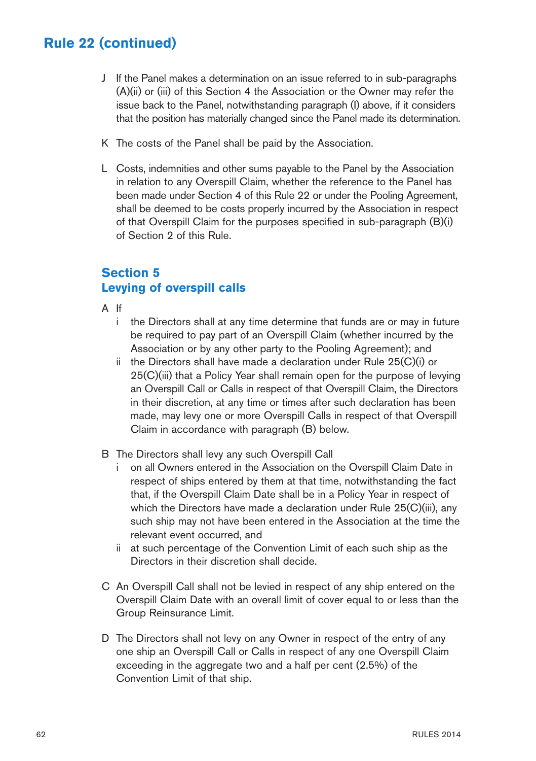- J If the Panel makes a determination on an issue referred to in sub-paragraphs (A)(ii) or (iii) of this Section 4 the Association or the Owner may refer the issue back to the Panel, notwithstanding paragraph (I) above, if it considers that the position has materially changed since the Panel made its determination.
- K The costs of the Panel shall be paid by the Association.
- L Costs, indemnities and other sums payable to the Panel by the Association in relation to any Overspill Claim, whether the reference to the Panel has been made under Section 4 of this Rule 22 or under the Pooling Agreement, shall be deemed to be costs properly incurred by the Association in respect of that Overspill Claim for the purposes specified in sub-paragraph (B)(i) of Section 2 of this Rule.

#### **Section 5 Levying of overspill calls**

- A If
	- i the Directors shall at any time determine that funds are or may in future be required to pay part of an Overspill Claim (whether incurred by the Association or by any other party to the Pooling Agreement); and
	- ii the Directors shall have made a declaration under Rule 25(C)(i) or 25(C)(iii) that a Policy Year shall remain open for the purpose of levying an Overspill Call or Calls in respect of that Overspill Claim, the Directors in their discretion, at any time or times after such declaration has been made, may levy one or more Overspill Calls in respect of that Overspill Claim in accordance with paragraph (B) below.
- B The Directors shall levy any such Overspill Call
	- i on all Owners entered in the Association on the Overspill Claim Date in respect of ships entered by them at that time, notwithstanding the fact that, if the Overspill Claim Date shall be in a Policy Year in respect of which the Directors have made a declaration under Rule 25(C)(iii), any such ship may not have been entered in the Association at the time the relevant event occurred, and
	- ii at such percentage of the Convention Limit of each such ship as the Directors in their discretion shall decide.
- C An Overspill Call shall not be levied in respect of any ship entered on the Overspill Claim Date with an overall limit of cover equal to or less than the Group Reinsurance Limit.
- D The Directors shall not levy on any Owner in respect of the entry of any one ship an Overspill Call or Calls in respect of any one Overspill Claim exceeding in the aggregate two and a half per cent (2.5%) of the Convention Limit of that ship.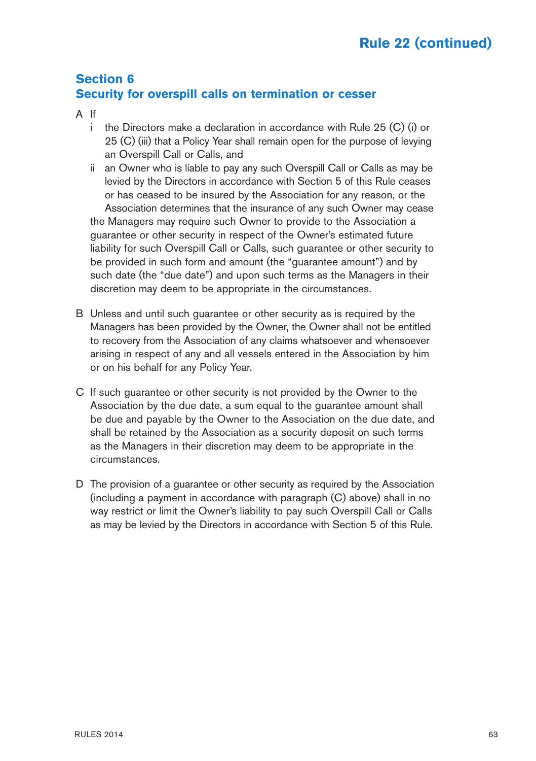#### **Section 6 Security for overspill calls on termination or cesser**

- A If
	- i the Directors make a declaration in accordance with Rule 25 (C) (i) or 25 (C) (iii) that a Policy Year shall remain open for the purpose of levying an Overspill Call or Calls, and
	- ii an Owner who is liable to pay any such Overspill Call or Calls as may be levied by the Directors in accordance with Section 5 of this Rule ceases or has ceased to be insured by the Association for any reason, or the Association determines that the insurance of any such Owner may cease the Managers may require such Owner to provide to the Association a guarantee or other security in respect of the Owner's estimated future liability for such Overspill Call or Calls, such guarantee or other security to be provided in such form and amount (the "guarantee amount") and by such date (the "due date") and upon such terms as the Managers in their discretion may deem to be appropriate in the circumstances.
- B Unless and until such guarantee or other security as is required by the Managers has been provided by the Owner, the Owner shall not be entitled to recovery from the Association of any claims whatsoever and whensoever arising in respect of any and all vessels entered in the Association by him or on his behalf for any Policy Year.
- C If such guarantee or other security is not provided by the Owner to the Association by the due date, a sum equal to the guarantee amount shall be due and payable by the Owner to the Association on the due date, and shall be retained by the Association as a security deposit on such terms as the Managers in their discretion may deem to be appropriate in the circumstances.
- D The provision of a guarantee or other security as required by the Association (including a payment in accordance with paragraph (C) above) shall in no way restrict or limit the Owner's liability to pay such Overspill Call or Calls as may be levied by the Directors in accordance with Section 5 of this Rule.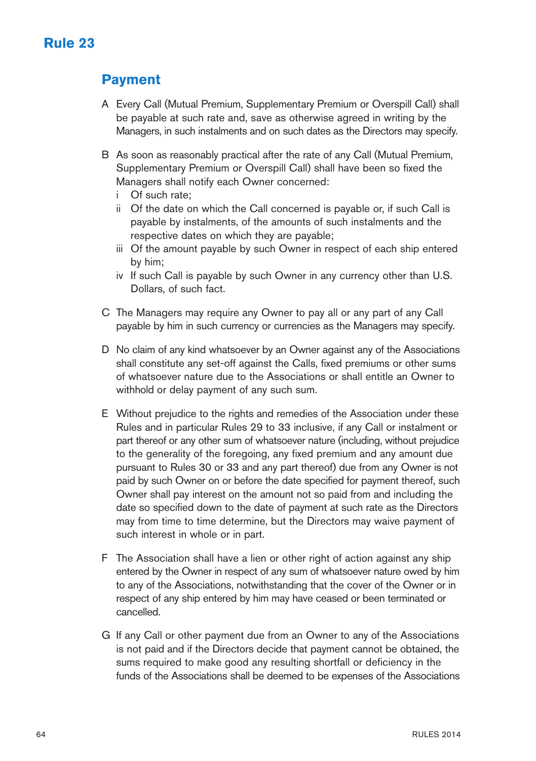### **Payment**

- A Every Call (Mutual Premium, Supplementary Premium or Overspill Call) shall be payable at such rate and, save as otherwise agreed in writing by the Managers, in such instalments and on such dates as the Directors may specify.
- B As soon as reasonably practical after the rate of any Call (Mutual Premium, Supplementary Premium or Overspill Call) shall have been so fixed the Managers shall notify each Owner concerned:
	- i Of such rate;
	- ii Of the date on which the Call concerned is payable or, if such Call is payable by instalments, of the amounts of such instalments and the respective dates on which they are payable;
	- iii Of the amount payable by such Owner in respect of each ship entered by him;
	- iv If such Call is payable by such Owner in any currency other than U.S. Dollars, of such fact.
- C The Managers may require any Owner to pay all or any part of any Call payable by him in such currency or currencies as the Managers may specify.
- D No claim of any kind whatsoever by an Owner against any of the Associations shall constitute any set-off against the Calls, fixed premiums or other sums of whatsoever nature due to the Associations or shall entitle an Owner to withhold or delay payment of any such sum.
- E Without prejudice to the rights and remedies of the Association under these Rules and in particular Rules 29 to 33 inclusive, if any Call or instalment or part thereof or any other sum of whatsoever nature (including, without prejudice to the generality of the foregoing, any fixed premium and any amount due pursuant to Rules 30 or 33 and any part thereof) due from any Owner is not paid by such Owner on or before the date specified for payment thereof, such Owner shall pay interest on the amount not so paid from and including the date so specified down to the date of payment at such rate as the Directors may from time to time determine, but the Directors may waive payment of such interest in whole or in part.
- F The Association shall have a lien or other right of action against any ship entered by the Owner in respect of any sum of whatsoever nature owed by him to any of the Associations, notwithstanding that the cover of the Owner or in respect of any ship entered by him may have ceased or been terminated or cancelled.
- G If any Call or other payment due from an Owner to any of the Associations is not paid and if the Directors decide that payment cannot be obtained, the sums required to make good any resulting shortfall or deficiency in the funds of the Associations shall be deemed to be expenses of the Associations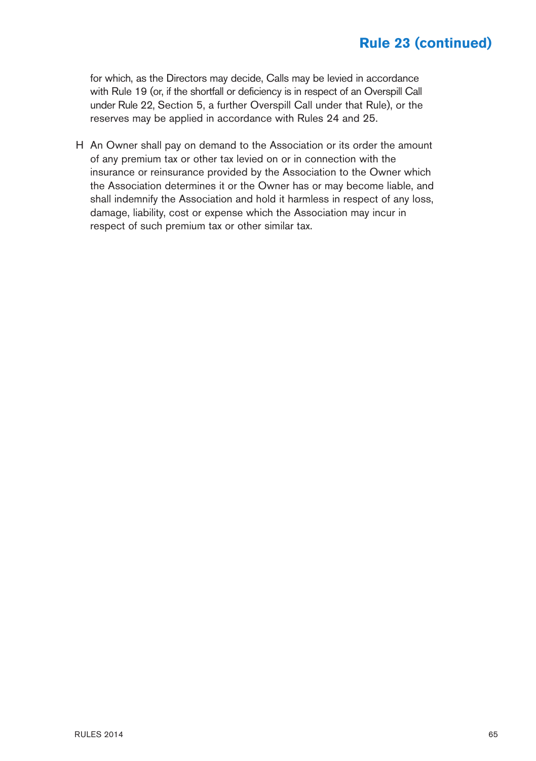for which, as the Directors may decide, Calls may be levied in accordance with Rule 19 (or, if the shortfall or deficiency is in respect of an Overspill Call under Rule 22, Section 5, a further Overspill Call under that Rule), or the reserves may be applied in accordance with Rules 24 and 25.

H An Owner shall pay on demand to the Association or its order the amount of any premium tax or other tax levied on or in connection with the insurance or reinsurance provided by the Association to the Owner which the Association determines it or the Owner has or may become liable, and shall indemnify the Association and hold it harmless in respect of any loss, damage, liability, cost or expense which the Association may incur in respect of such premium tax or other similar tax.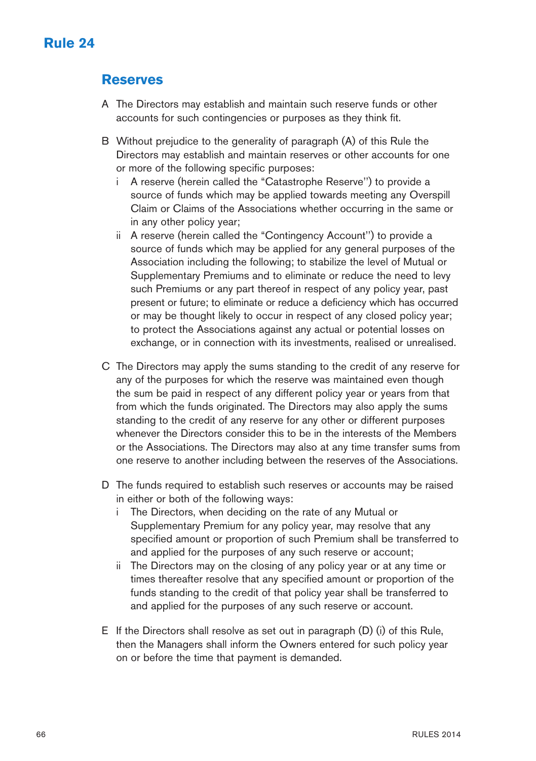# **Rule 24**

### **Reserves**

- A The Directors may establish and maintain such reserve funds or other accounts for such contingencies or purposes as they think fit.
- B Without prejudice to the generality of paragraph (A) of this Rule the Directors may establish and maintain reserves or other accounts for one or more of the following specific purposes:
	- i A reserve (herein called the "Catastrophe Reserve'') to provide a source of funds which may be applied towards meeting any Overspill Claim or Claims of the Associations whether occurring in the same or in any other policy year;
	- ii A reserve (herein called the "Contingency Account'') to provide a source of funds which may be applied for any general purposes of the Association including the following; to stabilize the level of Mutual or Supplementary Premiums and to eliminate or reduce the need to levy such Premiums or any part thereof in respect of any policy year, past present or future; to eliminate or reduce a deficiency which has occurred or may be thought likely to occur in respect of any closed policy year; to protect the Associations against any actual or potential losses on exchange, or in connection with its investments, realised or unrealised.
- C The Directors may apply the sums standing to the credit of any reserve for any of the purposes for which the reserve was maintained even though the sum be paid in respect of any different policy year or years from that from which the funds originated. The Directors may also apply the sums standing to the credit of any reserve for any other or different purposes whenever the Directors consider this to be in the interests of the Members or the Associations. The Directors may also at any time transfer sums from one reserve to another including between the reserves of the Associations.
- D The funds required to establish such reserves or accounts may be raised in either or both of the following ways:
	- i The Directors, when deciding on the rate of any Mutual or Supplementary Premium for any policy year, may resolve that any specified amount or proportion of such Premium shall be transferred to and applied for the purposes of any such reserve or account;
	- ii The Directors may on the closing of any policy year or at any time or times thereafter resolve that any specified amount or proportion of the funds standing to the credit of that policy year shall be transferred to and applied for the purposes of any such reserve or account.
- E If the Directors shall resolve as set out in paragraph  $(D)$  (i) of this Rule. then the Managers shall inform the Owners entered for such policy year on or before the time that payment is demanded.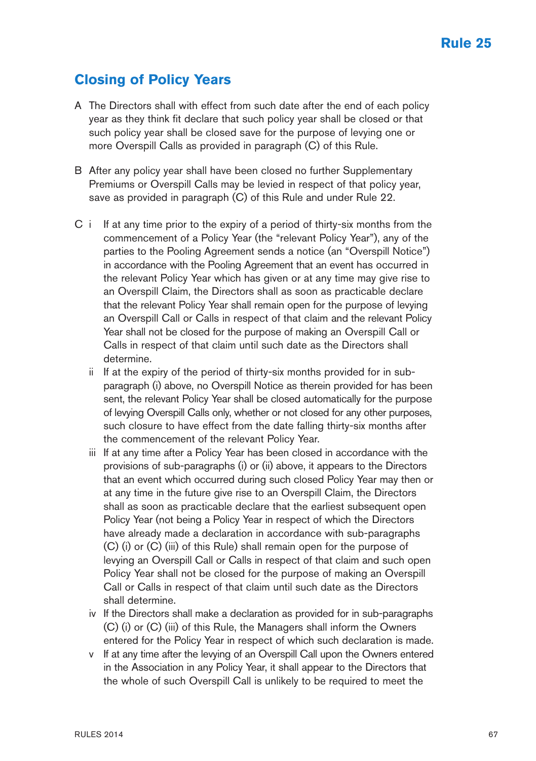## **Closing of Policy Years**

- A The Directors shall with effect from such date after the end of each policy year as they think fit declare that such policy year shall be closed or that such policy year shall be closed save for the purpose of levying one or more Overspill Calls as provided in paragraph (C) of this Rule.
- B After any policy year shall have been closed no further Supplementary Premiums or Overspill Calls may be levied in respect of that policy year, save as provided in paragraph (C) of this Rule and under Rule 22.
- C i If at any time prior to the expiry of a period of thirty-six months from the commencement of a Policy Year (the "relevant Policy Year"), any of the parties to the Pooling Agreement sends a notice (an "Overspill Notice") in accordance with the Pooling Agreement that an event has occurred in the relevant Policy Year which has given or at any time may give rise to an Overspill Claim, the Directors shall as soon as practicable declare that the relevant Policy Year shall remain open for the purpose of levying an Overspill Call or Calls in respect of that claim and the relevant Policy Year shall not be closed for the purpose of making an Overspill Call or Calls in respect of that claim until such date as the Directors shall determine.
	- ii If at the expiry of the period of thirty-six months provided for in subparagraph (i) above, no Overspill Notice as therein provided for has been sent, the relevant Policy Year shall be closed automatically for the purpose of levying Overspill Calls only, whether or not closed for any other purposes, such closure to have effect from the date falling thirty-six months after the commencement of the relevant Policy Year.
	- iii If at any time after a Policy Year has been closed in accordance with the provisions of sub-paragraphs (i) or (ii) above, it appears to the Directors that an event which occurred during such closed Policy Year may then or at any time in the future give rise to an Overspill Claim, the Directors shall as soon as practicable declare that the earliest subsequent open Policy Year (not being a Policy Year in respect of which the Directors have already made a declaration in accordance with sub-paragraphs (C) (i) or (C) (iii) of this Rule) shall remain open for the purpose of levying an Overspill Call or Calls in respect of that claim and such open Policy Year shall not be closed for the purpose of making an Overspill Call or Calls in respect of that claim until such date as the Directors shall determine.
	- iv If the Directors shall make a declaration as provided for in sub-paragraphs (C) (i) or (C) (iii) of this Rule, the Managers shall inform the Owners entered for the Policy Year in respect of which such declaration is made.
	- v If at any time after the levying of an Overspill Call upon the Owners entered in the Association in any Policy Year, it shall appear to the Directors that the whole of such Overspill Call is unlikely to be required to meet the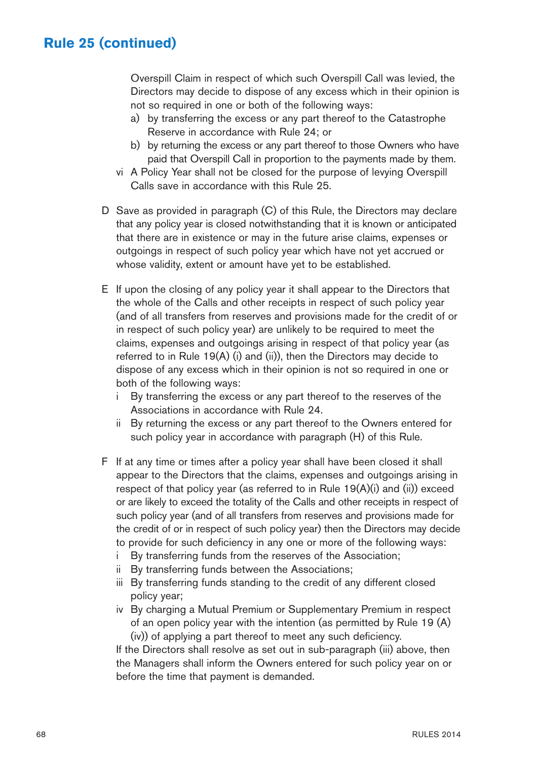Overspill Claim in respect of which such Overspill Call was levied, the Directors may decide to dispose of any excess which in their opinion is not so required in one or both of the following ways:

- a) by transferring the excess or any part thereof to the Catastrophe Reserve in accordance with Rule 24; or
- b) by returning the excess or any part thereof to those Owners who have paid that Overspill Call in proportion to the payments made by them.
- vi A Policy Year shall not be closed for the purpose of levying Overspill Calls save in accordance with this Rule 25.
- D Save as provided in paragraph (C) of this Rule, the Directors may declare that any policy year is closed notwithstanding that it is known or anticipated that there are in existence or may in the future arise claims, expenses or outgoings in respect of such policy year which have not yet accrued or whose validity, extent or amount have yet to be established.
- E If upon the closing of any policy year it shall appear to the Directors that the whole of the Calls and other receipts in respect of such policy year (and of all transfers from reserves and provisions made for the credit of or in respect of such policy year) are unlikely to be required to meet the claims, expenses and outgoings arising in respect of that policy year (as referred to in Rule 19(A) (i) and (ii)), then the Directors may decide to dispose of any excess which in their opinion is not so required in one or both of the following ways:
	- i By transferring the excess or any part thereof to the reserves of the Associations in accordance with Rule 24.
	- ii By returning the excess or any part thereof to the Owners entered for such policy year in accordance with paragraph (H) of this Rule.
- F If at any time or times after a policy year shall have been closed it shall appear to the Directors that the claims, expenses and outgoings arising in respect of that policy year (as referred to in Rule 19(A)(i) and (ii)) exceed or are likely to exceed the totality of the Calls and other receipts in respect of such policy year (and of all transfers from reserves and provisions made for the credit of or in respect of such policy year) then the Directors may decide to provide for such deficiency in any one or more of the following ways:
	- i By transferring funds from the reserves of the Association;
	- ii By transferring funds between the Associations;
	- iii By transferring funds standing to the credit of any different closed policy year;
	- iv By charging a Mutual Premium or Supplementary Premium in respect of an open policy year with the intention (as permitted by Rule 19 (A) (iv)) of applying a part thereof to meet any such deficiency.

If the Directors shall resolve as set out in sub-paragraph (iii) above, then the Managers shall inform the Owners entered for such policy year on or before the time that payment is demanded.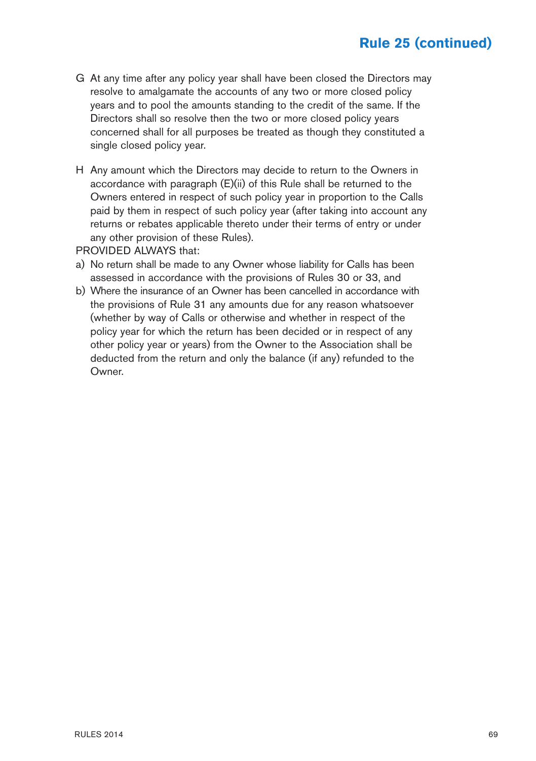- G At any time after any policy year shall have been closed the Directors may resolve to amalgamate the accounts of any two or more closed policy years and to pool the amounts standing to the credit of the same. If the Directors shall so resolve then the two or more closed policy years concerned shall for all purposes be treated as though they constituted a single closed policy year.
- H Any amount which the Directors may decide to return to the Owners in accordance with paragraph (E)(ii) of this Rule shall be returned to the Owners entered in respect of such policy year in proportion to the Calls paid by them in respect of such policy year (after taking into account any returns or rebates applicable thereto under their terms of entry or under any other provision of these Rules).
- PROVIDED ALWAYS that:
- a) No return shall be made to any Owner whose liability for Calls has been assessed in accordance with the provisions of Rules 30 or 33, and
- b) Where the insurance of an Owner has been cancelled in accordance with the provisions of Rule 31 any amounts due for any reason whatsoever (whether by way of Calls or otherwise and whether in respect of the policy year for which the return has been decided or in respect of any other policy year or years) from the Owner to the Association shall be deducted from the return and only the balance (if any) refunded to the Owner.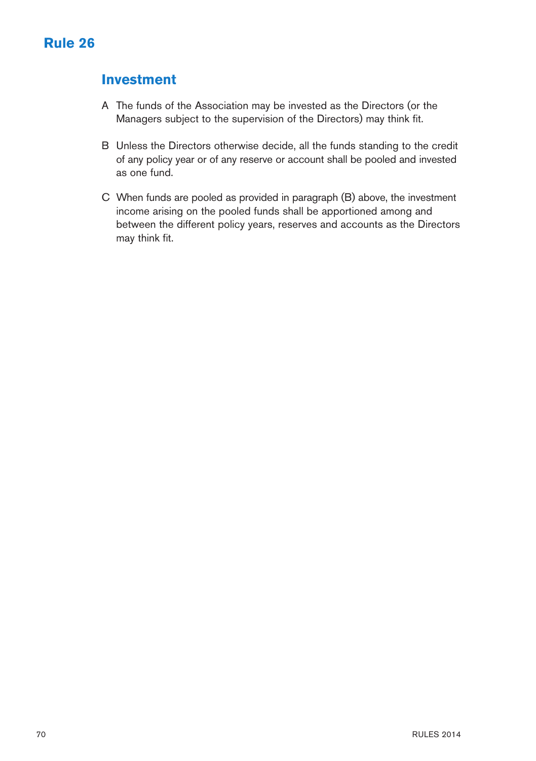### **Investment**

- A The funds of the Association may be invested as the Directors (or the Managers subject to the supervision of the Directors) may think fit.
- B Unless the Directors otherwise decide, all the funds standing to the credit of any policy year or of any reserve or account shall be pooled and invested as one fund.
- C When funds are pooled as provided in paragraph (B) above, the investment income arising on the pooled funds shall be apportioned among and between the different policy years, reserves and accounts as the Directors may think fit.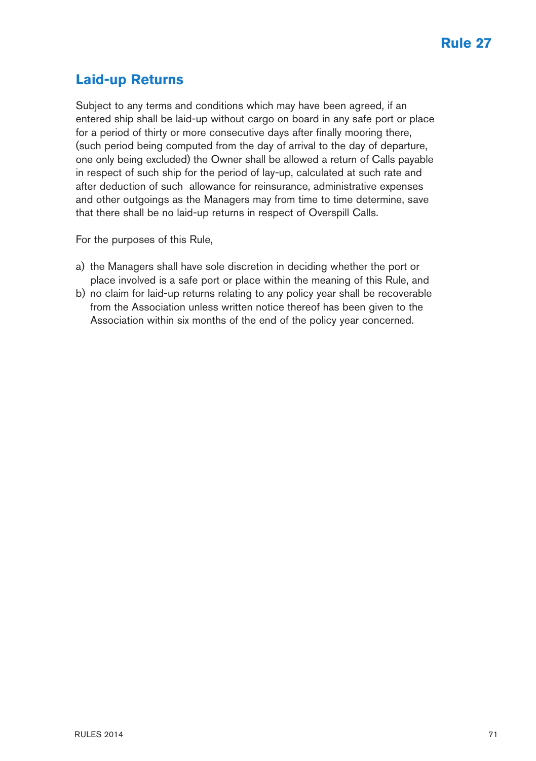## **Laid-up Returns**

Subject to any terms and conditions which may have been agreed, if an entered ship shall be laid-up without cargo on board in any safe port or place for a period of thirty or more consecutive days after finally mooring there, (such period being computed from the day of arrival to the day of departure, one only being excluded) the Owner shall be allowed a return of Calls payable in respect of such ship for the period of lay-up, calculated at such rate and after deduction of such allowance for reinsurance, administrative expenses and other outgoings as the Managers may from time to time determine, save that there shall be no laid-up returns in respect of Overspill Calls.

For the purposes of this Rule,

- a) the Managers shall have sole discretion in deciding whether the port or place involved is a safe port or place within the meaning of this Rule, and
- b) no claim for laid-up returns relating to any policy year shall be recoverable from the Association unless written notice thereof has been given to the Association within six months of the end of the policy year concerned.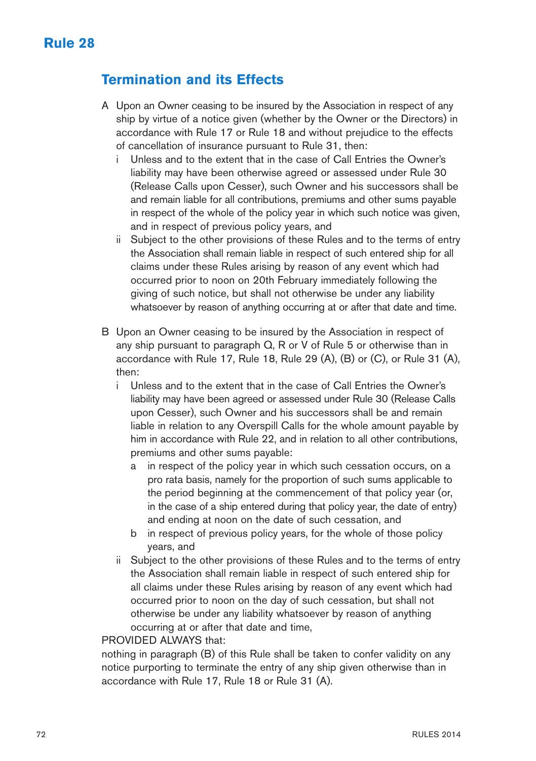### **Termination and its Effects**

- A Upon an Owner ceasing to be insured by the Association in respect of any ship by virtue of a notice given (whether by the Owner or the Directors) in accordance with Rule 17 or Rule 18 and without prejudice to the effects of cancellation of insurance pursuant to Rule 31, then:
	- Unless and to the extent that in the case of Call Entries the Owner's liability may have been otherwise agreed or assessed under Rule 30 (Release Calls upon Cesser), such Owner and his successors shall be and remain liable for all contributions, premiums and other sums payable in respect of the whole of the policy year in which such notice was given, and in respect of previous policy years, and
	- ii Subject to the other provisions of these Rules and to the terms of entry the Association shall remain liable in respect of such entered ship for all claims under these Rules arising by reason of any event which had occurred prior to noon on 20th February immediately following the giving of such notice, but shall not otherwise be under any liability whatsoever by reason of anything occurring at or after that date and time.
- B Upon an Owner ceasing to be insured by the Association in respect of any ship pursuant to paragraph Q, R or V of Rule 5 or otherwise than in accordance with Rule 17, Rule 18, Rule 29 (A), (B) or (C), or Rule 31 (A), then:
	- i Unless and to the extent that in the case of Call Entries the Owner's liability may have been agreed or assessed under Rule 30 (Release Calls upon Cesser), such Owner and his successors shall be and remain liable in relation to any Overspill Calls for the whole amount payable by him in accordance with Rule 22, and in relation to all other contributions, premiums and other sums payable:
		- a in respect of the policy year in which such cessation occurs, on a pro rata basis, namely for the proportion of such sums applicable to the period beginning at the commencement of that policy year (or, in the case of a ship entered during that policy year, the date of entry) and ending at noon on the date of such cessation, and
		- b in respect of previous policy years, for the whole of those policy years, and
	- ii Subject to the other provisions of these Rules and to the terms of entry the Association shall remain liable in respect of such entered ship for all claims under these Rules arising by reason of any event which had occurred prior to noon on the day of such cessation, but shall not otherwise be under any liability whatsoever by reason of anything occurring at or after that date and time,

#### PROVIDED ALWAYS that:

nothing in paragraph (B) of this Rule shall be taken to confer validity on any notice purporting to terminate the entry of any ship given otherwise than in accordance with Rule 17, Rule 18 or Rule 31 (A).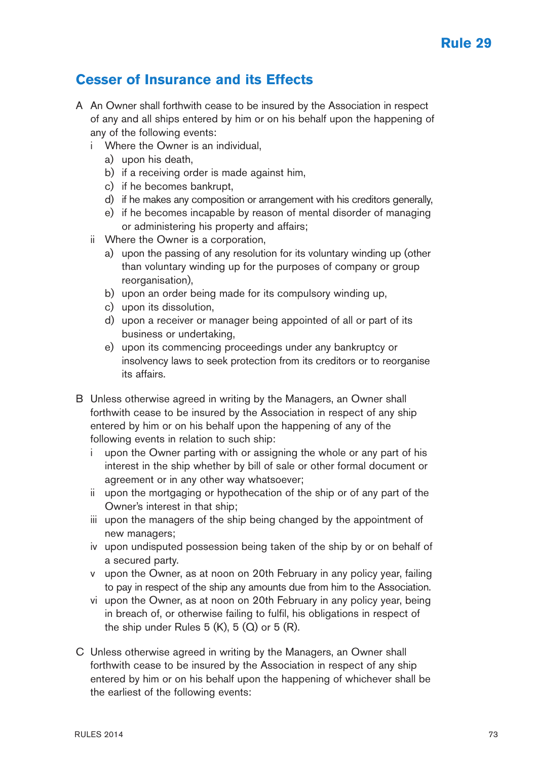### **Cesser of Insurance and its Effects**

- A An Owner shall forthwith cease to be insured by the Association in respect of any and all ships entered by him or on his behalf upon the happening of any of the following events:
	- i Where the Owner is an individual,
		- a) upon his death,
		- b) if a receiving order is made against him,
		- c) if he becomes bankrupt,
		- d) if he makes any composition or arrangement with his creditors generally,
		- e) if he becomes incapable by reason of mental disorder of managing or administering his property and affairs;
	- ii Where the Owner is a corporation,
		- a) upon the passing of any resolution for its voluntary winding up (other than voluntary winding up for the purposes of company or group reorganisation),
		- b) upon an order being made for its compulsory winding up,
		- c) upon its dissolution,
		- d) upon a receiver or manager being appointed of all or part of its business or undertaking,
		- e) upon its commencing proceedings under any bankruptcy or insolvency laws to seek protection from its creditors or to reorganise its affairs.
- B Unless otherwise agreed in writing by the Managers, an Owner shall forthwith cease to be insured by the Association in respect of any ship entered by him or on his behalf upon the happening of any of the following events in relation to such ship:
	- i upon the Owner parting with or assigning the whole or any part of his interest in the ship whether by bill of sale or other formal document or agreement or in any other way whatsoever;
	- ii upon the mortgaging or hypothecation of the ship or of any part of the Owner's interest in that ship;
	- iii upon the managers of the ship being changed by the appointment of new managers;
	- iv upon undisputed possession being taken of the ship by or on behalf of a secured party.
	- v upon the Owner, as at noon on 20th February in any policy year, failing to pay in respect of the ship any amounts due from him to the Association.
	- vi upon the Owner, as at noon on 20th February in any policy year, being in breach of, or otherwise failing to fulfil, his obligations in respect of the ship under Rules  $5$  (K),  $5$  (Q) or  $5$  (R).
- C Unless otherwise agreed in writing by the Managers, an Owner shall forthwith cease to be insured by the Association in respect of any ship entered by him or on his behalf upon the happening of whichever shall be the earliest of the following events: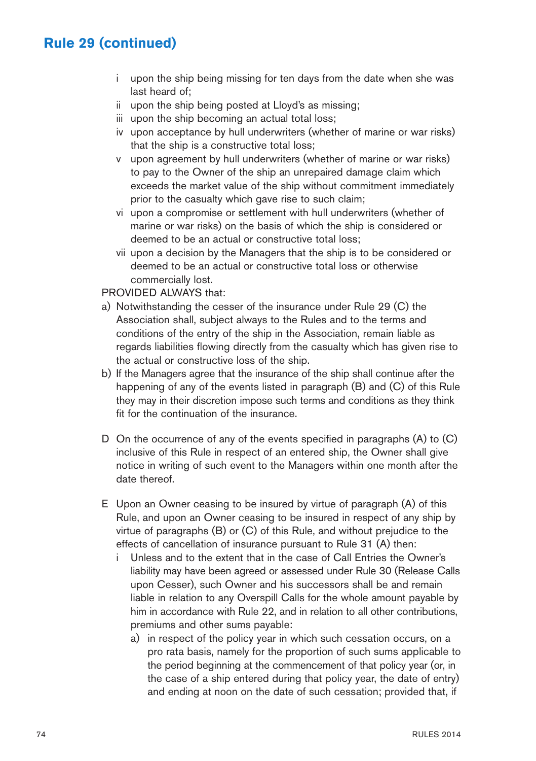# **Rule 29 (continued)**

- i upon the ship being missing for ten days from the date when she was last heard of;
- ii upon the ship being posted at Lloyd's as missing;
- iii upon the ship becoming an actual total loss:
- iv upon acceptance by hull underwriters (whether of marine or war risks) that the ship is a constructive total loss;
- v upon agreement by hull underwriters (whether of marine or war risks) to pay to the Owner of the ship an unrepaired damage claim which exceeds the market value of the ship without commitment immediately prior to the casualty which gave rise to such claim;
- vi upon a compromise or settlement with hull underwriters (whether of marine or war risks) on the basis of which the ship is considered or deemed to be an actual or constructive total loss;
- vii upon a decision by the Managers that the ship is to be considered or deemed to be an actual or constructive total loss or otherwise commercially lost.

#### PROVIDED ALWAYS that:

- a) Notwithstanding the cesser of the insurance under Rule 29 (C) the Association shall, subject always to the Rules and to the terms and conditions of the entry of the ship in the Association, remain liable as regards liabilities flowing directly from the casualty which has given rise to the actual or constructive loss of the ship.
- b) If the Managers agree that the insurance of the ship shall continue after the happening of any of the events listed in paragraph (B) and (C) of this Rule they may in their discretion impose such terms and conditions as they think fit for the continuation of the insurance.
- D On the occurrence of any of the events specified in paragraphs (A) to (C) inclusive of this Rule in respect of an entered ship, the Owner shall give notice in writing of such event to the Managers within one month after the date thereof.
- E Upon an Owner ceasing to be insured by virtue of paragraph (A) of this Rule, and upon an Owner ceasing to be insured in respect of any ship by virtue of paragraphs (B) or (C) of this Rule, and without prejudice to the effects of cancellation of insurance pursuant to Rule 31 (A) then:
	- i Unless and to the extent that in the case of Call Entries the Owner's liability may have been agreed or assessed under Rule 30 (Release Calls upon Cesser), such Owner and his successors shall be and remain liable in relation to any Overspill Calls for the whole amount payable by him in accordance with Rule 22, and in relation to all other contributions, premiums and other sums payable:
		- a) in respect of the policy year in which such cessation occurs, on a pro rata basis, namely for the proportion of such sums applicable to the period beginning at the commencement of that policy year (or, in the case of a ship entered during that policy year, the date of entry) and ending at noon on the date of such cessation; provided that, if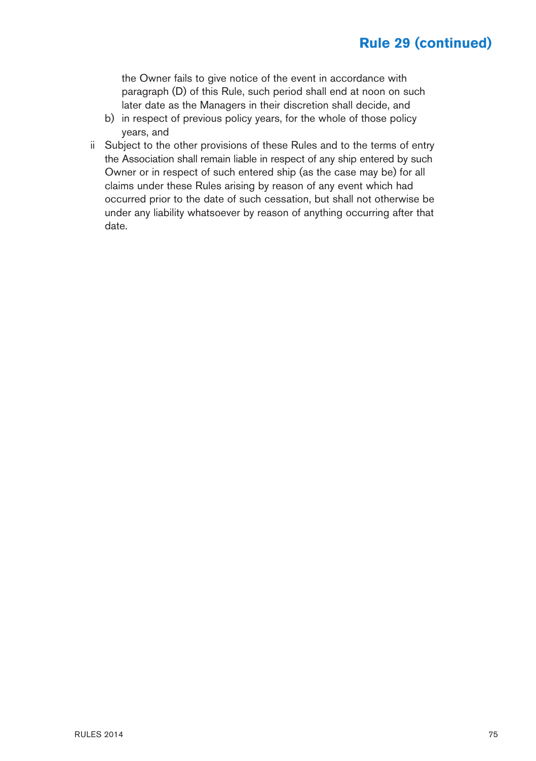# **Rule 29 (continued)**

the Owner fails to give notice of the event in accordance with paragraph (D) of this Rule, such period shall end at noon on such later date as the Managers in their discretion shall decide, and

- b) in respect of previous policy years, for the whole of those policy years, and
- ii Subject to the other provisions of these Rules and to the terms of entry the Association shall remain liable in respect of any ship entered by such Owner or in respect of such entered ship (as the case may be) for all claims under these Rules arising by reason of any event which had occurred prior to the date of such cessation, but shall not otherwise be under any liability whatsoever by reason of anything occurring after that date.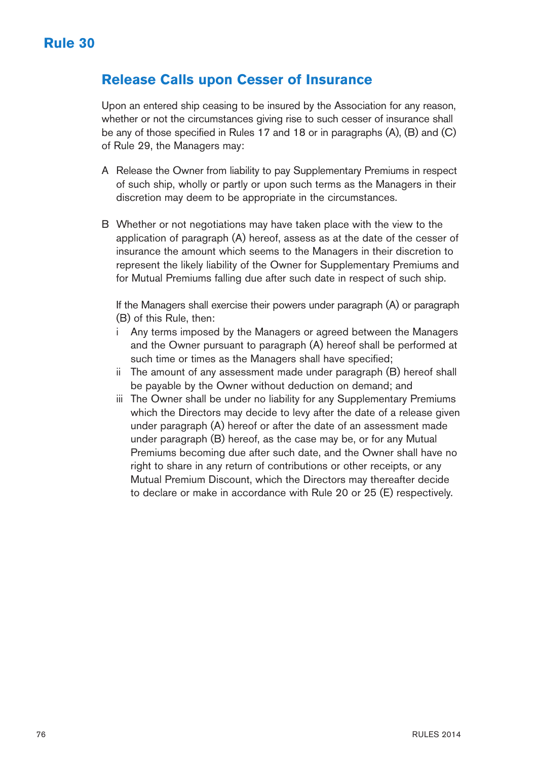#### **Release Calls upon Cesser of Insurance**

Upon an entered ship ceasing to be insured by the Association for any reason, whether or not the circumstances giving rise to such cesser of insurance shall be any of those specified in Rules 17 and 18 or in paragraphs (A), (B) and (C) of Rule 29, the Managers may:

- A Release the Owner from liability to pay Supplementary Premiums in respect of such ship, wholly or partly or upon such terms as the Managers in their discretion may deem to be appropriate in the circumstances.
- B Whether or not negotiations may have taken place with the view to the application of paragraph (A) hereof, assess as at the date of the cesser of insurance the amount which seems to the Managers in their discretion to represent the likely liability of the Owner for Supplementary Premiums and for Mutual Premiums falling due after such date in respect of such ship.

If the Managers shall exercise their powers under paragraph (A) or paragraph (B) of this Rule, then:

- i Any terms imposed by the Managers or agreed between the Managers and the Owner pursuant to paragraph (A) hereof shall be performed at such time or times as the Managers shall have specified;
- ii The amount of any assessment made under paragraph (B) hereof shall be payable by the Owner without deduction on demand; and
- iii The Owner shall be under no liability for any Supplementary Premiums which the Directors may decide to levy after the date of a release given under paragraph (A) hereof or after the date of an assessment made under paragraph (B) hereof, as the case may be, or for any Mutual Premiums becoming due after such date, and the Owner shall have no right to share in any return of contributions or other receipts, or any Mutual Premium Discount, which the Directors may thereafter decide to declare or make in accordance with Rule 20 or 25 (E) respectively.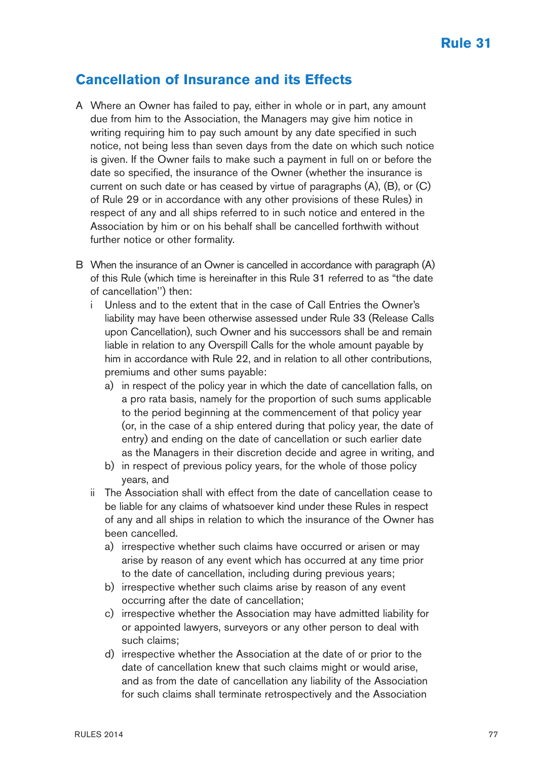#### **Cancellation of Insurance and its Effects**

- A Where an Owner has failed to pay, either in whole or in part, any amount due from him to the Association, the Managers may give him notice in writing requiring him to pay such amount by any date specified in such notice, not being less than seven days from the date on which such notice is given. If the Owner fails to make such a payment in full on or before the date so specified, the insurance of the Owner (whether the insurance is current on such date or has ceased by virtue of paragraphs (A), (B), or (C) of Rule 29 or in accordance with any other provisions of these Rules) in respect of any and all ships referred to in such notice and entered in the Association by him or on his behalf shall be cancelled forthwith without further notice or other formality.
- B When the insurance of an Owner is cancelled in accordance with paragraph (A) of this Rule (which time is hereinafter in this Rule 31 referred to as "the date of cancellation'') then:
	- Unless and to the extent that in the case of Call Entries the Owner's liability may have been otherwise assessed under Rule 33 (Release Calls upon Cancellation), such Owner and his successors shall be and remain liable in relation to any Overspill Calls for the whole amount payable by him in accordance with Rule 22, and in relation to all other contributions, premiums and other sums payable:
		- a) in respect of the policy year in which the date of cancellation falls, on a pro rata basis, namely for the proportion of such sums applicable to the period beginning at the commencement of that policy year (or, in the case of a ship entered during that policy year, the date of entry) and ending on the date of cancellation or such earlier date as the Managers in their discretion decide and agree in writing, and
		- b) in respect of previous policy years, for the whole of those policy years, and
	- ii The Association shall with effect from the date of cancellation cease to be liable for any claims of whatsoever kind under these Rules in respect of any and all ships in relation to which the insurance of the Owner has been cancelled.
		- a) irrespective whether such claims have occurred or arisen or may arise by reason of any event which has occurred at any time prior to the date of cancellation, including during previous years;
		- b) irrespective whether such claims arise by reason of any event occurring after the date of cancellation;
		- c) irrespective whether the Association may have admitted liability for or appointed lawyers, surveyors or any other person to deal with such claims;
		- d) irrespective whether the Association at the date of or prior to the date of cancellation knew that such claims might or would arise, and as from the date of cancellation any liability of the Association for such claims shall terminate retrospectively and the Association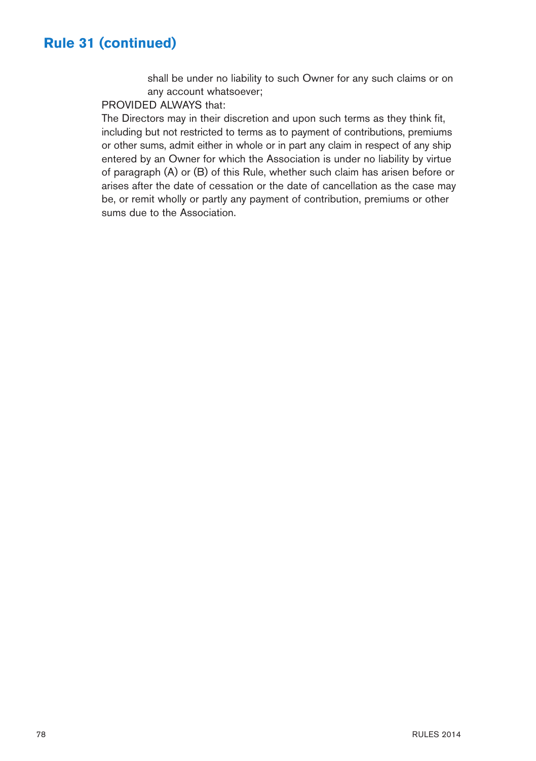# **Rule 31 (continued)**

shall be under no liability to such Owner for any such claims or on any account whatsoever;

#### PROVIDED ALWAYS that:

The Directors may in their discretion and upon such terms as they think fit, including but not restricted to terms as to payment of contributions, premiums or other sums, admit either in whole or in part any claim in respect of any ship entered by an Owner for which the Association is under no liability by virtue of paragraph (A) or (B) of this Rule, whether such claim has arisen before or arises after the date of cessation or the date of cancellation as the case may be, or remit wholly or partly any payment of contribution, premiums or other sums due to the Association.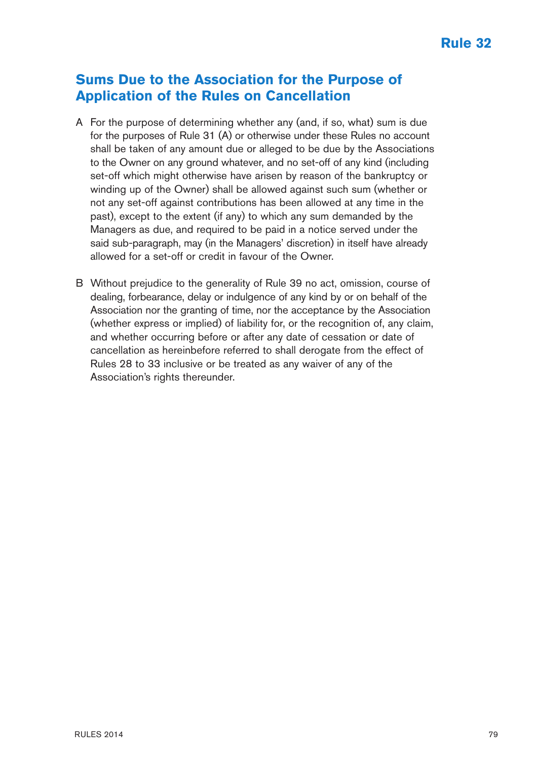#### **Sums Due to the Association for the Purpose of Application of the Rules on Cancellation**

- A For the purpose of determining whether any (and, if so, what) sum is due for the purposes of Rule 31 (A) or otherwise under these Rules no account shall be taken of any amount due or alleged to be due by the Associations to the Owner on any ground whatever, and no set-off of any kind (including set-off which might otherwise have arisen by reason of the bankruptcy or winding up of the Owner) shall be allowed against such sum (whether or not any set-off against contributions has been allowed at any time in the past), except to the extent (if any) to which any sum demanded by the Managers as due, and required to be paid in a notice served under the said sub-paragraph, may (in the Managers' discretion) in itself have already allowed for a set-off or credit in favour of the Owner.
- B Without prejudice to the generality of Rule 39 no act, omission, course of dealing, forbearance, delay or indulgence of any kind by or on behalf of the Association nor the granting of time, nor the acceptance by the Association (whether express or implied) of liability for, or the recognition of, any claim, and whether occurring before or after any date of cessation or date of cancellation as hereinbefore referred to shall derogate from the effect of Rules 28 to 33 inclusive or be treated as any waiver of any of the Association's rights thereunder.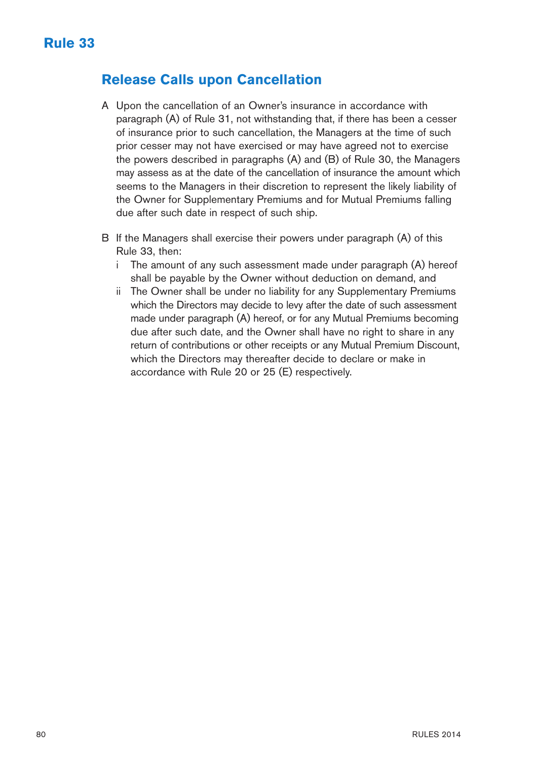#### **Release Calls upon Cancellation**

- A Upon the cancellation of an Owner's insurance in accordance with paragraph (A) of Rule 31, not withstanding that, if there has been a cesser of insurance prior to such cancellation, the Managers at the time of such prior cesser may not have exercised or may have agreed not to exercise the powers described in paragraphs (A) and (B) of Rule 30, the Managers may assess as at the date of the cancellation of insurance the amount which seems to the Managers in their discretion to represent the likely liability of the Owner for Supplementary Premiums and for Mutual Premiums falling due after such date in respect of such ship.
- B If the Managers shall exercise their powers under paragraph (A) of this Rule 33, then:
	- i The amount of any such assessment made under paragraph (A) hereof shall be payable by the Owner without deduction on demand, and
	- ii The Owner shall be under no liability for any Supplementary Premiums which the Directors may decide to levy after the date of such assessment made under paragraph (A) hereof, or for any Mutual Premiums becoming due after such date, and the Owner shall have no right to share in any return of contributions or other receipts or any Mutual Premium Discount, which the Directors may thereafter decide to declare or make in accordance with Rule 20 or 25 (E) respectively.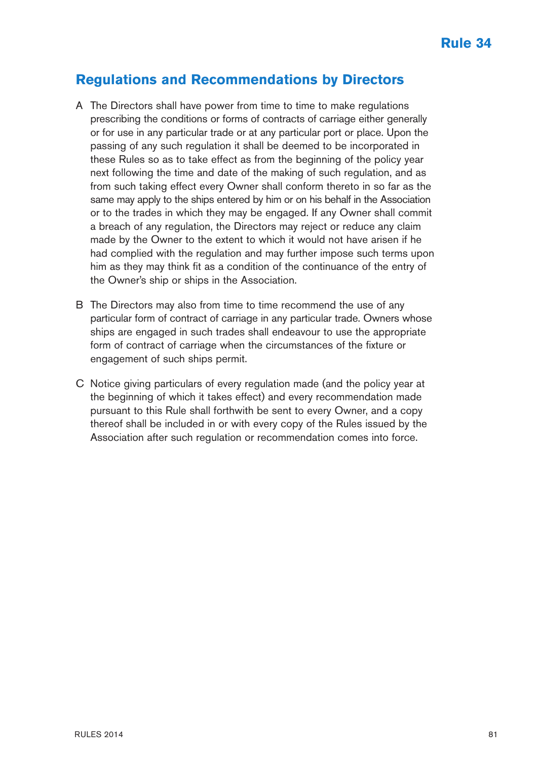#### **Regulations and Recommendations by Directors**

- A The Directors shall have power from time to time to make regulations prescribing the conditions or forms of contracts of carriage either generally or for use in any particular trade or at any particular port or place. Upon the passing of any such regulation it shall be deemed to be incorporated in these Rules so as to take effect as from the beginning of the policy year next following the time and date of the making of such regulation, and as from such taking effect every Owner shall conform thereto in so far as the same may apply to the ships entered by him or on his behalf in the Association or to the trades in which they may be engaged. If any Owner shall commit a breach of any regulation, the Directors may reject or reduce any claim made by the Owner to the extent to which it would not have arisen if he had complied with the regulation and may further impose such terms upon him as they may think fit as a condition of the continuance of the entry of the Owner's ship or ships in the Association.
- B The Directors may also from time to time recommend the use of any particular form of contract of carriage in any particular trade. Owners whose ships are engaged in such trades shall endeavour to use the appropriate form of contract of carriage when the circumstances of the fixture or engagement of such ships permit.
- C Notice giving particulars of every regulation made (and the policy year at the beginning of which it takes effect) and every recommendation made pursuant to this Rule shall forthwith be sent to every Owner, and a copy thereof shall be included in or with every copy of the Rules issued by the Association after such regulation or recommendation comes into force.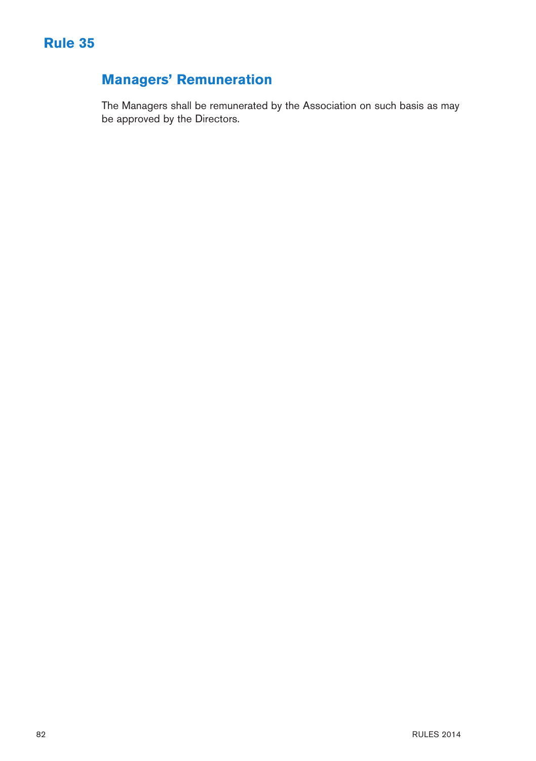

# **Managers' Remuneration**

The Managers shall be remunerated by the Association on such basis as may be approved by the Directors.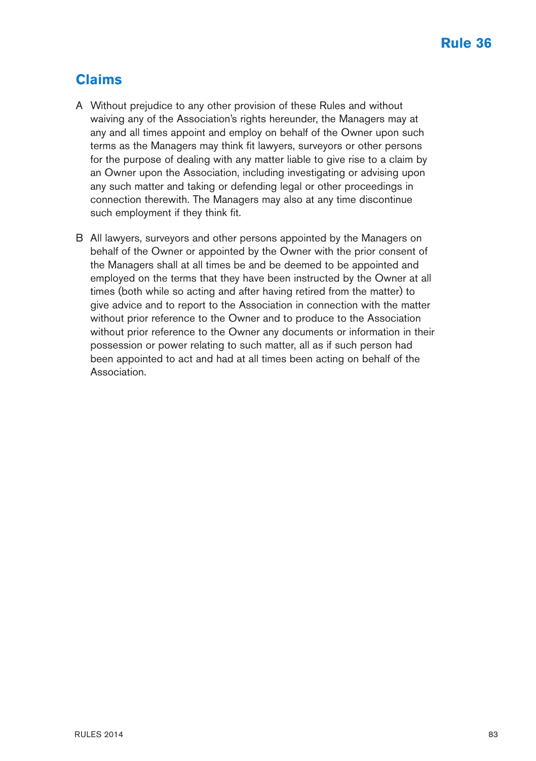# **Claims**

- A Without prejudice to any other provision of these Rules and without waiving any of the Association's rights hereunder, the Managers may at any and all times appoint and employ on behalf of the Owner upon such terms as the Managers may think fit lawyers, surveyors or other persons for the purpose of dealing with any matter liable to give rise to a claim by an Owner upon the Association, including investigating or advising upon any such matter and taking or defending legal or other proceedings in connection therewith. The Managers may also at any time discontinue such employment if they think fit.
- B All lawyers, surveyors and other persons appointed by the Managers on behalf of the Owner or appointed by the Owner with the prior consent of the Managers shall at all times be and be deemed to be appointed and employed on the terms that they have been instructed by the Owner at all times (both while so acting and after having retired from the matter) to give advice and to report to the Association in connection with the matter without prior reference to the Owner and to produce to the Association without prior reference to the Owner any documents or information in their possession or power relating to such matter, all as if such person had been appointed to act and had at all times been acting on behalf of the Association.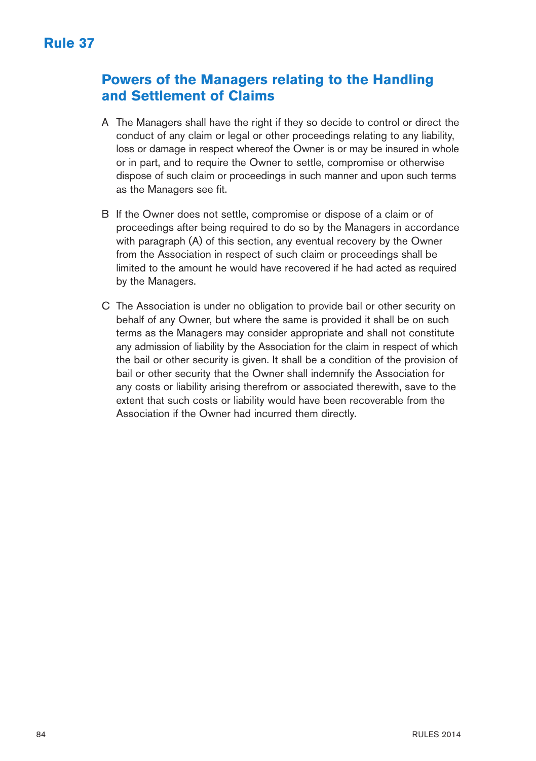#### **Powers of the Managers relating to the Handling and Settlement of Claims**

- A The Managers shall have the right if they so decide to control or direct the conduct of any claim or legal or other proceedings relating to any liability, loss or damage in respect whereof the Owner is or may be insured in whole or in part, and to require the Owner to settle, compromise or otherwise dispose of such claim or proceedings in such manner and upon such terms as the Managers see fit.
- B If the Owner does not settle, compromise or dispose of a claim or of proceedings after being required to do so by the Managers in accordance with paragraph (A) of this section, any eventual recovery by the Owner from the Association in respect of such claim or proceedings shall be limited to the amount he would have recovered if he had acted as required by the Managers.
- C The Association is under no obligation to provide bail or other security on behalf of any Owner, but where the same is provided it shall be on such terms as the Managers may consider appropriate and shall not constitute any admission of liability by the Association for the claim in respect of which the bail or other security is given. It shall be a condition of the provision of bail or other security that the Owner shall indemnify the Association for any costs or liability arising therefrom or associated therewith, save to the extent that such costs or liability would have been recoverable from the Association if the Owner had incurred them directly.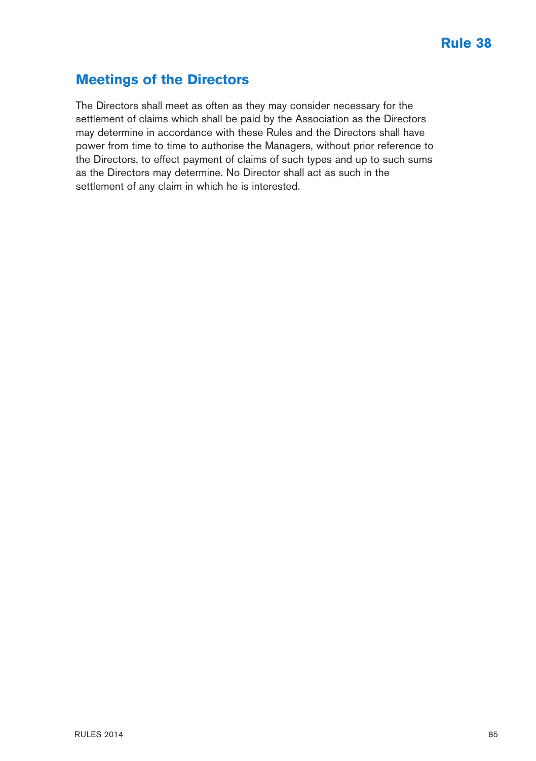#### **Meetings of the Directors**

The Directors shall meet as often as they may consider necessary for the settlement of claims which shall be paid by the Association as the Directors may determine in accordance with these Rules and the Directors shall have power from time to time to authorise the Managers, without prior reference to the Directors, to effect payment of claims of such types and up to such sums as the Directors may determine. No Director shall act as such in the settlement of any claim in which he is interested.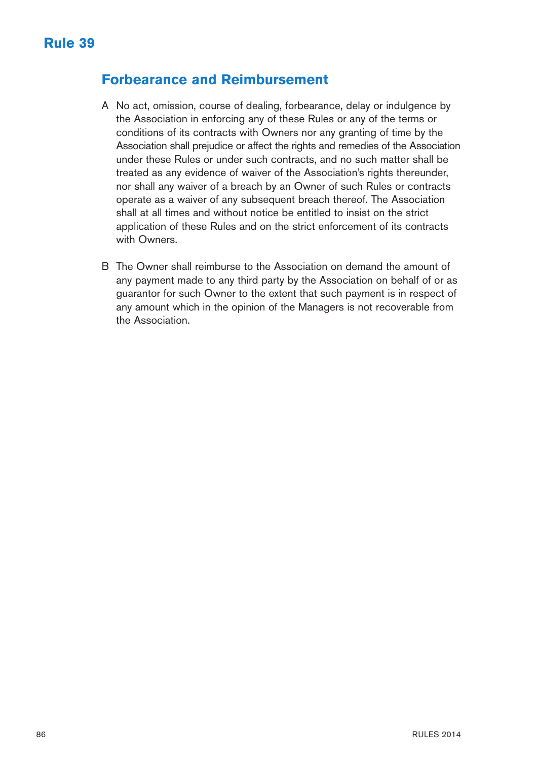#### **Forbearance and Reimbursement**

- A No act, omission, course of dealing, forbearance, delay or indulgence by the Association in enforcing any of these Rules or any of the terms or conditions of its contracts with Owners nor any granting of time by the Association shall prejudice or affect the rights and remedies of the Association under these Rules or under such contracts, and no such matter shall be treated as any evidence of waiver of the Association's rights thereunder, nor shall any waiver of a breach by an Owner of such Rules or contracts operate as a waiver of any subsequent breach thereof. The Association shall at all times and without notice be entitled to insist on the strict application of these Rules and on the strict enforcement of its contracts with Owners.
- B The Owner shall reimburse to the Association on demand the amount of any payment made to any third party by the Association on behalf of or as guarantor for such Owner to the extent that such payment is in respect of any amount which in the opinion of the Managers is not recoverable from the Association.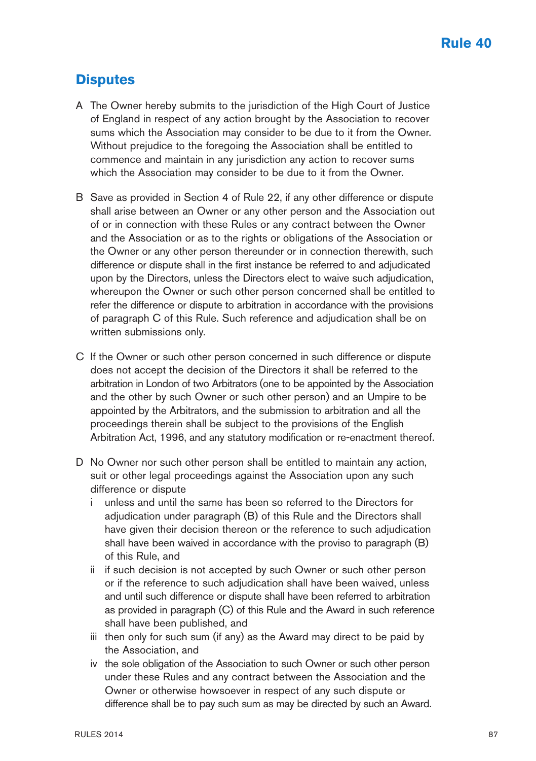#### **Disputes**

- A The Owner hereby submits to the jurisdiction of the High Court of Justice of England in respect of any action brought by the Association to recover sums which the Association may consider to be due to it from the Owner. Without prejudice to the foregoing the Association shall be entitled to commence and maintain in any jurisdiction any action to recover sums which the Association may consider to be due to it from the Owner.
- B Save as provided in Section 4 of Rule 22, if any other difference or dispute shall arise between an Owner or any other person and the Association out of or in connection with these Rules or any contract between the Owner and the Association or as to the rights or obligations of the Association or the Owner or any other person thereunder or in connection therewith, such difference or dispute shall in the first instance be referred to and adjudicated upon by the Directors, unless the Directors elect to waive such adjudication, whereupon the Owner or such other person concerned shall be entitled to refer the difference or dispute to arbitration in accordance with the provisions of paragraph C of this Rule. Such reference and adjudication shall be on written submissions only.
- C If the Owner or such other person concerned in such difference or dispute does not accept the decision of the Directors it shall be referred to the arbitration in London of two Arbitrators (one to be appointed by the Association and the other by such Owner or such other person) and an Umpire to be appointed by the Arbitrators, and the submission to arbitration and all the proceedings therein shall be subject to the provisions of the English Arbitration Act, 1996, and any statutory modification or re-enactment thereof.
- D No Owner nor such other person shall be entitled to maintain any action, suit or other legal proceedings against the Association upon any such difference or dispute
	- i unless and until the same has been so referred to the Directors for adjudication under paragraph (B) of this Rule and the Directors shall have given their decision thereon or the reference to such adjudication shall have been waived in accordance with the proviso to paragraph (B) of this Rule, and
	- ii if such decision is not accepted by such Owner or such other person or if the reference to such adjudication shall have been waived, unless and until such difference or dispute shall have been referred to arbitration as provided in paragraph (C) of this Rule and the Award in such reference shall have been published, and
	- iii then only for such sum (if any) as the Award may direct to be paid by the Association, and
	- iv the sole obligation of the Association to such Owner or such other person under these Rules and any contract between the Association and the Owner or otherwise howsoever in respect of any such dispute or difference shall be to pay such sum as may be directed by such an Award.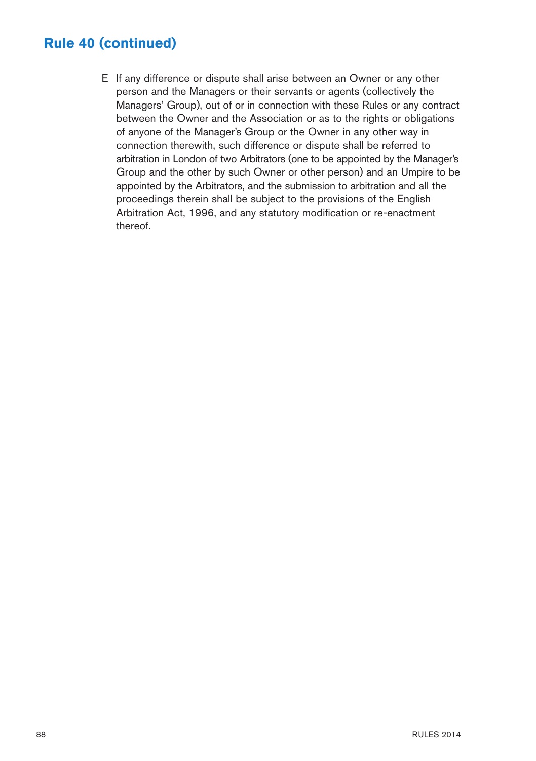# **Rule 40 (continued)**

E If any difference or dispute shall arise between an Owner or any other person and the Managers or their servants or agents (collectively the Managers' Group), out of or in connection with these Rules or any contract between the Owner and the Association or as to the rights or obligations of anyone of the Manager's Group or the Owner in any other way in connection therewith, such difference or dispute shall be referred to arbitration in London of two Arbitrators (one to be appointed by the Manager's Group and the other by such Owner or other person) and an Umpire to be appointed by the Arbitrators, and the submission to arbitration and all the proceedings therein shall be subject to the provisions of the English Arbitration Act, 1996, and any statutory modification or re-enactment thereof.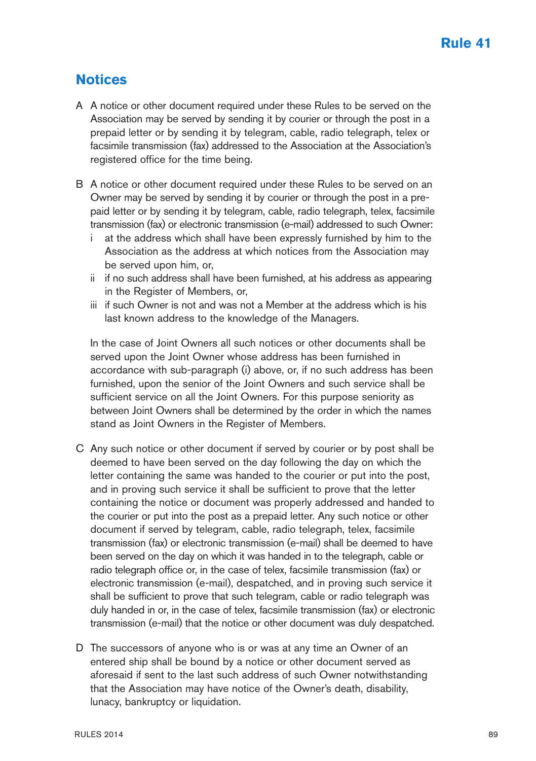### **Notices**

- A A notice or other document required under these Rules to be served on the Association may be served by sending it by courier or through the post in a prepaid letter or by sending it by telegram, cable, radio telegraph, telex or facsimile transmission (fax) addressed to the Association at the Association's registered office for the time being.
- B A notice or other document required under these Rules to be served on an Owner may be served by sending it by courier or through the post in a prepaid letter or by sending it by telegram, cable, radio telegraph, telex, facsimile transmission (fax) or electronic transmission (e-mail) addressed to such Owner:
	- at the address which shall have been expressly furnished by him to the Association as the address at which notices from the Association may be served upon him, or,
	- ii if no such address shall have been furnished, at his address as appearing in the Register of Members, or,
	- iii if such Owner is not and was not a Member at the address which is his last known address to the knowledge of the Managers.

In the case of Joint Owners all such notices or other documents shall be served upon the Joint Owner whose address has been furnished in accordance with sub-paragraph (i) above, or, if no such address has been furnished, upon the senior of the Joint Owners and such service shall be sufficient service on all the Joint Owners. For this purpose seniority as between Joint Owners shall be determined by the order in which the names stand as Joint Owners in the Register of Members.

- C Any such notice or other document if served by courier or by post shall be deemed to have been served on the day following the day on which the letter containing the same was handed to the courier or put into the post, and in proving such service it shall be sufficient to prove that the letter containing the notice or document was properly addressed and handed to the courier or put into the post as a prepaid letter. Any such notice or other document if served by telegram, cable, radio telegraph, telex, facsimile transmission (fax) or electronic transmission (e-mail) shall be deemed to have been served on the day on which it was handed in to the telegraph, cable or radio telegraph office or, in the case of telex, facsimile transmission (fax) or electronic transmission (e-mail), despatched, and in proving such service it shall be sufficient to prove that such telegram, cable or radio telegraph was duly handed in or, in the case of telex, facsimile transmission (fax) or electronic transmission (e-mail) that the notice or other document was duly despatched.
- D The successors of anyone who is or was at any time an Owner of an entered ship shall be bound by a notice or other document served as aforesaid if sent to the last such address of such Owner notwithstanding that the Association may have notice of the Owner's death, disability, lunacy, bankruptcy or liquidation.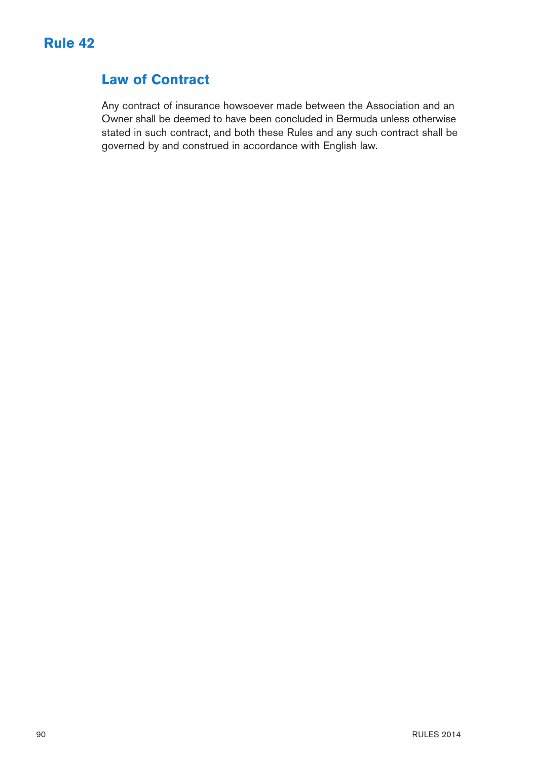

### **Law of Contract**

Any contract of insurance howsoever made between the Association and an Owner shall be deemed to have been concluded in Bermuda unless otherwise stated in such contract, and both these Rules and any such contract shall be governed by and construed in accordance with English law.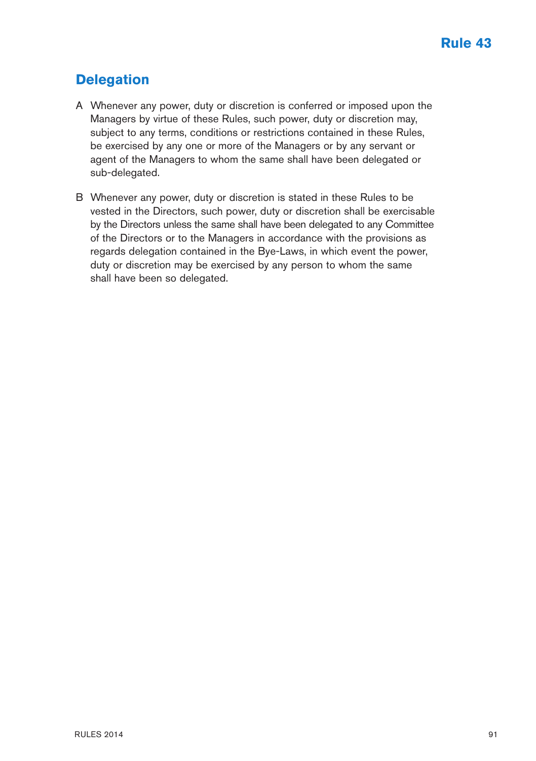# **Delegation**

- A Whenever any power, duty or discretion is conferred or imposed upon the Managers by virtue of these Rules, such power, duty or discretion may, subject to any terms, conditions or restrictions contained in these Rules, be exercised by any one or more of the Managers or by any servant or agent of the Managers to whom the same shall have been delegated or sub-delegated.
- B Whenever any power, duty or discretion is stated in these Rules to be vested in the Directors, such power, duty or discretion shall be exercisable by the Directors unless the same shall have been delegated to any Committee of the Directors or to the Managers in accordance with the provisions as regards delegation contained in the Bye-Laws, in which event the power, duty or discretion may be exercised by any person to whom the same shall have been so delegated.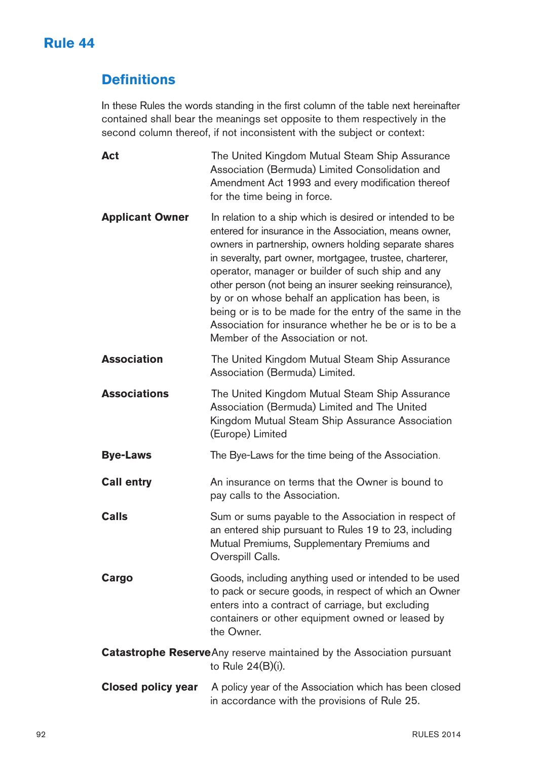# **Rule 44**

# **Definitions**

In these Rules the words standing in the first column of the table next hereinafter contained shall bear the meanings set opposite to them respectively in the second column thereof, if not inconsistent with the subject or context:

**Act** The United Kingdom Mutual Steam Ship Assurance Association (Bermuda) Limited Consolidation and Amendment Act 1993 and every modification thereof for the time being in force. **Applicant Owner** In relation to a ship which is desired or intended to be entered for insurance in the Association, means owner, owners in partnership, owners holding separate shares in severalty, part owner, mortgagee, trustee, charterer, operator, manager or builder of such ship and any other person (not being an insurer seeking reinsurance), by or on whose behalf an application has been, is being or is to be made for the entry of the same in the Association for insurance whether he be or is to be a Member of the Association or not. **Association** The United Kingdom Mutual Steam Ship Assurance Association (Bermuda) Limited. **Associations** The United Kingdom Mutual Steam Ship Assurance Association (Bermuda) Limited and The United Kingdom Mutual Steam Ship Assurance Association (Europe) Limited **Bye-Laws** The Bye-Laws for the time being of the Association. **Call entry** An insurance on terms that the Owner is bound to pay calls to the Association. **Calls** Sum or sums payable to the Association in respect of an entered ship pursuant to Rules 19 to 23, including Mutual Premiums, Supplementary Premiums and Overspill Calls. **Cargo** Goods, including anything used or intended to be used to pack or secure goods, in respect of which an Owner enters into a contract of carriage, but excluding containers or other equipment owned or leased by the Owner. **Catastrophe Reserve**Any reserve maintained by the Association pursuant to Rule 24(B)(i). **Closed policy year** A policy year of the Association which has been closed in accordance with the provisions of Rule 25.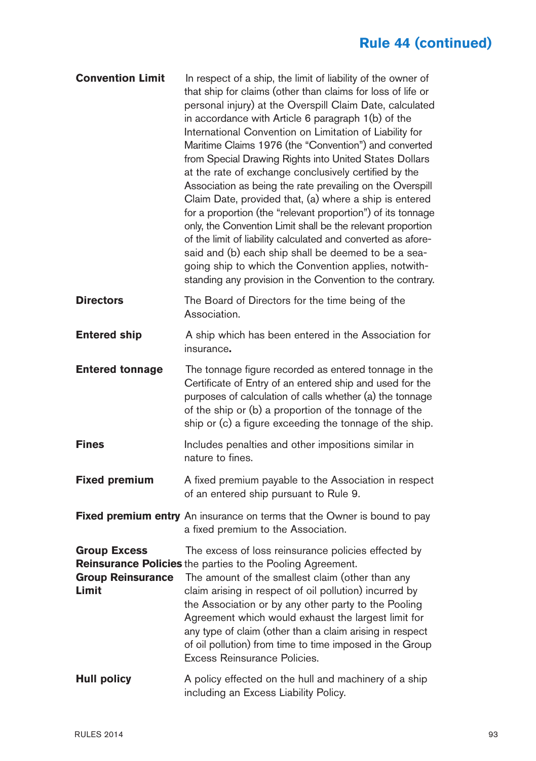# **Rule 44 (continued)**

| <b>Convention Limit</b>                                  | In respect of a ship, the limit of liability of the owner of<br>that ship for claims (other than claims for loss of life or<br>personal injury) at the Overspill Claim Date, calculated<br>in accordance with Article 6 paragraph 1(b) of the<br>International Convention on Limitation of Liability for<br>Maritime Claims 1976 (the "Convention") and converted<br>from Special Drawing Rights into United States Dollars<br>at the rate of exchange conclusively certified by the<br>Association as being the rate prevailing on the Overspill<br>Claim Date, provided that, (a) where a ship is entered<br>for a proportion (the "relevant proportion") of its tonnage<br>only, the Convention Limit shall be the relevant proportion<br>of the limit of liability calculated and converted as afore-<br>said and (b) each ship shall be deemed to be a sea-<br>going ship to which the Convention applies, notwith-<br>standing any provision in the Convention to the contrary. |
|----------------------------------------------------------|---------------------------------------------------------------------------------------------------------------------------------------------------------------------------------------------------------------------------------------------------------------------------------------------------------------------------------------------------------------------------------------------------------------------------------------------------------------------------------------------------------------------------------------------------------------------------------------------------------------------------------------------------------------------------------------------------------------------------------------------------------------------------------------------------------------------------------------------------------------------------------------------------------------------------------------------------------------------------------------|
| <b>Directors</b>                                         | The Board of Directors for the time being of the<br>Association.                                                                                                                                                                                                                                                                                                                                                                                                                                                                                                                                                                                                                                                                                                                                                                                                                                                                                                                      |
| <b>Entered ship</b>                                      | A ship which has been entered in the Association for<br>insurance.                                                                                                                                                                                                                                                                                                                                                                                                                                                                                                                                                                                                                                                                                                                                                                                                                                                                                                                    |
| <b>Entered tonnage</b>                                   | The tonnage figure recorded as entered tonnage in the<br>Certificate of Entry of an entered ship and used for the<br>purposes of calculation of calls whether (a) the tonnage<br>of the ship or (b) a proportion of the tonnage of the<br>ship or (c) a figure exceeding the tonnage of the ship.                                                                                                                                                                                                                                                                                                                                                                                                                                                                                                                                                                                                                                                                                     |
| <b>Fines</b>                                             | Includes penalties and other impositions similar in<br>nature to fines.                                                                                                                                                                                                                                                                                                                                                                                                                                                                                                                                                                                                                                                                                                                                                                                                                                                                                                               |
| <b>Fixed premium</b>                                     | A fixed premium payable to the Association in respect<br>of an entered ship pursuant to Rule 9.                                                                                                                                                                                                                                                                                                                                                                                                                                                                                                                                                                                                                                                                                                                                                                                                                                                                                       |
|                                                          | Fixed premium entry An insurance on terms that the Owner is bound to pay<br>a fixed premium to the Association.                                                                                                                                                                                                                                                                                                                                                                                                                                                                                                                                                                                                                                                                                                                                                                                                                                                                       |
| <b>Group Excess</b><br><b>Group Reinsurance</b><br>Limit | The excess of loss reinsurance policies effected by<br>Reinsurance Policies the parties to the Pooling Agreement.<br>The amount of the smallest claim (other than any<br>claim arising in respect of oil pollution) incurred by<br>the Association or by any other party to the Pooling<br>Agreement which would exhaust the largest limit for<br>any type of claim (other than a claim arising in respect<br>of oil pollution) from time to time imposed in the Group<br>Excess Reinsurance Policies.                                                                                                                                                                                                                                                                                                                                                                                                                                                                                |
| <b>Hull policy</b>                                       | A policy effected on the hull and machinery of a ship<br>including an Excess Liability Policy.                                                                                                                                                                                                                                                                                                                                                                                                                                                                                                                                                                                                                                                                                                                                                                                                                                                                                        |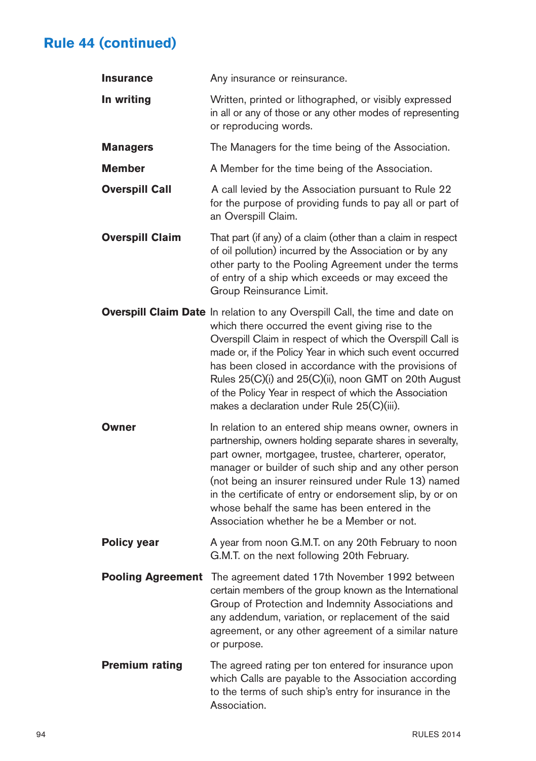# **Rule 44 (continued)**

| <b>Insurance</b>         | Any insurance or reinsurance.                                                                                                                                                                                                                                                                                                                                                                                                                                                       |
|--------------------------|-------------------------------------------------------------------------------------------------------------------------------------------------------------------------------------------------------------------------------------------------------------------------------------------------------------------------------------------------------------------------------------------------------------------------------------------------------------------------------------|
| In writing               | Written, printed or lithographed, or visibly expressed<br>in all or any of those or any other modes of representing<br>or reproducing words.                                                                                                                                                                                                                                                                                                                                        |
| <b>Managers</b>          | The Managers for the time being of the Association.                                                                                                                                                                                                                                                                                                                                                                                                                                 |
| Member                   | A Member for the time being of the Association.                                                                                                                                                                                                                                                                                                                                                                                                                                     |
| <b>Overspill Call</b>    | A call levied by the Association pursuant to Rule 22<br>for the purpose of providing funds to pay all or part of<br>an Overspill Claim.                                                                                                                                                                                                                                                                                                                                             |
| <b>Overspill Claim</b>   | That part (if any) of a claim (other than a claim in respect<br>of oil pollution) incurred by the Association or by any<br>other party to the Pooling Agreement under the terms<br>of entry of a ship which exceeds or may exceed the<br>Group Reinsurance Limit.                                                                                                                                                                                                                   |
|                          | Overspill Claim Date In relation to any Overspill Call, the time and date on<br>which there occurred the event giving rise to the<br>Overspill Claim in respect of which the Overspill Call is<br>made or, if the Policy Year in which such event occurred<br>has been closed in accordance with the provisions of<br>Rules 25(C)(i) and 25(C)(ii), noon GMT on 20th August<br>of the Policy Year in respect of which the Association<br>makes a declaration under Rule 25(C)(iii). |
| Owner                    | In relation to an entered ship means owner, owners in<br>partnership, owners holding separate shares in severalty,<br>part owner, mortgagee, trustee, charterer, operator,<br>manager or builder of such ship and any other person<br>(not being an insurer reinsured under Rule 13) named<br>in the certificate of entry or endorsement slip, by or on<br>whose behalf the same has been entered in the<br>Association whether he be a Member or not.                              |
| <b>Policy year</b>       | A year from noon G.M.T. on any 20th February to noon<br>G.M.T. on the next following 20th February.                                                                                                                                                                                                                                                                                                                                                                                 |
| <b>Pooling Agreement</b> | The agreement dated 17th November 1992 between<br>certain members of the group known as the International<br>Group of Protection and Indemnity Associations and<br>any addendum, variation, or replacement of the said<br>agreement, or any other agreement of a similar nature<br>or purpose.                                                                                                                                                                                      |
| <b>Premium rating</b>    | The agreed rating per ton entered for insurance upon<br>which Calls are payable to the Association according<br>to the terms of such ship's entry for insurance in the<br>Association.                                                                                                                                                                                                                                                                                              |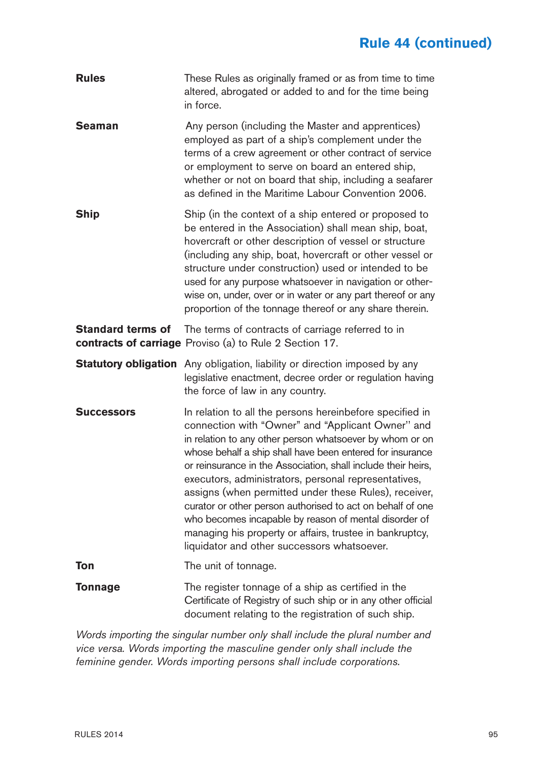# **Rule 44 (continued)**

| <b>Rules</b>             | These Rules as originally framed or as from time to time<br>altered, abrogated or added to and for the time being<br>in force.                                                                                                                                                                                                                                                                                                                                                                                                                                                                                                                             |
|--------------------------|------------------------------------------------------------------------------------------------------------------------------------------------------------------------------------------------------------------------------------------------------------------------------------------------------------------------------------------------------------------------------------------------------------------------------------------------------------------------------------------------------------------------------------------------------------------------------------------------------------------------------------------------------------|
| Seaman                   | Any person (including the Master and apprentices)<br>employed as part of a ship's complement under the<br>terms of a crew agreement or other contract of service<br>or employment to serve on board an entered ship,<br>whether or not on board that ship, including a seafarer<br>as defined in the Maritime Labour Convention 2006.                                                                                                                                                                                                                                                                                                                      |
| Ship                     | Ship (in the context of a ship entered or proposed to<br>be entered in the Association) shall mean ship, boat,<br>hovercraft or other description of vessel or structure<br>(including any ship, boat, hovercraft or other vessel or<br>structure under construction) used or intended to be<br>used for any purpose whatsoever in navigation or other-<br>wise on, under, over or in water or any part thereof or any<br>proportion of the tonnage thereof or any share therein.                                                                                                                                                                          |
| <b>Standard terms of</b> | The terms of contracts of carriage referred to in<br>contracts of carriage Proviso (a) to Rule 2 Section 17.                                                                                                                                                                                                                                                                                                                                                                                                                                                                                                                                               |
|                          | <b>Statutory obligation</b> Any obligation, liability or direction imposed by any<br>legislative enactment, decree order or regulation having<br>the force of law in any country.                                                                                                                                                                                                                                                                                                                                                                                                                                                                          |
| <b>Successors</b>        | In relation to all the persons hereinbefore specified in<br>connection with "Owner" and "Applicant Owner" and<br>in relation to any other person whatsoever by whom or on<br>whose behalf a ship shall have been entered for insurance<br>or reinsurance in the Association, shall include their heirs,<br>executors, administrators, personal representatives,<br>assigns (when permitted under these Rules), receiver,<br>curator or other person authorised to act on behalf of one<br>who becomes incapable by reason of mental disorder of<br>managing his property or affairs, trustee in bankruptcy,<br>liquidator and other successors whatsoever. |
| Ton                      | The unit of tonnage.                                                                                                                                                                                                                                                                                                                                                                                                                                                                                                                                                                                                                                       |
| Tonnage                  | The register tonnage of a ship as certified in the<br>Certificate of Registry of such ship or in any other official<br>document relating to the registration of such ship.                                                                                                                                                                                                                                                                                                                                                                                                                                                                                 |

*Words importing the singular number only shall include the plural number and vice versa. Words importing the masculine gender only shall include the feminine gender. Words importing persons shall include corporations.*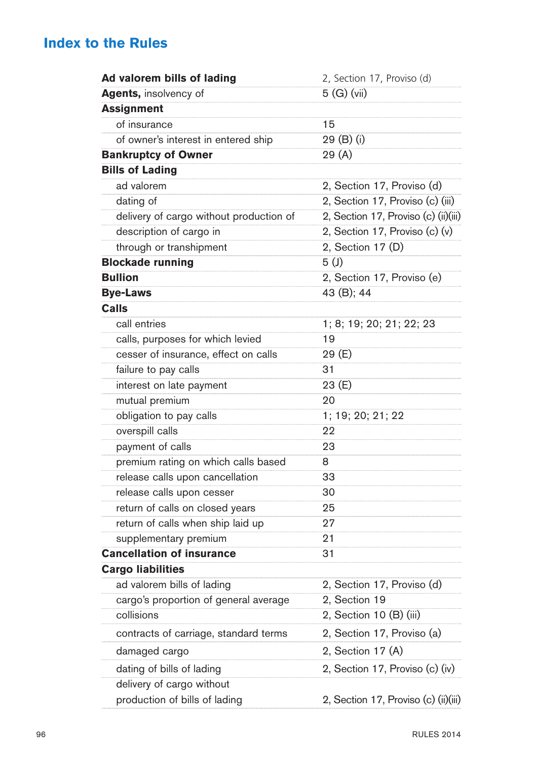| Ad valorem bills of lading              | 2, Section 17, Proviso (d)           |
|-----------------------------------------|--------------------------------------|
| <b>Agents, insolvency of</b>            | 5(G)(vi)                             |
| <b>Assignment</b>                       |                                      |
| of insurance                            | 15                                   |
| of owner's interest in entered ship     | 29 (B) (i)                           |
| <b>Bankruptcy of Owner</b>              | 29(A)                                |
| <b>Bills of Lading</b>                  |                                      |
| ad valorem                              | 2, Section 17, Proviso (d)           |
| dating of                               | 2, Section 17, Proviso (c) (iii)     |
| delivery of cargo without production of | 2, Section 17, Proviso (c) (ii)(iii) |
| description of cargo in                 | 2, Section 17, Proviso (c) (v)       |
| through or transhipment                 | 2, Section 17 (D)                    |
| <b>Blockade running</b>                 | 5 <sub>(</sub> )                     |
| <b>Bullion</b>                          | 2, Section 17, Proviso (e)           |
| <b>Bye-Laws</b>                         | 43 (B); 44                           |
| Calls                                   |                                      |
| call entries                            | 1; 8; 19; 20; 21; 22; 23             |
| calls, purposes for which levied        | 19                                   |
| cesser of insurance, effect on calls    | 29 (E)                               |
| failure to pay calls                    | 31                                   |
| interest on late payment                | 23 (E)                               |
| mutual premium                          | 20                                   |
| obligation to pay calls                 | 1; 19; 20; 21; 22                    |
| overspill calls                         | 22                                   |
| payment of calls                        | 23                                   |
| premium rating on which calls based     | 8                                    |
| release calls upon cancellation         | 33                                   |
| release calls upon cesser               | 30                                   |
| return of calls on closed years         | 25                                   |
| return of calls when ship laid up       | 27                                   |
| supplementary premium                   | 21                                   |
| <b>Cancellation of insurance</b>        | 31                                   |
| <b>Cargo liabilities</b>                |                                      |
| ad valorem bills of lading              | 2, Section 17, Proviso (d)           |
| cargo's proportion of general average   | 2, Section 19                        |
| collisions                              | 2, Section 10 (B) (iii)              |
| contracts of carriage, standard terms   | 2, Section 17, Proviso (a)           |
| damaged cargo                           | 2, Section 17 (A)                    |
| dating of bills of lading               | 2, Section 17, Proviso (c) (iv)      |
| delivery of cargo without               |                                      |
| production of bills of lading           | 2, Section 17, Proviso (c) (ii)(iii) |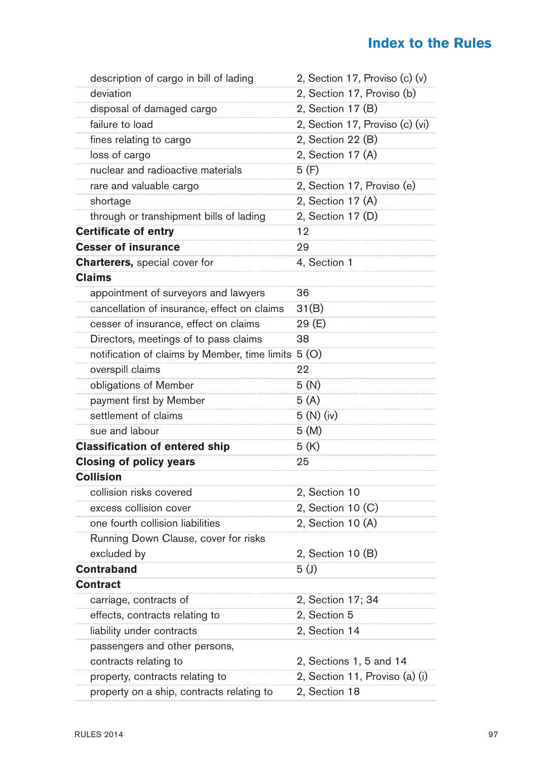| description of cargo in bill of lading              | 2, Section 17, Proviso (c) (v)  |
|-----------------------------------------------------|---------------------------------|
| deviation                                           | 2, Section 17, Proviso (b)      |
| disposal of damaged cargo                           | 2, Section 17 (B)               |
| failure to load                                     | 2, Section 17, Proviso (c) (vi) |
| fines relating to cargo                             | 2, Section 22 (B)               |
| loss of cargo                                       | 2, Section 17 (A)               |
| nuclear and radioactive materials                   | 5 (F)                           |
| rare and valuable cargo                             | 2, Section 17, Proviso (e)      |
| shortage                                            | 2, Section 17 (A)               |
| through or transhipment bills of lading             | 2, Section 17 (D)               |
| <b>Certificate of entry</b>                         | 12                              |
| <b>Cesser of insurance</b>                          | 29                              |
| <b>Charterers, special cover for</b>                | 4, Section 1                    |
| <b>Claims</b>                                       |                                 |
| appointment of surveyors and lawyers                | 36                              |
| cancellation of insurance, effect on claims         | 31(B)                           |
| cesser of insurance, effect on claims               | 29 (E)                          |
| Directors, meetings of to pass claims               | 38                              |
| notification of claims by Member, time limits 5 (O) |                                 |
| overspill claims                                    | 22                              |
| obligations of Member                               | 5(N)                            |
| payment first by Member                             | 5(A)                            |
| settlement of claims                                | 5(N)(iv)                        |
| sue and labour                                      | 5(M)                            |
| <b>Classification of entered ship</b>               | 5 (K)                           |
| <b>Closing of policy years</b>                      | 25                              |
| <b>Collision</b>                                    |                                 |
| collision risks covered                             | 2, Section 10                   |
| excess collision cover                              | 2, Section 10 (C)               |
| one fourth collision liabilities                    | 2, Section 10 (A)               |
| Running Down Clause, cover for risks                |                                 |
| excluded by                                         | 2, Section 10 (B)               |
| <b>Contraband</b>                                   | 5(J)                            |
| <b>Contract</b>                                     |                                 |
| carriage, contracts of                              | 2, Section 17; 34               |
| effects, contracts relating to                      | 2, Section 5                    |
| liability under contracts                           | 2, Section 14                   |
| passengers and other persons,                       |                                 |
| contracts relating to                               | 2, Sections 1, 5 and 14         |
| property, contracts relating to                     | 2, Section 11, Proviso (a) (i)  |
| property on a ship, contracts relating to           | 2, Section 18                   |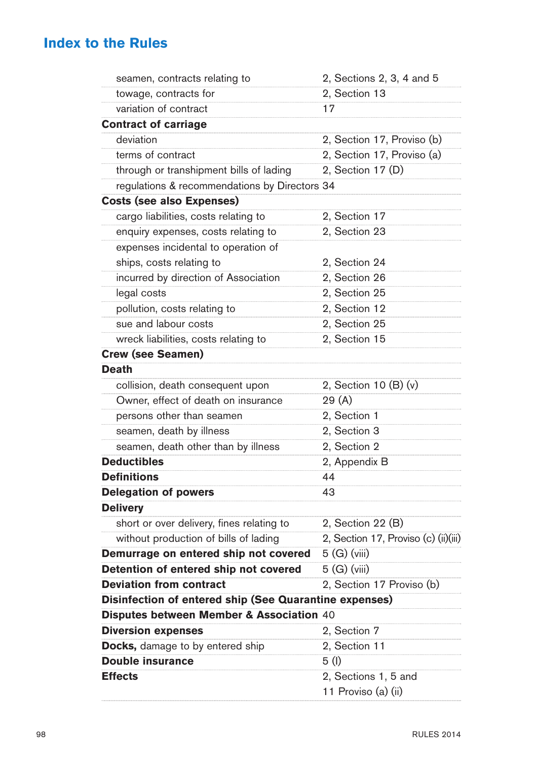| seamen, contracts relating to                          | 2, Sections 2, 3, 4 and 5            |
|--------------------------------------------------------|--------------------------------------|
| towage, contracts for                                  | 2, Section 13                        |
| variation of contract                                  | 17                                   |
| <b>Contract of carriage</b>                            |                                      |
| deviation                                              | 2, Section 17, Proviso (b)           |
| terms of contract                                      | 2, Section 17, Proviso (a)           |
| through or transhipment bills of lading                | 2, Section 17 (D)                    |
| regulations & recommendations by Directors 34          |                                      |
| <b>Costs (see also Expenses)</b>                       |                                      |
| cargo liabilities, costs relating to                   | 2, Section 17                        |
| enquiry expenses, costs relating to                    | 2, Section 23                        |
| expenses incidental to operation of                    |                                      |
| ships, costs relating to                               | 2, Section 24                        |
| incurred by direction of Association                   | 2, Section 26                        |
| legal costs                                            | 2, Section 25                        |
| pollution, costs relating to                           | 2, Section 12                        |
| sue and labour costs                                   | 2, Section 25                        |
| wreck liabilities, costs relating to                   | 2, Section 15                        |
| <b>Crew (see Seamen)</b>                               |                                      |
| <b>Death</b>                                           |                                      |
| collision, death consequent upon                       | 2, Section 10 (B) (v)                |
| Owner, effect of death on insurance                    | 29(A)                                |
| persons other than seamen                              | 2, Section 1                         |
| seamen, death by illness                               | 2, Section 3                         |
| seamen, death other than by illness                    | 2, Section 2                         |
| <b>Deductibles</b>                                     | 2, Appendix B                        |
| <b>Definitions</b>                                     | 44                                   |
| <b>Delegation of powers</b>                            | 43                                   |
| <b>Delivery</b>                                        |                                      |
| short or over delivery, fines relating to              | 2, Section 22 (B)                    |
| without production of bills of lading                  | 2, Section 17, Proviso (c) (ii)(iii) |
| Demurrage on entered ship not covered                  | 5(G)(viii)                           |
| Detention of entered ship not covered                  | 5(G)(viii)                           |
| <b>Deviation from contract</b>                         | 2, Section 17 Proviso (b)            |
| Disinfection of entered ship (See Quarantine expenses) |                                      |
| Disputes between Member & Association 40               |                                      |
| <b>Diversion expenses</b>                              | 2, Section 7                         |
| <b>Docks,</b> damage to by entered ship                | 2, Section 11                        |
| <b>Double insurance</b>                                | 5(1)                                 |
| <b>Effects</b>                                         | 2, Sections 1, 5 and                 |
|                                                        | 11 Proviso (a) (ii)                  |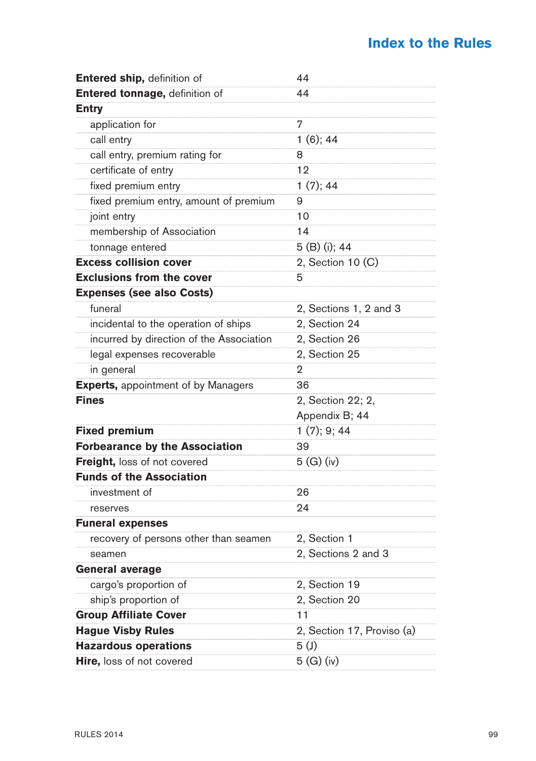| Entered ship, definition of                | 44                         |
|--------------------------------------------|----------------------------|
| Entered tonnage, definition of             | 44                         |
| <b>Entry</b>                               |                            |
| application for                            | 7                          |
| call entry                                 | $1(6)$ ; 44                |
| call entry, premium rating for             | 8                          |
| certificate of entry                       | 12                         |
| fixed premium entry                        | 1(7); 44                   |
| fixed premium entry, amount of premium     | 9                          |
| joint entry                                | 10                         |
| membership of Association                  | 14                         |
| tonnage entered                            | 5 (B) (i); 44              |
| <b>Excess collision cover</b>              | 2, Section 10 (C)          |
| <b>Exclusions from the cover</b>           | 5                          |
| <b>Expenses (see also Costs)</b>           |                            |
| funeral                                    | 2, Sections 1, 2 and 3     |
| incidental to the operation of ships       | 2, Section 24              |
| incurred by direction of the Association   | 2, Section 26              |
| legal expenses recoverable                 | 2, Section 25              |
| in general                                 | 2                          |
| <b>Experts, appointment of by Managers</b> | 36                         |
| <b>Fines</b>                               | 2, Section 22; 2,          |
|                                            | Appendix B; 44             |
| <b>Fixed premium</b>                       | $1(7)$ ; 9; 44             |
| <b>Forbearance by the Association</b>      | 39                         |
| <b>Freight, loss of not covered</b>        | 5(G)(iv)                   |
| <b>Funds of the Association</b>            |                            |
| investment of                              | 26                         |
| reserves                                   | 24                         |
| <b>Funeral expenses</b>                    |                            |
| recovery of persons other than seamen      | 2, Section 1               |
| seamen                                     | 2, Sections 2 and 3        |
| General average                            |                            |
| cargo's proportion of                      | 2, Section 19              |
| ship's proportion of                       | 2, Section 20              |
| <b>Group Affiliate Cover</b>               | 11                         |
| <b>Hague Visby Rules</b>                   | 2, Section 17, Proviso (a) |
| <b>Hazardous operations</b>                | 5 <sup>(j)</sup>           |
| Hire, loss of not covered                  | 5(G)(iv)                   |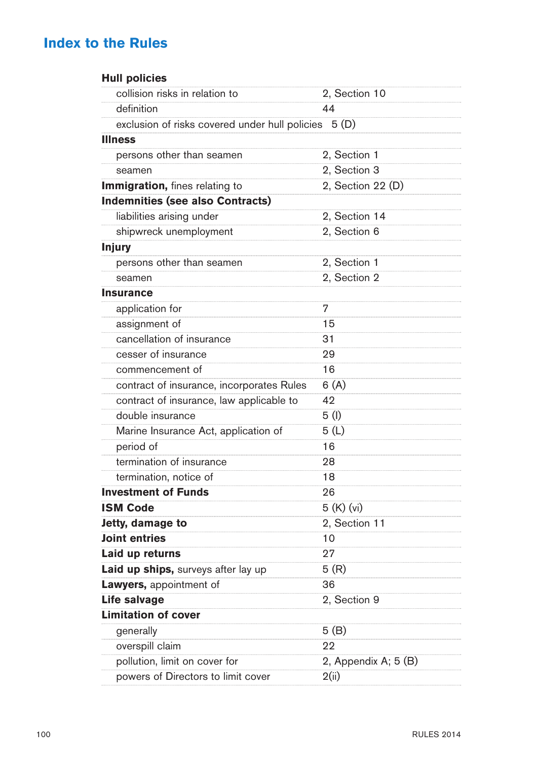| <b>Hull policies</b>                           |                      |
|------------------------------------------------|----------------------|
| collision risks in relation to                 | 2, Section 10        |
| definition                                     | 44                   |
| exclusion of risks covered under hull policies | 5 (D)                |
| <b>Illness</b>                                 |                      |
| persons other than seamen                      | 2, Section 1         |
| seamen                                         | 2, Section 3         |
| Immigration, fines relating to                 | 2, Section 22 (D)    |
| <b>Indemnities (see also Contracts)</b>        |                      |
| liabilities arising under                      | 2, Section 14        |
| shipwreck unemployment                         | 2, Section 6         |
| <b>Injury</b>                                  |                      |
| persons other than seamen                      | 2, Section 1         |
| seamen                                         | 2, Section 2         |
| <b>Insurance</b>                               |                      |
| application for                                | 7                    |
| assignment of                                  | 15                   |
| cancellation of insurance                      | 31                   |
| cesser of insurance                            | 29                   |
| commencement of                                | 16                   |
| contract of insurance, incorporates Rules      | 6(A)                 |
| contract of insurance, law applicable to       | 42                   |
| double insurance                               | 5(1)                 |
| Marine Insurance Act, application of           | 5(L)                 |
| period of                                      | 16                   |
| termination of insurance                       | 28                   |
| termination, notice of                         | 18                   |
| <b>Investment of Funds</b>                     | 26                   |
| <b>ISM Code</b>                                | 5 (K) (vi)           |
| Jetty, damage to                               | 2, Section 11        |
| Joint entries                                  | 10                   |
| Laid up returns                                | 27                   |
| Laid up ships, surveys after lay up            | 5(R)                 |
| Lawyers, appointment of                        | 36                   |
| <b>Life salvage</b>                            | 2, Section 9         |
| <b>Limitation of cover</b>                     |                      |
| generally                                      | 5(B)                 |
| overspill claim                                | 22                   |
| pollution, limit on cover for                  | 2, Appendix A; 5 (B) |
| powers of Directors to limit cover             | 2(ii)                |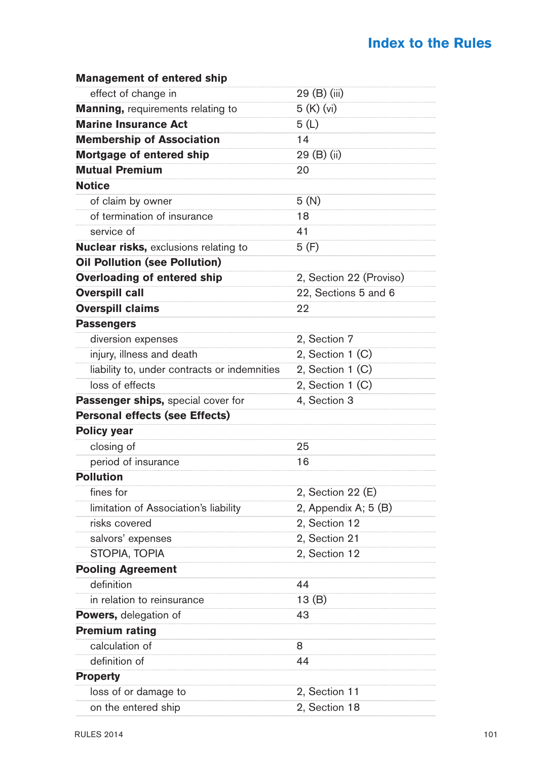| <b>Management of entered ship</b>            |                         |
|----------------------------------------------|-------------------------|
| effect of change in                          | 29 (B) (iii)            |
| <b>Manning, requirements relating to</b>     | 5(K)(vi)                |
| <b>Marine Insurance Act</b>                  | 5 (L)                   |
| <b>Membership of Association</b>             | 14                      |
| Mortgage of entered ship                     | 29 (B) (ii)             |
| <b>Mutual Premium</b>                        | 20                      |
| <b>Notice</b>                                |                         |
| of claim by owner                            | 5(N)                    |
| of termination of insurance                  | 18                      |
| service of                                   | 41                      |
| <b>Nuclear risks, exclusions relating to</b> | 5(F)                    |
| <b>Oil Pollution (see Pollution)</b>         |                         |
| Overloading of entered ship                  | 2, Section 22 (Proviso) |
| <b>Overspill call</b>                        | 22, Sections 5 and 6    |
| <b>Overspill claims</b>                      | 22                      |
| <b>Passengers</b>                            |                         |
| diversion expenses                           | 2, Section 7            |
| injury, illness and death                    | 2, Section $1(C)$       |
| liability to, under contracts or indemnities | 2. Section $1(C)$       |
| loss of effects                              | 2, Section 1 (C)        |
| Passenger ships, special cover for           | 4, Section 3            |
| <b>Personal effects (see Effects)</b>        |                         |
| <b>Policy year</b>                           |                         |
| closing of                                   | 25                      |
| period of insurance                          | 16                      |
| <b>Pollution</b>                             |                         |
| fines for                                    | 2, Section 22 (E)       |
| limitation of Association's liability        | 2, Appendix A; 5 (B)    |
| risks covered                                | 2, Section 12           |
| salvors' expenses                            | 2, Section 21           |
| STOPIA, TOPIA                                | 2, Section 12           |
| <b>Pooling Agreement</b>                     |                         |
| definition                                   | 44                      |
| in relation to reinsurance                   | 13 $(B)$                |
| <b>Powers,</b> delegation of                 | 43                      |
| <b>Premium rating</b>                        |                         |
| calculation of                               | 8                       |
| definition of                                | 44                      |
| <b>Property</b>                              |                         |
| loss of or damage to                         | 2, Section 11           |
| on the entered ship                          | 2, Section 18           |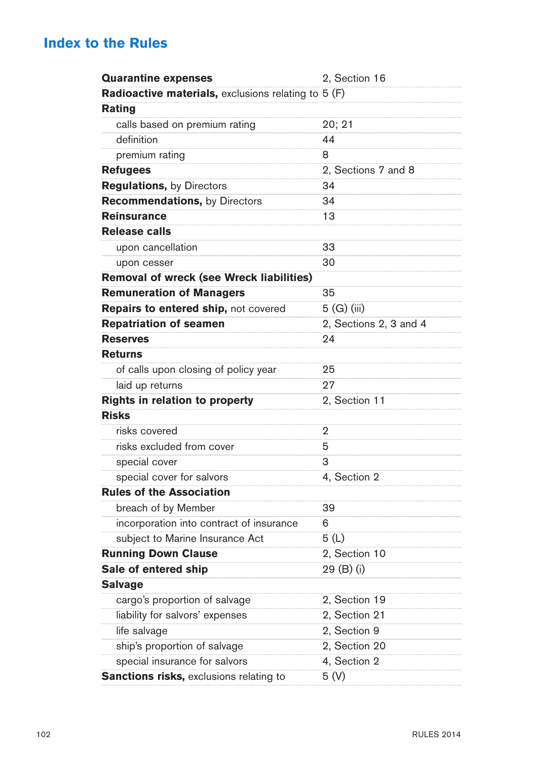| <b>Quarantine expenses</b>                          | 2, Section 16          |
|-----------------------------------------------------|------------------------|
| Radioactive materials, exclusions relating to 5 (F) |                        |
| Rating                                              |                        |
| calls based on premium rating                       | 20; 21                 |
| definition                                          | 44                     |
| premium rating                                      | 8                      |
| <b>Refugees</b>                                     | 2, Sections 7 and 8    |
| <b>Regulations, by Directors</b>                    | 34                     |
| <b>Recommendations, by Directors</b>                | 34                     |
| <b>Reinsurance</b>                                  | 13                     |
| <b>Release calls</b>                                |                        |
| upon cancellation                                   | 33                     |
| upon cesser                                         | 30                     |
| Removal of wreck (see Wreck liabilities)            |                        |
| <b>Remuneration of Managers</b>                     | 35                     |
| Repairs to entered ship, not covered                | 5 (G) (iii)            |
| <b>Repatriation of seamen</b>                       | 2, Sections 2, 3 and 4 |
| <b>Reserves</b>                                     | 24                     |
| <b>Returns</b>                                      |                        |
| of calls upon closing of policy year                | 25                     |
| laid up returns                                     | 27                     |
| Rights in relation to property                      | 2, Section 11          |
| <b>Risks</b>                                        |                        |
| risks covered                                       | 2                      |
| risks excluded from cover                           | 5                      |
| special cover                                       | 3                      |
| special cover for salvors                           | 4, Section 2           |
| <b>Rules of the Association</b>                     |                        |
| breach of by Member                                 | 39                     |
| incorporation into contract of insurance            | 6                      |
| subject to Marine Insurance Act                     | 5(L)                   |
| <b>Running Down Clause</b>                          | 2, Section 10          |
| Sale of entered ship                                | 29 (B) (i)             |
| <b>Salvage</b>                                      |                        |
| cargo's proportion of salvage                       | 2, Section 19          |
| liability for salvors' expenses                     | 2, Section 21          |
| life salvage                                        | 2, Section 9           |
| ship's proportion of salvage                        | 2, Section 20          |
| special insurance for salvors                       | 4, Section 2           |
| Sanctions risks, exclusions relating to             | 5(V)                   |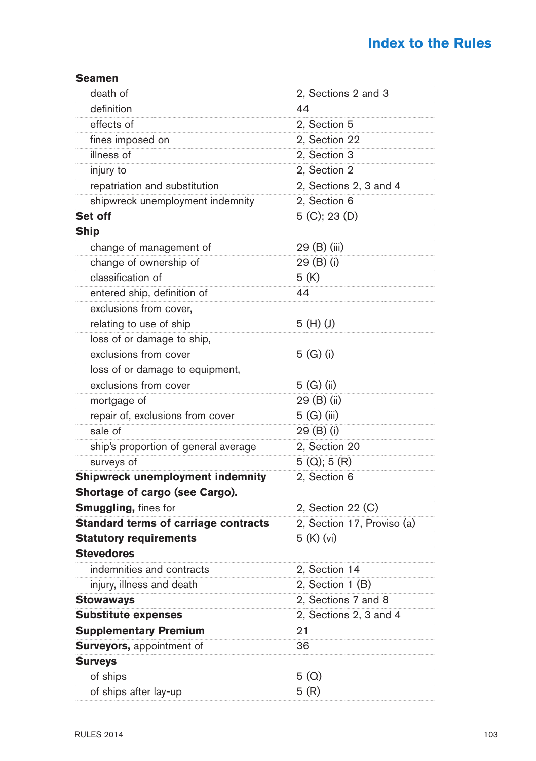#### **Seamen** death of 2, Sections 2 and 3 definition 44 effects of 2, Section 5 fines imposed on 22, Section 22 illness of 2, Section 3 injury to 2, Section 2 repatriation and substitution 2, Sections 2, 3 and 4 shipwreck unemployment indemnity 2, Section 6 **Set off**  $5 (C): 23 (D)$ **Ship**  change of management of 29 (B) (iii) change of ownership of 29 (B) (i) classification of 5 (K) entered ship, definition of  $\sqrt{44}$ exclusions from cover, relating to use of ship  $5(H)(J)$ loss of or damage to ship, exclusions from cover 5 (G) (i) loss of or damage to equipment, exclusions from cover 5 (G) (ii) mortgage of 29 (B) (ii) repair of, exclusions from cover 5 (G) (iii) sale of 29 (B) (i) ship's proportion of general average 2, Section 20 surveys of  $5 (Q)$ ; 5  $(R)$ **Shipwreck unemployment indemnity** 2, Section 6 **Shortage of cargo (see Cargo). Smuggling,** fines for 2, Section 22 (C) **Standard terms of carriage contracts** 2, Section 17, Proviso (a) **Statutory requirements** 5 (K) (vi) **Stevedores** indemnities and contracts 2. Section 14 injury, illness and death 2, Section 1 (B) **Stowaways** 2, Sections 7 and 8 **Substitute expenses** 2, Sections 2, 3 and 4 **Supplementary Premium** 21 **Surveyors, appointment of 36 Surveys** of ships  $5 (Q)$ of ships after lay-up  $5 (R)$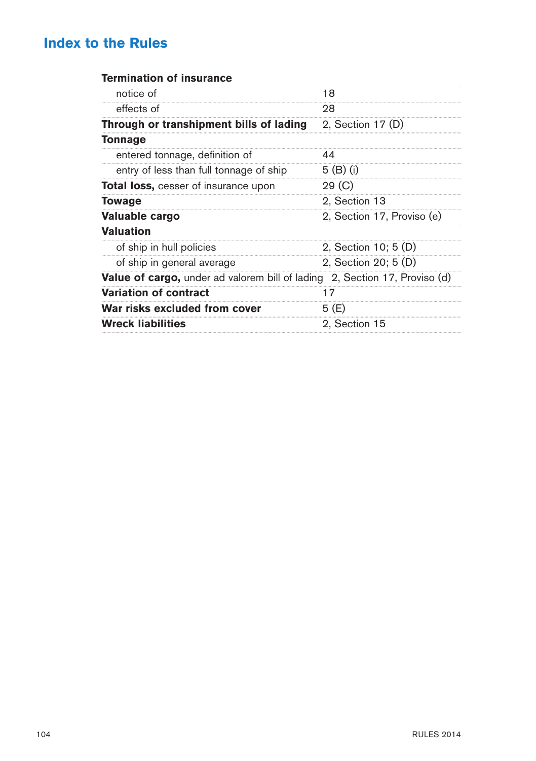#### **Termination of insurance**

| notice of                                              |                            |
|--------------------------------------------------------|----------------------------|
|                                                        | 18                         |
| effects of                                             | 28                         |
| Through or transhipment bills of lading                | 2, Section 17 (D)          |
| Tonnage                                                |                            |
| entered tonnage, definition of                         | 44                         |
| entry of less than full tonnage of ship                | 5 (B) (i)                  |
| <b>Total loss, cesser of insurance upon</b>            | 29 (C)                     |
| Towage                                                 | 2, Section 13              |
| Valuable cargo                                         | 2, Section 17, Proviso (e) |
| <b>Valuation</b>                                       |                            |
| of ship in hull policies                               | 2, Section 10; 5 (D)       |
| of ship in general average                             | 2, Section 20; 5 (D)       |
| <b>Value of cargo,</b> under ad valorem bill of lading | 2, Section 17, Proviso (d) |
| <b>Variation of contract</b>                           | 17                         |
| War risks excluded from cover                          | 5 (E)                      |
| <b>Wreck liabilities</b>                               | 2, Section 15              |
|                                                        |                            |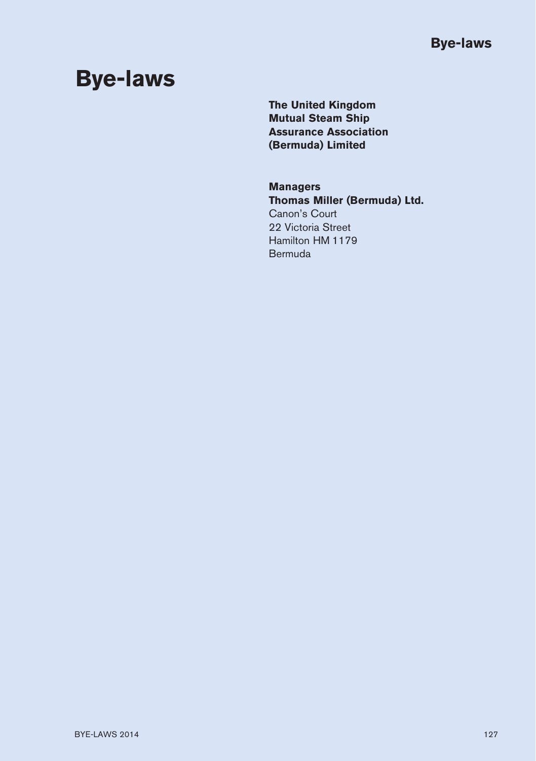# **Bye-laws**

**The United Kingdom Mutual Steam Ship Assurance Association (Bermuda) Limited**

#### **Managers Thomas Miller (Bermuda) Ltd.** Canon's Court 22 Victoria Street

Hamilton HM 1179 Bermuda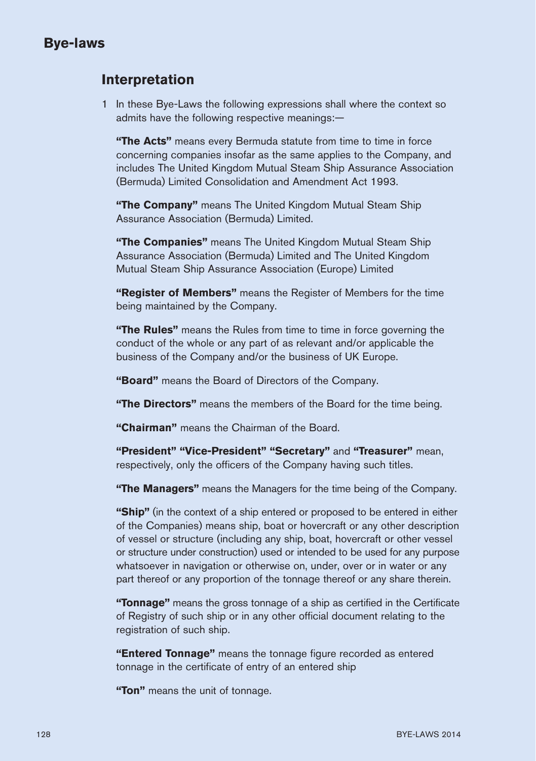#### **Interpretation**

1 In these Bye-Laws the following expressions shall where the context so admits have the following respective meanings:—

**"The Acts"** means every Bermuda statute from time to time in force concerning companies insofar as the same applies to the Company, and includes The United Kingdom Mutual Steam Ship Assurance Association (Bermuda) Limited Consolidation and Amendment Act 1993.

**"The Company"** means The United Kingdom Mutual Steam Ship Assurance Association (Bermuda) Limited.

**"The Companies"** means The United Kingdom Mutual Steam Ship Assurance Association (Bermuda) Limited and The United Kingdom Mutual Steam Ship Assurance Association (Europe) Limited

**"Register of Members"** means the Register of Members for the time being maintained by the Company.

**"The Rules"** means the Rules from time to time in force governing the conduct of the whole or any part of as relevant and/or applicable the business of the Company and/or the business of UK Europe.

**"Board"** means the Board of Directors of the Company.

**"The Directors"** means the members of the Board for the time being.

**"Chairman"** means the Chairman of the Board.

**"President" "Vice-President" "Secretary"** and **"Treasurer"** mean, respectively, only the officers of the Company having such titles.

**"The Managers"** means the Managers for the time being of the Company.

**"Ship"** (in the context of a ship entered or proposed to be entered in either of the Companies) means ship, boat or hovercraft or any other description of vessel or structure (including any ship, boat, hovercraft or other vessel or structure under construction) used or intended to be used for any purpose whatsoever in navigation or otherwise on, under, over or in water or any part thereof or any proportion of the tonnage thereof or any share therein.

**"Tonnage"** means the gross tonnage of a ship as certified in the Certificate of Registry of such ship or in any other official document relating to the registration of such ship.

**"Entered Tonnage"** means the tonnage figure recorded as entered tonnage in the certificate of entry of an entered ship

**"Ton"** means the unit of tonnage.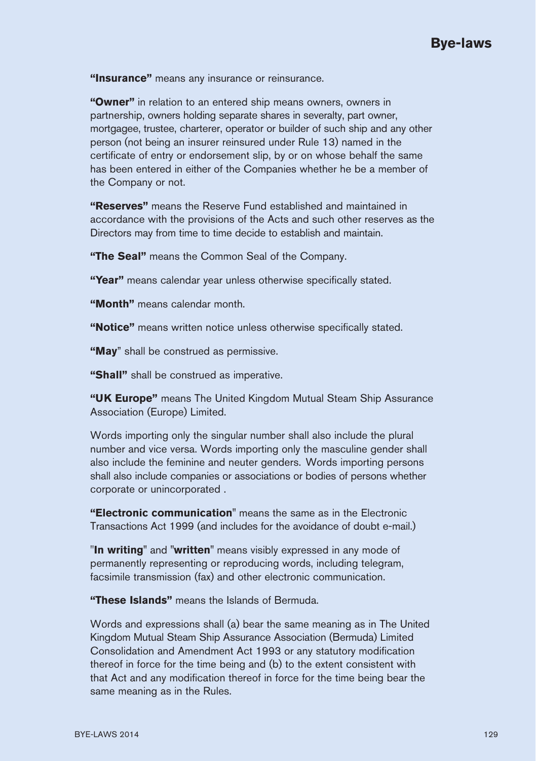**"Insurance"** means any insurance or reinsurance.

**"Owner"** in relation to an entered ship means owners, owners in partnership, owners holding separate shares in severalty, part owner, mortgagee, trustee, charterer, operator or builder of such ship and any other person (not being an insurer reinsured under Rule 13) named in the certificate of entry or endorsement slip, by or on whose behalf the same has been entered in either of the Companies whether he be a member of the Company or not.

**"Reserves"** means the Reserve Fund established and maintained in accordance with the provisions of the Acts and such other reserves as the Directors may from time to time decide to establish and maintain.

**"The Seal"** means the Common Seal of the Company.

**"Year"** means calendar year unless otherwise specifically stated.

**"Month"** means calendar month.

**"Notice"** means written notice unless otherwise specifically stated.

**"May**" shall be construed as permissive.

**"Shall"** shall be construed as imperative.

**"UK Europe"** means The United Kingdom Mutual Steam Ship Assurance Association (Europe) Limited.

Words importing only the singular number shall also include the plural number and vice versa. Words importing only the masculine gender shall also include the feminine and neuter genders. Words importing persons shall also include companies or associations or bodies of persons whether corporate or unincorporated .

**"Electronic communication"** means the same as in the Electronic Transactions Act 1999 (and includes for the avoidance of doubt e-mail.)

"**In writing"** and **"written"** means visibly expressed in any mode of permanently representing or reproducing words, including telegram, facsimile transmission (fax) and other electronic communication.

**"These Islands"** means the Islands of Bermuda.

Words and expressions shall (a) bear the same meaning as in The United Kingdom Mutual Steam Ship Assurance Association (Bermuda) Limited Consolidation and Amendment Act 1993 or any statutory modification thereof in force for the time being and (b) to the extent consistent with that Act and any modification thereof in force for the time being bear the same meaning as in the Rules.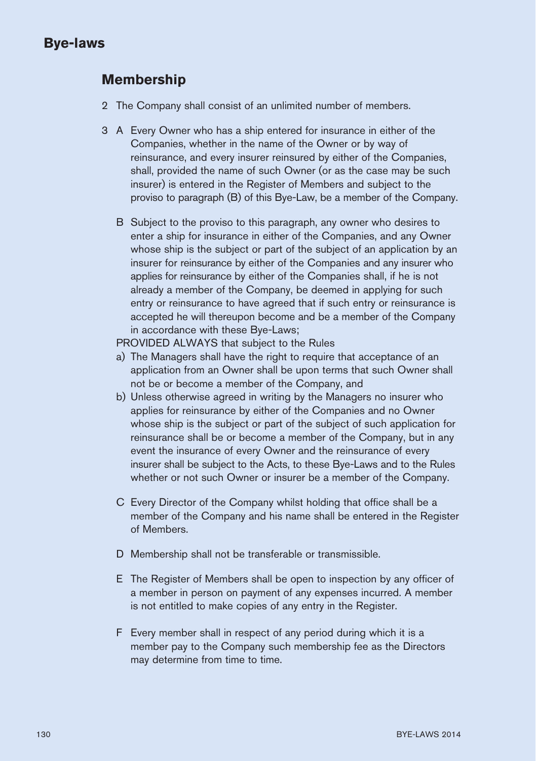#### **Membership**

- 2 The Company shall consist of an unlimited number of members.
- 3 A Every Owner who has a ship entered for insurance in either of the Companies, whether in the name of the Owner or by way of reinsurance, and every insurer reinsured by either of the Companies, shall, provided the name of such Owner (or as the case may be such insurer) is entered in the Register of Members and subject to the proviso to paragraph (B) of this Bye-Law, be a member of the Company.
	- B Subject to the proviso to this paragraph, any owner who desires to enter a ship for insurance in either of the Companies, and any Owner whose ship is the subject or part of the subject of an application by an insurer for reinsurance by either of the Companies and any insurer who applies for reinsurance by either of the Companies shall, if he is not already a member of the Company, be deemed in applying for such entry or reinsurance to have agreed that if such entry or reinsurance is accepted he will thereupon become and be a member of the Company in accordance with these Bye-Laws;

PROVIDED ALWAYS that subject to the Rules

- a) The Managers shall have the right to require that acceptance of an application from an Owner shall be upon terms that such Owner shall not be or become a member of the Company, and
- b) Unless otherwise agreed in writing by the Managers no insurer who applies for reinsurance by either of the Companies and no Owner whose ship is the subject or part of the subject of such application for reinsurance shall be or become a member of the Company, but in any event the insurance of every Owner and the reinsurance of every insurer shall be subject to the Acts, to these Bye-Laws and to the Rules whether or not such Owner or insurer be a member of the Company.
- C Every Director of the Company whilst holding that office shall be a member of the Company and his name shall be entered in the Register of Members.
- D Membership shall not be transferable or transmissible.
- E The Register of Members shall be open to inspection by any officer of a member in person on payment of any expenses incurred. A member is not entitled to make copies of any entry in the Register.
- F Every member shall in respect of any period during which it is a member pay to the Company such membership fee as the Directors may determine from time to time.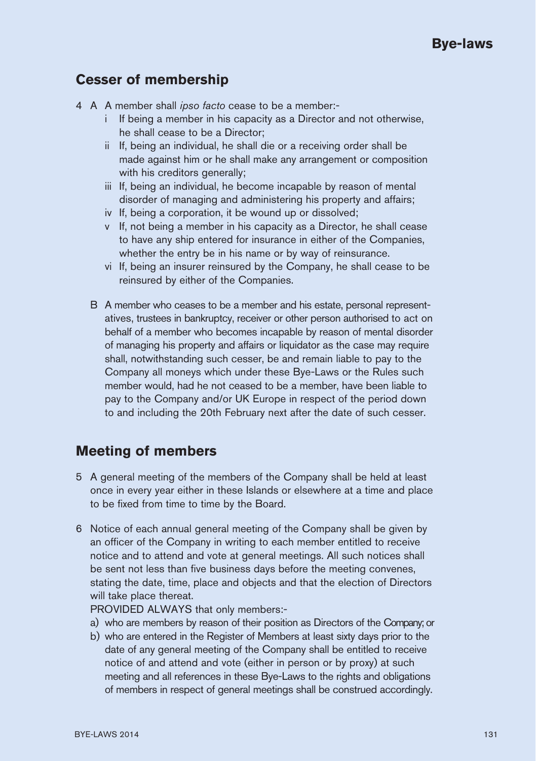### **Cesser of membership**

- 4 A A member shall *ipso facto* cease to be a member:
	- i If being a member in his capacity as a Director and not otherwise, he shall cease to be a Director;
	- ii If, being an individual, he shall die or a receiving order shall be made against him or he shall make any arrangement or composition with his creditors generally;
	- iii If, being an individual, he become incapable by reason of mental disorder of managing and administering his property and affairs;
	- iv If, being a corporation, it be wound up or dissolved;
	- v If, not being a member in his capacity as a Director, he shall cease to have any ship entered for insurance in either of the Companies, whether the entry be in his name or by way of reinsurance.
	- vi If, being an insurer reinsured by the Company, he shall cease to be reinsured by either of the Companies.
	- B A member who ceases to be a member and his estate, personal representatives, trustees in bankruptcy, receiver or other person authorised to act on behalf of a member who becomes incapable by reason of mental disorder of managing his property and affairs or liquidator as the case may require shall, notwithstanding such cesser, be and remain liable to pay to the Company all moneys which under these Bye-Laws or the Rules such member would, had he not ceased to be a member, have been liable to pay to the Company and/or UK Europe in respect of the period down to and including the 20th February next after the date of such cesser.

#### **Meeting of members**

- 5 A general meeting of the members of the Company shall be held at least once in every year either in these Islands or elsewhere at a time and place to be fixed from time to time by the Board.
- 6 Notice of each annual general meeting of the Company shall be given by an officer of the Company in writing to each member entitled to receive notice and to attend and vote at general meetings. All such notices shall be sent not less than five business days before the meeting convenes, stating the date, time, place and objects and that the election of Directors will take place thereat.

PROVIDED ALWAYS that only members:-

- a) who are members by reason of their position as Directors of the Company; or
- b) who are entered in the Register of Members at least sixty days prior to the date of any general meeting of the Company shall be entitled to receive notice of and attend and vote (either in person or by proxy) at such meeting and all references in these Bye-Laws to the rights and obligations of members in respect of general meetings shall be construed accordingly.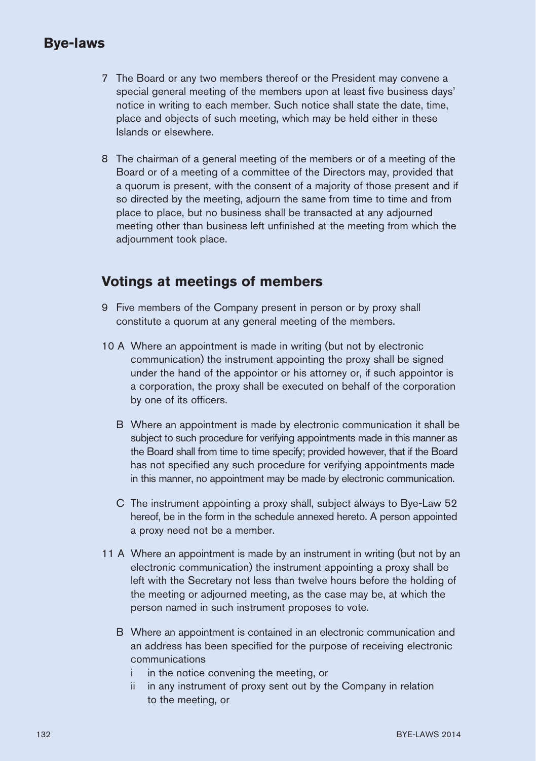- 7 The Board or any two members thereof or the President may convene a special general meeting of the members upon at least five business days' notice in writing to each member. Such notice shall state the date, time, place and objects of such meeting, which may be held either in these Islands or elsewhere.
- 8 The chairman of a general meeting of the members or of a meeting of the Board or of a meeting of a committee of the Directors may, provided that a quorum is present, with the consent of a majority of those present and if so directed by the meeting, adjourn the same from time to time and from place to place, but no business shall be transacted at any adjourned meeting other than business left unfinished at the meeting from which the adjournment took place.

#### **Votings at meetings of members**

- 9 Five members of the Company present in person or by proxy shall constitute a quorum at any general meeting of the members.
- 10 A Where an appointment is made in writing (but not by electronic communication) the instrument appointing the proxy shall be signed under the hand of the appointor or his attorney or, if such appointor is a corporation, the proxy shall be executed on behalf of the corporation by one of its officers.
	- B Where an appointment is made by electronic communication it shall be subject to such procedure for verifying appointments made in this manner as the Board shall from time to time specify; provided however, that if the Board has not specified any such procedure for verifying appointments made in this manner, no appointment may be made by electronic communication.
	- C The instrument appointing a proxy shall, subject always to Bye-Law 52 hereof, be in the form in the schedule annexed hereto. A person appointed a proxy need not be a member.
- 11 A Where an appointment is made by an instrument in writing (but not by an electronic communication) the instrument appointing a proxy shall be left with the Secretary not less than twelve hours before the holding of the meeting or adjourned meeting, as the case may be, at which the person named in such instrument proposes to vote.
	- B Where an appointment is contained in an electronic communication and an address has been specified for the purpose of receiving electronic communications
		- i in the notice convening the meeting, or
		- ii in any instrument of proxy sent out by the Company in relation to the meeting, or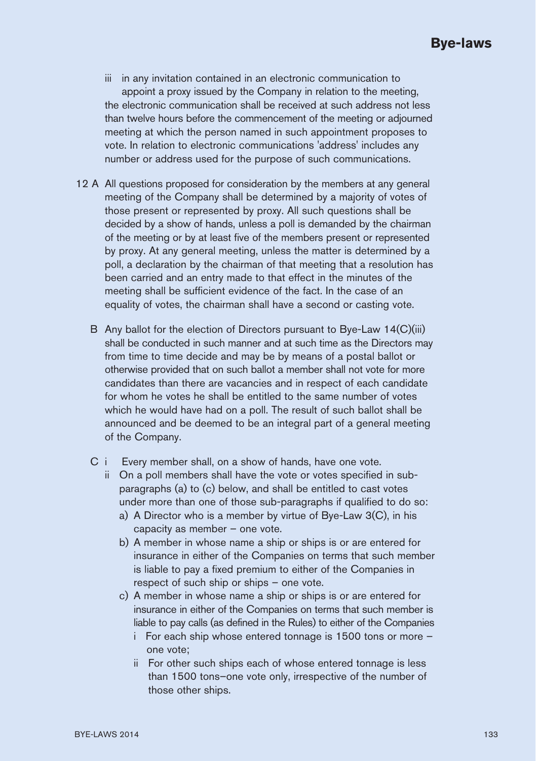- iii in any invitation contained in an electronic communication to appoint a proxy issued by the Company in relation to the meeting, the electronic communication shall be received at such address not less than twelve hours before the commencement of the meeting or adjourned meeting at which the person named in such appointment proposes to vote. In relation to electronic communications 'address' includes any number or address used for the purpose of such communications.
- 12 A All questions proposed for consideration by the members at any general meeting of the Company shall be determined by a majority of votes of those present or represented by proxy. All such questions shall be decided by a show of hands, unless a poll is demanded by the chairman of the meeting or by at least five of the members present or represented by proxy. At any general meeting, unless the matter is determined by a poll, a declaration by the chairman of that meeting that a resolution has been carried and an entry made to that effect in the minutes of the meeting shall be sufficient evidence of the fact. In the case of an equality of votes, the chairman shall have a second or casting vote.
	- B Any ballot for the election of Directors pursuant to Bye-Law 14(C)(iii) shall be conducted in such manner and at such time as the Directors may from time to time decide and may be by means of a postal ballot or otherwise provided that on such ballot a member shall not vote for more candidates than there are vacancies and in respect of each candidate for whom he votes he shall be entitled to the same number of votes which he would have had on a poll. The result of such ballot shall be announced and be deemed to be an integral part of a general meeting of the Company.
	- C i Every member shall, on a show of hands, have one vote.
		- ii On a poll members shall have the vote or votes specified in subparagraphs (a) to (c) below, and shall be entitled to cast votes under more than one of those sub-paragraphs if qualified to do so:
			- a) A Director who is a member by virtue of Bye-Law 3(C), in his capacity as member – one vote.
			- b) A member in whose name a ship or ships is or are entered for insurance in either of the Companies on terms that such member is liable to pay a fixed premium to either of the Companies in respect of such ship or ships – one vote.
			- c) A member in whose name a ship or ships is or are entered for insurance in either of the Companies on terms that such member is liable to pay calls (as defined in the Rules) to either of the Companies
				- i For each ship whose entered tonnage is 1500 tons or more one vote;
				- ii For other such ships each of whose entered tonnage is less than 1500 tons–one vote only, irrespective of the number of those other ships.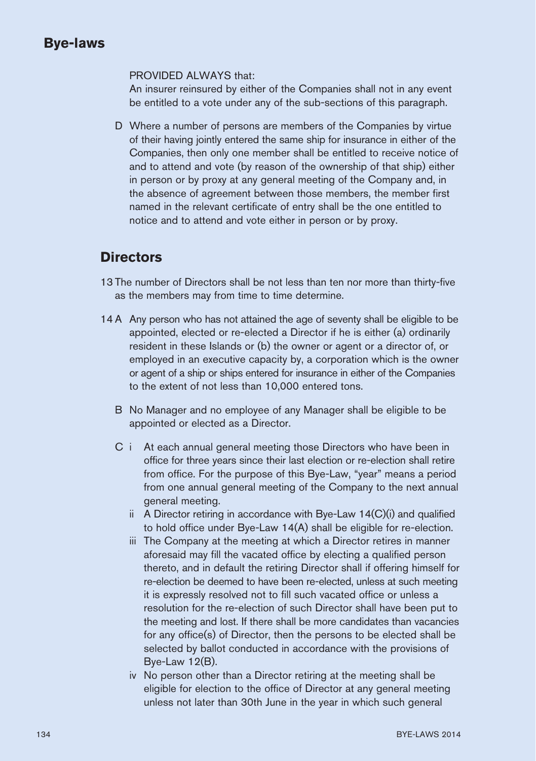#### PROVIDED ALWAYS that:

An insurer reinsured by either of the Companies shall not in any event be entitled to a vote under any of the sub-sections of this paragraph.

D Where a number of persons are members of the Companies by virtue of their having jointly entered the same ship for insurance in either of the Companies, then only one member shall be entitled to receive notice of and to attend and vote (by reason of the ownership of that ship) either in person or by proxy at any general meeting of the Company and, in the absence of agreement between those members, the member first named in the relevant certificate of entry shall be the one entitled to notice and to attend and vote either in person or by proxy.

#### **Directors**

- 13 The number of Directors shall be not less than ten nor more than thirty-five as the members may from time to time determine.
- 14 A Any person who has not attained the age of seventy shall be eligible to be appointed, elected or re-elected a Director if he is either (a) ordinarily resident in these Islands or (b) the owner or agent or a director of, or employed in an executive capacity by, a corporation which is the owner or agent of a ship or ships entered for insurance in either of the Companies to the extent of not less than 10,000 entered tons.
	- B No Manager and no employee of any Manager shall be eligible to be appointed or elected as a Director.
	- C i At each annual general meeting those Directors who have been in office for three years since their last election or re-election shall retire from office. For the purpose of this Bye-Law, "year" means a period from one annual general meeting of the Company to the next annual general meeting.
		- ii A Director retiring in accordance with Bye-Law 14(C)(i) and qualified to hold office under Bye-Law 14(A) shall be eligible for re-election.
		- iii The Company at the meeting at which a Director retires in manner aforesaid may fill the vacated office by electing a qualified person thereto, and in default the retiring Director shall if offering himself for re-election be deemed to have been re-elected, unless at such meeting it is expressly resolved not to fill such vacated office or unless a resolution for the re-election of such Director shall have been put to the meeting and lost. If there shall be more candidates than vacancies for any office(s) of Director, then the persons to be elected shall be selected by ballot conducted in accordance with the provisions of Bye-Law  $12(B)$ .
		- iv No person other than a Director retiring at the meeting shall be eligible for election to the office of Director at any general meeting unless not later than 30th June in the year in which such general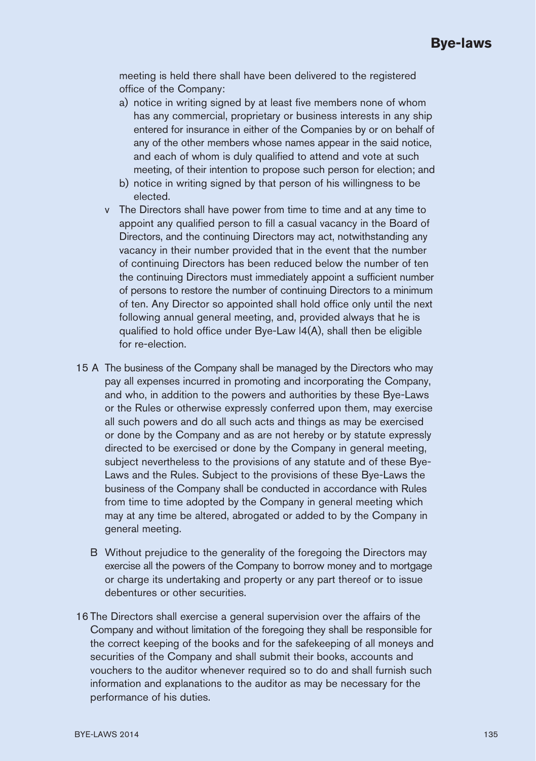meeting is held there shall have been delivered to the registered office of the Company:

- a) notice in writing signed by at least five members none of whom has any commercial, proprietary or business interests in any ship entered for insurance in either of the Companies by or on behalf of any of the other members whose names appear in the said notice, and each of whom is duly qualified to attend and vote at such meeting, of their intention to propose such person for election; and
- b) notice in writing signed by that person of his willingness to be elected.
- v The Directors shall have power from time to time and at any time to appoint any qualified person to fill a casual vacancy in the Board of Directors, and the continuing Directors may act, notwithstanding any vacancy in their number provided that in the event that the number of continuing Directors has been reduced below the number of ten the continuing Directors must immediately appoint a sufficient number of persons to restore the number of continuing Directors to a minimum of ten. Any Director so appointed shall hold office only until the next following annual general meeting, and, provided always that he is qualified to hold office under Bye-Law l4(A), shall then be eligible for re-election.
- 15 A The business of the Company shall be managed by the Directors who may pay all expenses incurred in promoting and incorporating the Company, and who, in addition to the powers and authorities by these Bye-Laws or the Rules or otherwise expressly conferred upon them, may exercise all such powers and do all such acts and things as may be exercised or done by the Company and as are not hereby or by statute expressly directed to be exercised or done by the Company in general meeting, subject nevertheless to the provisions of any statute and of these Bye-Laws and the Rules. Subject to the provisions of these Bye-Laws the business of the Company shall be conducted in accordance with Rules from time to time adopted by the Company in general meeting which may at any time be altered, abrogated or added to by the Company in general meeting.
	- B Without prejudice to the generality of the foregoing the Directors may exercise all the powers of the Company to borrow money and to mortgage or charge its undertaking and property or any part thereof or to issue debentures or other securities.
- 16 The Directors shall exercise a general supervision over the affairs of the Company and without limitation of the foregoing they shall be responsible for the correct keeping of the books and for the safekeeping of all moneys and securities of the Company and shall submit their books, accounts and vouchers to the auditor whenever required so to do and shall furnish such information and explanations to the auditor as may be necessary for the performance of his duties.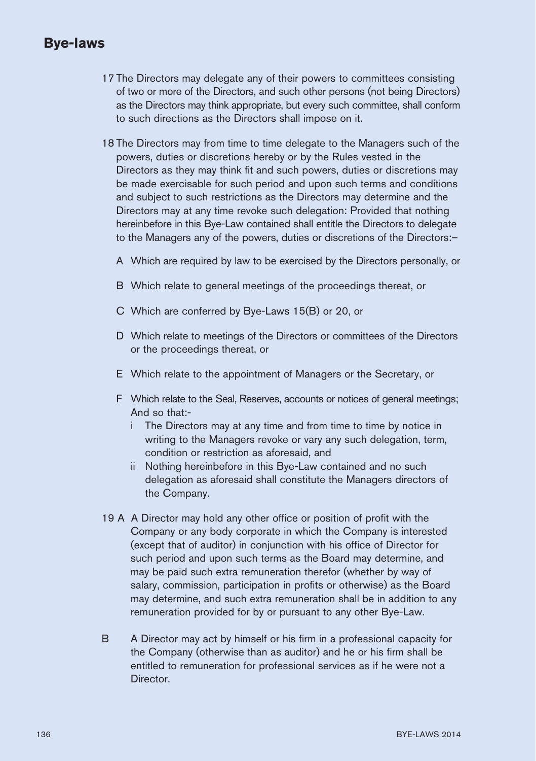- 17 The Directors may delegate any of their powers to committees consisting of two or more of the Directors, and such other persons (not being Directors) as the Directors may think appropriate, but every such committee, shall conform to such directions as the Directors shall impose on it.
- 18 The Directors may from time to time delegate to the Managers such of the powers, duties or discretions hereby or by the Rules vested in the Directors as they may think fit and such powers, duties or discretions may be made exercisable for such period and upon such terms and conditions and subject to such restrictions as the Directors may determine and the Directors may at any time revoke such delegation: Provided that nothing hereinbefore in this Bye-Law contained shall entitle the Directors to delegate to the Managers any of the powers, duties or discretions of the Directors:–
	- A Which are required by law to be exercised by the Directors personally, or
	- B Which relate to general meetings of the proceedings thereat, or
	- C Which are conferred by Bye-Laws 15(B) or 20, or
	- D Which relate to meetings of the Directors or committees of the Directors or the proceedings thereat, or
	- E Which relate to the appointment of Managers or the Secretary, or
	- F Which relate to the Seal, Reserves, accounts or notices of general meetings; And so that:
		- i The Directors may at any time and from time to time by notice in writing to the Managers revoke or vary any such delegation, term, condition or restriction as aforesaid, and
		- ii Nothing hereinbefore in this Bye-Law contained and no such delegation as aforesaid shall constitute the Managers directors of the Company.
- 19 A A Director may hold any other office or position of profit with the Company or any body corporate in which the Company is interested (except that of auditor) in conjunction with his office of Director for such period and upon such terms as the Board may determine, and may be paid such extra remuneration therefor (whether by way of salary, commission, participation in profits or otherwise) as the Board may determine, and such extra remuneration shall be in addition to any remuneration provided for by or pursuant to any other Bye-Law.
- B A Director may act by himself or his firm in a professional capacity for the Company (otherwise than as auditor) and he or his firm shall be entitled to remuneration for professional services as if he were not a **Director**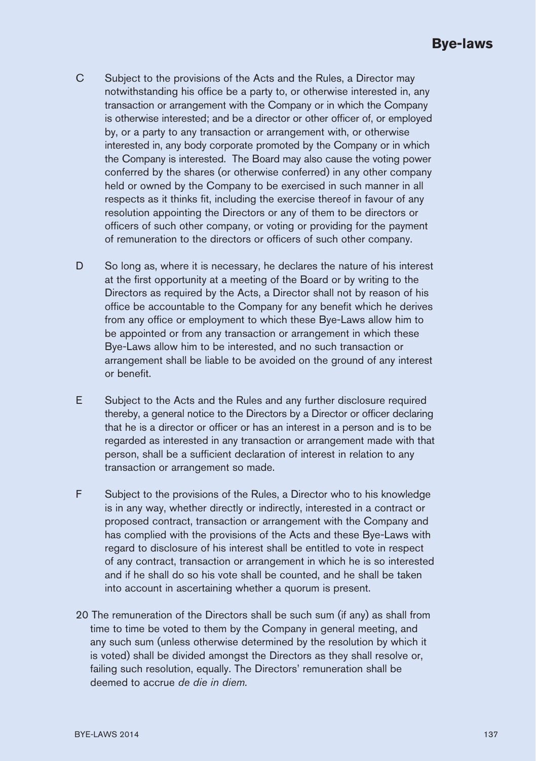- C Subject to the provisions of the Acts and the Rules, a Director may notwithstanding his office be a party to, or otherwise interested in, any transaction or arrangement with the Company or in which the Company is otherwise interested; and be a director or other officer of, or employed by, or a party to any transaction or arrangement with, or otherwise interested in, any body corporate promoted by the Company or in which the Company is interested. The Board may also cause the voting power conferred by the shares (or otherwise conferred) in any other company held or owned by the Company to be exercised in such manner in all respects as it thinks fit, including the exercise thereof in favour of any resolution appointing the Directors or any of them to be directors or officers of such other company, or voting or providing for the payment of remuneration to the directors or officers of such other company.
- D So long as, where it is necessary, he declares the nature of his interest at the first opportunity at a meeting of the Board or by writing to the Directors as required by the Acts, a Director shall not by reason of his office be accountable to the Company for any benefit which he derives from any office or employment to which these Bye-Laws allow him to be appointed or from any transaction or arrangement in which these Bye-Laws allow him to be interested, and no such transaction or arrangement shall be liable to be avoided on the ground of any interest or benefit.
- E Subject to the Acts and the Rules and any further disclosure required thereby, a general notice to the Directors by a Director or officer declaring that he is a director or officer or has an interest in a person and is to be regarded as interested in any transaction or arrangement made with that person, shall be a sufficient declaration of interest in relation to any transaction or arrangement so made.
- F Subject to the provisions of the Rules, a Director who to his knowledge is in any way, whether directly or indirectly, interested in a contract or proposed contract, transaction or arrangement with the Company and has complied with the provisions of the Acts and these Bye-Laws with regard to disclosure of his interest shall be entitled to vote in respect of any contract, transaction or arrangement in which he is so interested and if he shall do so his vote shall be counted, and he shall be taken into account in ascertaining whether a quorum is present.
- 20 The remuneration of the Directors shall be such sum (if any) as shall from time to time be voted to them by the Company in general meeting, and any such sum (unless otherwise determined by the resolution by which it is voted) shall be divided amongst the Directors as they shall resolve or, failing such resolution, equally. The Directors' remuneration shall be deemed to accrue *de die in diem.*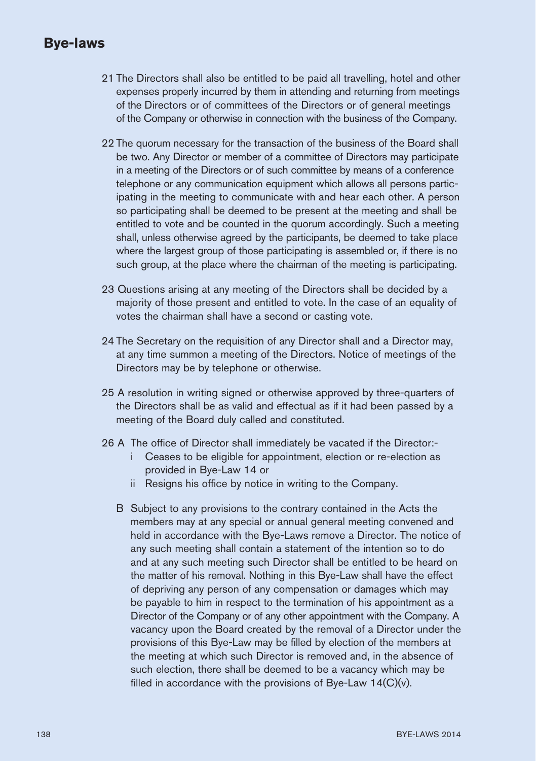- 21 The Directors shall also be entitled to be paid all travelling, hotel and other expenses properly incurred by them in attending and returning from meetings of the Directors or of committees of the Directors or of general meetings of the Company or otherwise in connection with the business of the Company.
- 22 The quorum necessary for the transaction of the business of the Board shall be two. Any Director or member of a committee of Directors may participate in a meeting of the Directors or of such committee by means of a conference telephone or any communication equipment which allows all persons participating in the meeting to communicate with and hear each other. A person so participating shall be deemed to be present at the meeting and shall be entitled to vote and be counted in the quorum accordingly. Such a meeting shall, unless otherwise agreed by the participants, be deemed to take place where the largest group of those participating is assembled or, if there is no such group, at the place where the chairman of the meeting is participating.
- 23 Questions arising at any meeting of the Directors shall be decided by a majority of those present and entitled to vote. In the case of an equality of votes the chairman shall have a second or casting vote.
- 24 The Secretary on the requisition of any Director shall and a Director may, at any time summon a meeting of the Directors. Notice of meetings of the Directors may be by telephone or otherwise.
- 25 A resolution in writing signed or otherwise approved by three-quarters of the Directors shall be as valid and effectual as if it had been passed by a meeting of the Board duly called and constituted.
- 26 A The office of Director shall immediately be vacated if the Director:
	- i Ceases to be eligible for appointment, election or re-election as provided in Bye-Law 14 or
	- ii Resigns his office by notice in writing to the Company.
	- B Subject to any provisions to the contrary contained in the Acts the members may at any special or annual general meeting convened and held in accordance with the Bye-Laws remove a Director. The notice of any such meeting shall contain a statement of the intention so to do and at any such meeting such Director shall be entitled to be heard on the matter of his removal. Nothing in this Bye-Law shall have the effect of depriving any person of any compensation or damages which may be payable to him in respect to the termination of his appointment as a Director of the Company or of any other appointment with the Company. A vacancy upon the Board created by the removal of a Director under the provisions of this Bye-Law may be filled by election of the members at the meeting at which such Director is removed and, in the absence of such election, there shall be deemed to be a vacancy which may be filled in accordance with the provisions of Bye-Law 14(C)(y).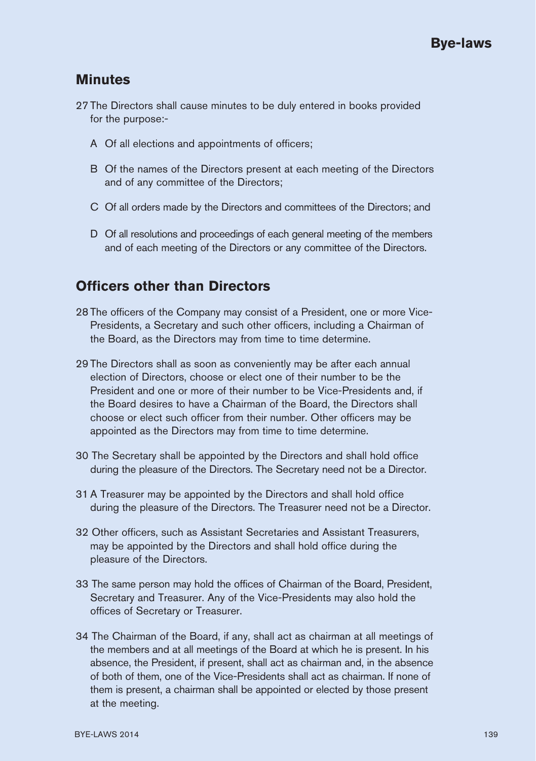#### **Minutes**

- 27 The Directors shall cause minutes to be duly entered in books provided for the purpose:-
	- A Of all elections and appointments of officers;
	- B Of the names of the Directors present at each meeting of the Directors and of any committee of the Directors;
	- C Of all orders made by the Directors and committees of the Directors; and
	- D Of all resolutions and proceedings of each general meeting of the members and of each meeting of the Directors or any committee of the Directors.

### **Officers other than Directors**

- 28 The officers of the Company may consist of a President, one or more Vice-Presidents, a Secretary and such other officers, including a Chairman of the Board, as the Directors may from time to time determine.
- 29 The Directors shall as soon as conveniently may be after each annual election of Directors, choose or elect one of their number to be the President and one or more of their number to be Vice-Presidents and, if the Board desires to have a Chairman of the Board, the Directors shall choose or elect such officer from their number. Other officers may be appointed as the Directors may from time to time determine.
- 30 The Secretary shall be appointed by the Directors and shall hold office during the pleasure of the Directors. The Secretary need not be a Director.
- 31 A Treasurer may be appointed by the Directors and shall hold office during the pleasure of the Directors. The Treasurer need not be a Director.
- 32 Other officers, such as Assistant Secretaries and Assistant Treasurers, may be appointed by the Directors and shall hold office during the pleasure of the Directors.
- 33 The same person may hold the offices of Chairman of the Board, President, Secretary and Treasurer. Any of the Vice-Presidents may also hold the offices of Secretary or Treasurer.
- 34 The Chairman of the Board, if any, shall act as chairman at all meetings of the members and at all meetings of the Board at which he is present. In his absence, the President, if present, shall act as chairman and, in the absence of both of them, one of the Vice-Presidents shall act as chairman. If none of them is present, a chairman shall be appointed or elected by those present at the meeting.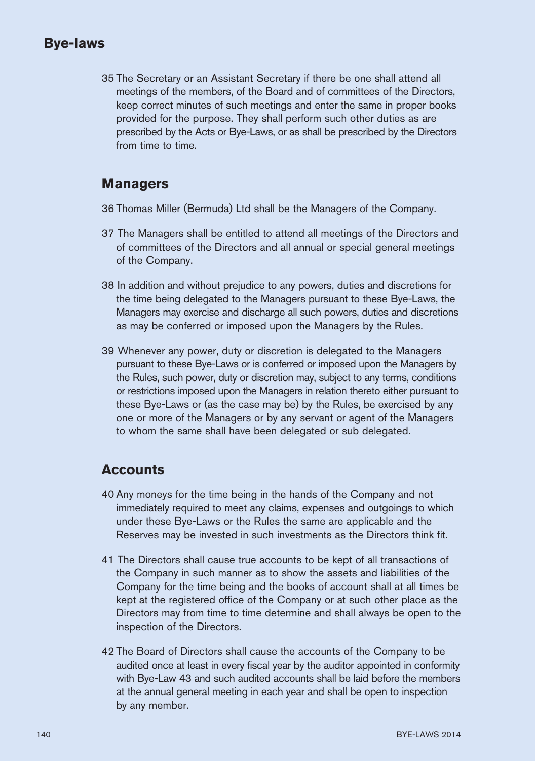35 The Secretary or an Assistant Secretary if there be one shall attend all meetings of the members, of the Board and of committees of the Directors, keep correct minutes of such meetings and enter the same in proper books provided for the purpose. They shall perform such other duties as are prescribed by the Acts or Bye-Laws, or as shall be prescribed by the Directors from time to time.

#### **Managers**

36 Thomas Miller (Bermuda) Ltd shall be the Managers of the Company.

- 37 The Managers shall be entitled to attend all meetings of the Directors and of committees of the Directors and all annual or special general meetings of the Company.
- 38 In addition and without prejudice to any powers, duties and discretions for the time being delegated to the Managers pursuant to these Bye-Laws, the Managers may exercise and discharge all such powers, duties and discretions as may be conferred or imposed upon the Managers by the Rules.
- 39 Whenever any power, duty or discretion is delegated to the Managers pursuant to these Bye-Laws or is conferred or imposed upon the Managers by the Rules, such power, duty or discretion may, subject to any terms, conditions or restrictions imposed upon the Managers in relation thereto either pursuant to these Bye-Laws or (as the case may be) by the Rules, be exercised by any one or more of the Managers or by any servant or agent of the Managers to whom the same shall have been delegated or sub delegated.

#### **Accounts**

- 40 Any moneys for the time being in the hands of the Company and not immediately required to meet any claims, expenses and outgoings to which under these Bye-Laws or the Rules the same are applicable and the Reserves may be invested in such investments as the Directors think fit.
- 41 The Directors shall cause true accounts to be kept of all transactions of the Company in such manner as to show the assets and liabilities of the Company for the time being and the books of account shall at all times be kept at the registered office of the Company or at such other place as the Directors may from time to time determine and shall always be open to the inspection of the Directors.
- 42 The Board of Directors shall cause the accounts of the Company to be audited once at least in every fiscal year by the auditor appointed in conformity with Bye-Law 43 and such audited accounts shall be laid before the members at the annual general meeting in each year and shall be open to inspection by any member.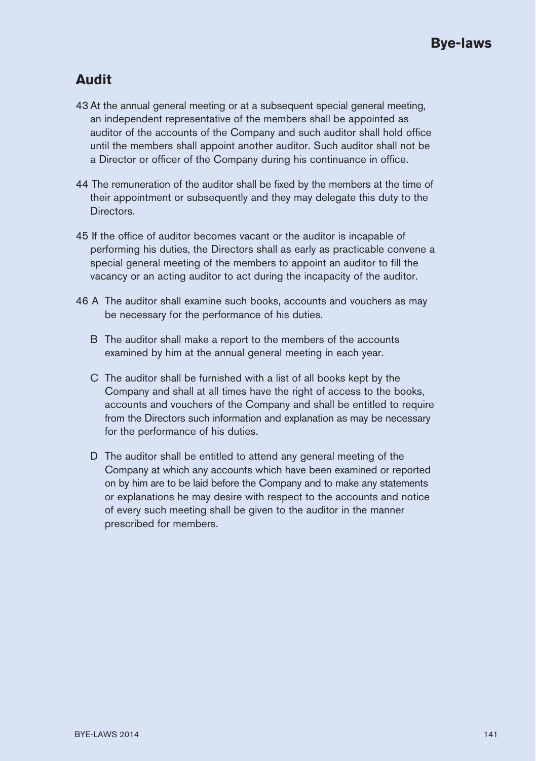## **Audit**

- 43 At the annual general meeting or at a subsequent special general meeting, an independent representative of the members shall be appointed as auditor of the accounts of the Company and such auditor shall hold office until the members shall appoint another auditor. Such auditor shall not be a Director or officer of the Company during his continuance in office.
- 44 The remuneration of the auditor shall be fixed by the members at the time of their appointment or subsequently and they may delegate this duty to the Directors.
- 45 If the office of auditor becomes vacant or the auditor is incapable of performing his duties, the Directors shall as early as practicable convene a special general meeting of the members to appoint an auditor to fill the vacancy or an acting auditor to act during the incapacity of the auditor.
- 46 A The auditor shall examine such books, accounts and vouchers as may be necessary for the performance of his duties.
	- B The auditor shall make a report to the members of the accounts examined by him at the annual general meeting in each year.
	- C The auditor shall be furnished with a list of all books kept by the Company and shall at all times have the right of access to the books, accounts and vouchers of the Company and shall be entitled to require from the Directors such information and explanation as may be necessary for the performance of his duties.
	- D The auditor shall be entitled to attend any general meeting of the Company at which any accounts which have been examined or reported on by him are to be laid before the Company and to make any statements or explanations he may desire with respect to the accounts and notice of every such meeting shall be given to the auditor in the manner prescribed for members.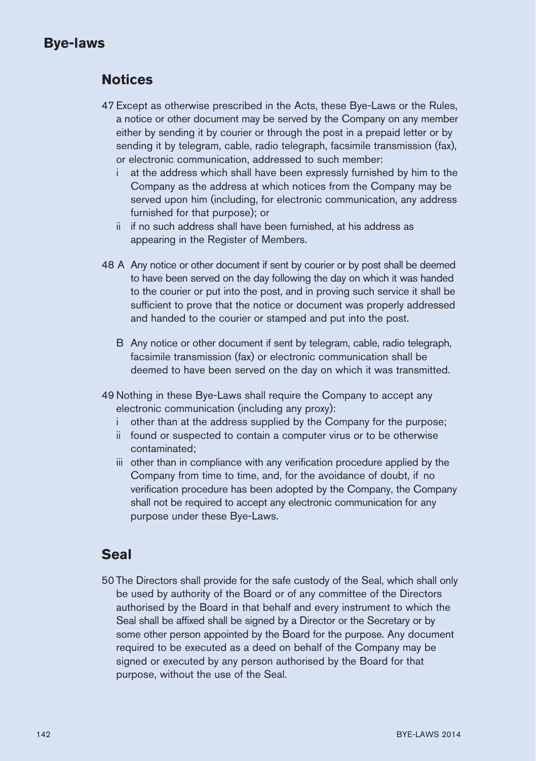### **Notices**

- 47 Except as otherwise prescribed in the Acts, these Bye-Laws or the Rules, a notice or other document may be served by the Company on any member either by sending it by courier or through the post in a prepaid letter or by sending it by telegram, cable, radio telegraph, facsimile transmission (fax), or electronic communication, addressed to such member:
	- i at the address which shall have been expressly furnished by him to the Company as the address at which notices from the Company may be served upon him (including, for electronic communication, any address furnished for that purpose); or
	- ii if no such address shall have been furnished, at his address as appearing in the Register of Members.
- 48 A Any notice or other document if sent by courier or by post shall be deemed to have been served on the day following the day on which it was handed to the courier or put into the post, and in proving such service it shall be sufficient to prove that the notice or document was properly addressed and handed to the courier or stamped and put into the post.
	- B Any notice or other document if sent by telegram, cable, radio telegraph, facsimile transmission (fax) or electronic communication shall be deemed to have been served on the day on which it was transmitted.
- 49 Nothing in these Bye-Laws shall require the Company to accept any electronic communication (including any proxy):
	- i other than at the address supplied by the Company for the purpose;
	- ii found or suspected to contain a computer virus or to be otherwise contaminated;
	- iii other than in compliance with any verification procedure applied by the Company from time to time, and, for the avoidance of doubt, if no verification procedure has been adopted by the Company, the Company shall not be required to accept any electronic communication for any purpose under these Bye-Laws.

### **Seal**

50 The Directors shall provide for the safe custody of the Seal, which shall only be used by authority of the Board or of any committee of the Directors authorised by the Board in that behalf and every instrument to which the Seal shall be affixed shall be signed by a Director or the Secretary or by some other person appointed by the Board for the purpose. Any document required to be executed as a deed on behalf of the Company may be signed or executed by any person authorised by the Board for that purpose, without the use of the Seal.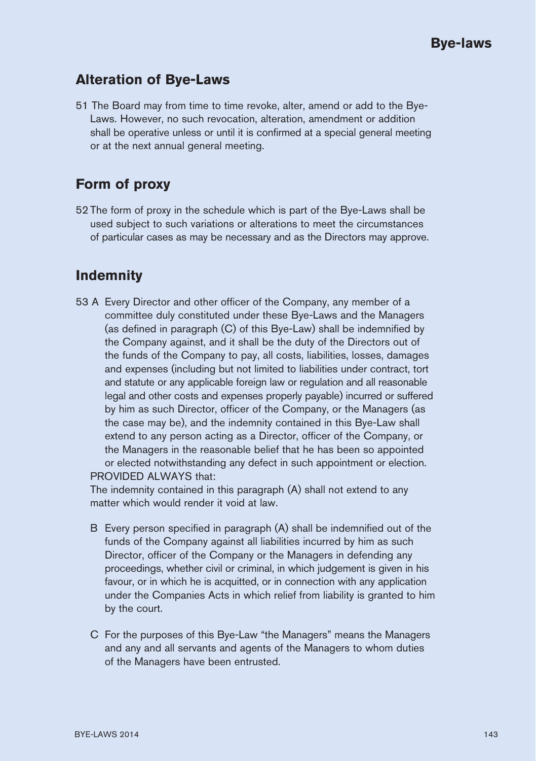#### **Alteration of Bye-Laws**

51 The Board may from time to time revoke, alter, amend or add to the Bye-Laws. However, no such revocation, alteration, amendment or addition shall be operative unless or until it is confirmed at a special general meeting or at the next annual general meeting.

### **Form of proxy**

52 The form of proxy in the schedule which is part of the Bye-Laws shall be used subject to such variations or alterations to meet the circumstances of particular cases as may be necessary and as the Directors may approve.

### **Indemnity**

53 A Every Director and other officer of the Company, any member of a committee duly constituted under these Bye-Laws and the Managers (as defined in paragraph (C) of this Bye-Law) shall be indemnified by the Company against, and it shall be the duty of the Directors out of the funds of the Company to pay, all costs, liabilities, losses, damages and expenses (including but not limited to liabilities under contract, tort and statute or any applicable foreign law or regulation and all reasonable legal and other costs and expenses properly payable) incurred or suffered by him as such Director, officer of the Company, or the Managers (as the case may be), and the indemnity contained in this Bye-Law shall extend to any person acting as a Director, officer of the Company, or the Managers in the reasonable belief that he has been so appointed or elected notwithstanding any defect in such appointment or election. PROVIDED ALWAYS that:

The indemnity contained in this paragraph (A) shall not extend to any matter which would render it void at law.

- B Every person specified in paragraph (A) shall be indemnified out of the funds of the Company against all liabilities incurred by him as such Director, officer of the Company or the Managers in defending any proceedings, whether civil or criminal, in which judgement is given in his favour, or in which he is acquitted, or in connection with any application under the Companies Acts in which relief from liability is granted to him by the court.
- C For the purposes of this Bye-Law "the Managers" means the Managers and any and all servants and agents of the Managers to whom duties of the Managers have been entrusted.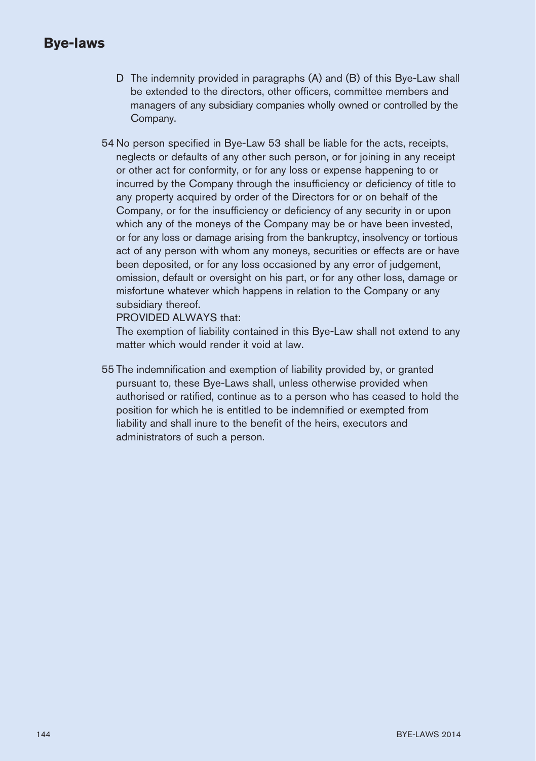- D The indemnity provided in paragraphs (A) and (B) of this Bye-Law shall be extended to the directors, other officers, committee members and managers of any subsidiary companies wholly owned or controlled by the Company.
- 54 No person specified in Bye-Law 53 shall be liable for the acts, receipts, neglects or defaults of any other such person, or for joining in any receipt or other act for conformity, or for any loss or expense happening to or incurred by the Company through the insufficiency or deficiency of title to any property acquired by order of the Directors for or on behalf of the Company, or for the insufficiency or deficiency of any security in or upon which any of the moneys of the Company may be or have been invested, or for any loss or damage arising from the bankruptcy, insolvency or tortious act of any person with whom any moneys, securities or effects are or have been deposited, or for any loss occasioned by any error of judgement, omission, default or oversight on his part, or for any other loss, damage or misfortune whatever which happens in relation to the Company or any subsidiary thereof.

PROVIDED ALWAYS that:

The exemption of liability contained in this Bye-Law shall not extend to any matter which would render it void at law.

55 The indemnification and exemption of liability provided by, or granted pursuant to, these Bye-Laws shall, unless otherwise provided when authorised or ratified, continue as to a person who has ceased to hold the position for which he is entitled to be indemnified or exempted from liability and shall inure to the benefit of the heirs, executors and administrators of such a person.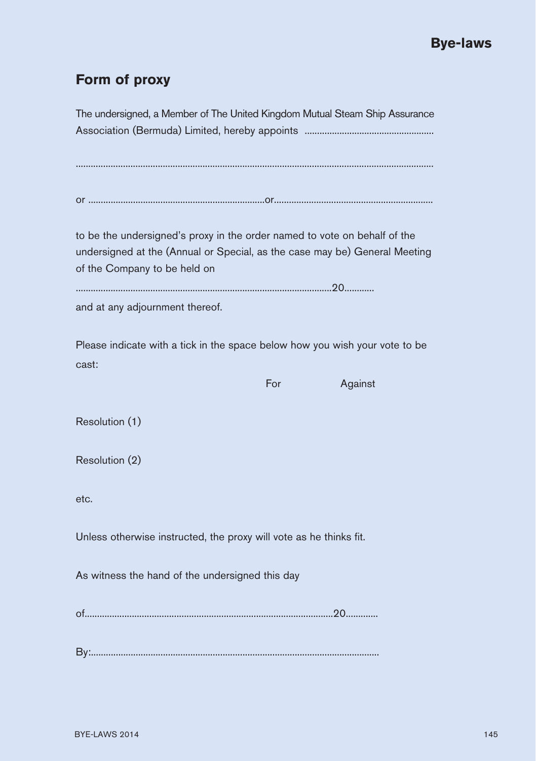# **Form of proxy**

| The undersigned, a Member of The United Kingdom Mutual Steam Ship Assurance |     |         |
|-----------------------------------------------------------------------------|-----|---------|
|                                                                             |     |         |
|                                                                             |     |         |
|                                                                             |     |         |
|                                                                             |     |         |
|                                                                             |     |         |
| to be the undersigned's proxy in the order named to vote on behalf of the   |     |         |
| undersigned at the (Annual or Special, as the case may be) General Meeting  |     |         |
| of the Company to be held on                                                |     |         |
|                                                                             |     |         |
| and at any adjournment thereof.                                             |     |         |
|                                                                             |     |         |
| Please indicate with a tick in the space below how you wish your vote to be |     |         |
| cast:                                                                       |     |         |
|                                                                             | For | Against |
| Resolution (1)                                                              |     |         |
|                                                                             |     |         |
| Resolution (2)                                                              |     |         |
|                                                                             |     |         |
| etc.                                                                        |     |         |
|                                                                             |     |         |
| Unless otherwise instructed, the proxy will vote as he thinks fit.          |     |         |
|                                                                             |     |         |
| As witness the hand of the undersigned this day                             |     |         |
|                                                                             |     |         |
|                                                                             |     |         |
|                                                                             |     |         |
|                                                                             |     |         |